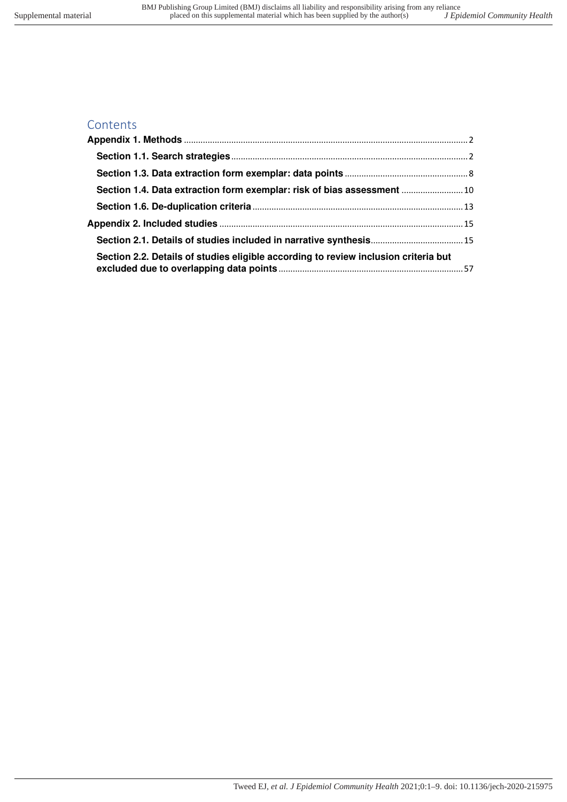# **Contents**

| Section 1.4. Data extraction form exemplar: risk of bias assessment  10             |  |
|-------------------------------------------------------------------------------------|--|
|                                                                                     |  |
|                                                                                     |  |
|                                                                                     |  |
| Section 2.2. Details of studies eligible according to review inclusion criteria but |  |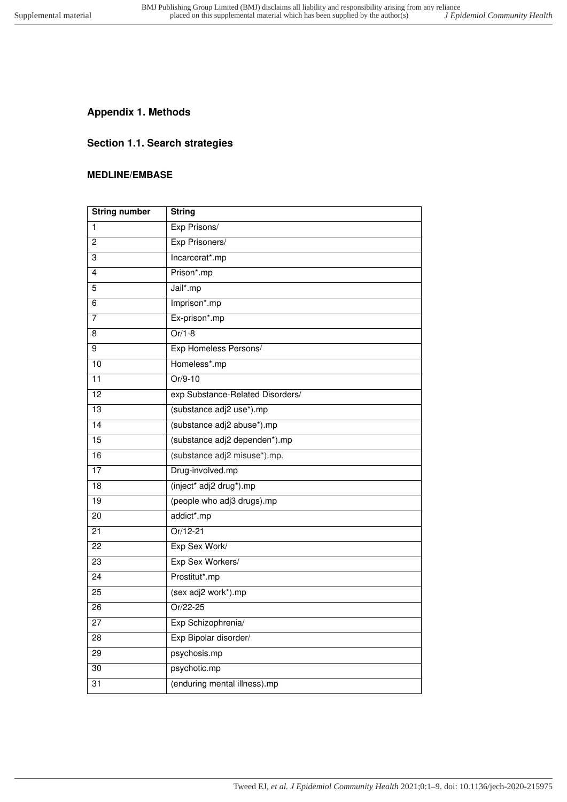# <span id="page-1-1"></span><span id="page-1-0"></span>**Appendix 1. Methods**

# **Section 1.1. Search strategies**

## **MEDLINE/EMBASE**

| <b>String number</b> | <b>String</b>                    |
|----------------------|----------------------------------|
| $\mathbf{1}$         | Exp Prisons/                     |
| 2                    | Exp Prisoners/                   |
| 3                    | Incarcerat*.mp                   |
| 4                    | Prison*.mp                       |
| 5                    | Jail*.mp                         |
| 6                    | Imprison*.mp                     |
| 7                    | Ex-prison*.mp                    |
| 8                    | $Or/1-8$                         |
| 9                    | Exp Homeless Persons/            |
| 10                   | Homeless*.mp                     |
| 11                   | $Or/9-10$                        |
| 12                   | exp Substance-Related Disorders/ |
| 13                   | (substance adj2 use*).mp         |
| 14                   | (substance adj2 abuse*).mp       |
| 15                   | (substance adj2 dependen*).mp    |
| 16                   | (substance adj2 misuse*).mp.     |
| 17                   | Drug-involved.mp                 |
| 18                   | (inject* adj2 drug*).mp          |
| 19                   | (people who adj3 drugs).mp       |
| $\overline{20}$      | addict*.mp                       |
| 21                   | Or/12-21                         |
| 22                   | Exp Sex Work/                    |
| $\overline{23}$      | Exp Sex Workers/                 |
| 24                   | Prostitut*.mp                    |
| 25                   | (sex adj2 work*).mp              |
| 26                   | Or/22-25                         |
| 27                   | Exp Schizophrenia/               |
| 28                   | Exp Bipolar disorder/            |
| $\overline{29}$      | psychosis.mp                     |
| 30                   | psychotic.mp                     |
| 31                   | (enduring mental illness).mp     |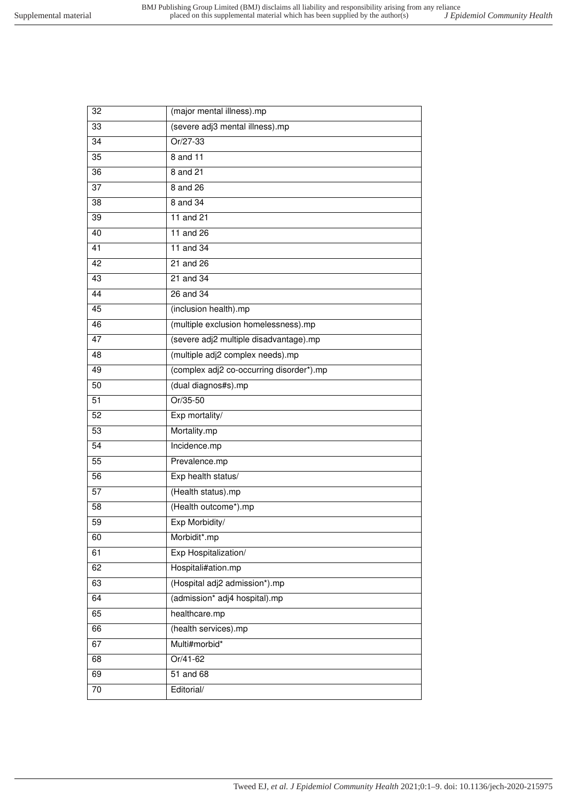| 33<br>(severe adj3 mental illness).mp<br>Or/27-33<br>34<br>$\overline{35}$<br>8 and 11<br>8 and 21<br>36<br>8 and 26<br>37<br>8 and 34<br>38<br>11 and 21<br>39<br>11 and 26<br>40<br>41<br>11 and 34<br>42<br>21 and 26<br>43<br>21 and 34<br>44<br>26 and 34<br>45<br>(inclusion health).mp<br>(multiple exclusion homelessness).mp<br>46<br>(severe adj2 multiple disadvantage).mp<br>47<br>48<br>(multiple adj2 complex needs).mp<br>(complex adj2 co-occurring disorder*).mp<br>49<br>(dual diagnos#s).mp<br>50<br>$Or/35-50$<br>51<br>$\overline{52}$<br>Exp mortality/<br>Mortality.mp<br>53<br>$\overline{54}$<br>Incidence.mp<br>$\overline{55}$<br>Prevalence.mp<br>Exp health status/<br>56<br>57<br>(Health status).mp<br>(Health outcome*).mp<br>$\overline{58}$<br>Exp Morbidity/<br>59<br>60<br>Morbidit*.mp<br>Exp Hospitalization/<br>61<br>Hospitali#ation.mp<br>62<br>(Hospital adj2 admission*).mp<br>63 |  |
|------------------------------------------------------------------------------------------------------------------------------------------------------------------------------------------------------------------------------------------------------------------------------------------------------------------------------------------------------------------------------------------------------------------------------------------------------------------------------------------------------------------------------------------------------------------------------------------------------------------------------------------------------------------------------------------------------------------------------------------------------------------------------------------------------------------------------------------------------------------------------------------------------------------------------|--|
|                                                                                                                                                                                                                                                                                                                                                                                                                                                                                                                                                                                                                                                                                                                                                                                                                                                                                                                              |  |
|                                                                                                                                                                                                                                                                                                                                                                                                                                                                                                                                                                                                                                                                                                                                                                                                                                                                                                                              |  |
|                                                                                                                                                                                                                                                                                                                                                                                                                                                                                                                                                                                                                                                                                                                                                                                                                                                                                                                              |  |
|                                                                                                                                                                                                                                                                                                                                                                                                                                                                                                                                                                                                                                                                                                                                                                                                                                                                                                                              |  |
|                                                                                                                                                                                                                                                                                                                                                                                                                                                                                                                                                                                                                                                                                                                                                                                                                                                                                                                              |  |
|                                                                                                                                                                                                                                                                                                                                                                                                                                                                                                                                                                                                                                                                                                                                                                                                                                                                                                                              |  |
|                                                                                                                                                                                                                                                                                                                                                                                                                                                                                                                                                                                                                                                                                                                                                                                                                                                                                                                              |  |
|                                                                                                                                                                                                                                                                                                                                                                                                                                                                                                                                                                                                                                                                                                                                                                                                                                                                                                                              |  |
|                                                                                                                                                                                                                                                                                                                                                                                                                                                                                                                                                                                                                                                                                                                                                                                                                                                                                                                              |  |
|                                                                                                                                                                                                                                                                                                                                                                                                                                                                                                                                                                                                                                                                                                                                                                                                                                                                                                                              |  |
|                                                                                                                                                                                                                                                                                                                                                                                                                                                                                                                                                                                                                                                                                                                                                                                                                                                                                                                              |  |
|                                                                                                                                                                                                                                                                                                                                                                                                                                                                                                                                                                                                                                                                                                                                                                                                                                                                                                                              |  |
|                                                                                                                                                                                                                                                                                                                                                                                                                                                                                                                                                                                                                                                                                                                                                                                                                                                                                                                              |  |
|                                                                                                                                                                                                                                                                                                                                                                                                                                                                                                                                                                                                                                                                                                                                                                                                                                                                                                                              |  |
|                                                                                                                                                                                                                                                                                                                                                                                                                                                                                                                                                                                                                                                                                                                                                                                                                                                                                                                              |  |
|                                                                                                                                                                                                                                                                                                                                                                                                                                                                                                                                                                                                                                                                                                                                                                                                                                                                                                                              |  |
|                                                                                                                                                                                                                                                                                                                                                                                                                                                                                                                                                                                                                                                                                                                                                                                                                                                                                                                              |  |
|                                                                                                                                                                                                                                                                                                                                                                                                                                                                                                                                                                                                                                                                                                                                                                                                                                                                                                                              |  |
|                                                                                                                                                                                                                                                                                                                                                                                                                                                                                                                                                                                                                                                                                                                                                                                                                                                                                                                              |  |
|                                                                                                                                                                                                                                                                                                                                                                                                                                                                                                                                                                                                                                                                                                                                                                                                                                                                                                                              |  |
|                                                                                                                                                                                                                                                                                                                                                                                                                                                                                                                                                                                                                                                                                                                                                                                                                                                                                                                              |  |
|                                                                                                                                                                                                                                                                                                                                                                                                                                                                                                                                                                                                                                                                                                                                                                                                                                                                                                                              |  |
|                                                                                                                                                                                                                                                                                                                                                                                                                                                                                                                                                                                                                                                                                                                                                                                                                                                                                                                              |  |
|                                                                                                                                                                                                                                                                                                                                                                                                                                                                                                                                                                                                                                                                                                                                                                                                                                                                                                                              |  |
|                                                                                                                                                                                                                                                                                                                                                                                                                                                                                                                                                                                                                                                                                                                                                                                                                                                                                                                              |  |
|                                                                                                                                                                                                                                                                                                                                                                                                                                                                                                                                                                                                                                                                                                                                                                                                                                                                                                                              |  |
|                                                                                                                                                                                                                                                                                                                                                                                                                                                                                                                                                                                                                                                                                                                                                                                                                                                                                                                              |  |
|                                                                                                                                                                                                                                                                                                                                                                                                                                                                                                                                                                                                                                                                                                                                                                                                                                                                                                                              |  |
|                                                                                                                                                                                                                                                                                                                                                                                                                                                                                                                                                                                                                                                                                                                                                                                                                                                                                                                              |  |
|                                                                                                                                                                                                                                                                                                                                                                                                                                                                                                                                                                                                                                                                                                                                                                                                                                                                                                                              |  |
|                                                                                                                                                                                                                                                                                                                                                                                                                                                                                                                                                                                                                                                                                                                                                                                                                                                                                                                              |  |
| (admission* adj4 hospital).mp<br>64                                                                                                                                                                                                                                                                                                                                                                                                                                                                                                                                                                                                                                                                                                                                                                                                                                                                                          |  |
| healthcare.mp<br>65                                                                                                                                                                                                                                                                                                                                                                                                                                                                                                                                                                                                                                                                                                                                                                                                                                                                                                          |  |
| 66<br>(health services).mp                                                                                                                                                                                                                                                                                                                                                                                                                                                                                                                                                                                                                                                                                                                                                                                                                                                                                                   |  |
| Multi#morbid*<br>67                                                                                                                                                                                                                                                                                                                                                                                                                                                                                                                                                                                                                                                                                                                                                                                                                                                                                                          |  |
| Or/41-62<br>68                                                                                                                                                                                                                                                                                                                                                                                                                                                                                                                                                                                                                                                                                                                                                                                                                                                                                                               |  |
| 51 and 68<br>69                                                                                                                                                                                                                                                                                                                                                                                                                                                                                                                                                                                                                                                                                                                                                                                                                                                                                                              |  |
| Editorial/<br>70                                                                                                                                                                                                                                                                                                                                                                                                                                                                                                                                                                                                                                                                                                                                                                                                                                                                                                             |  |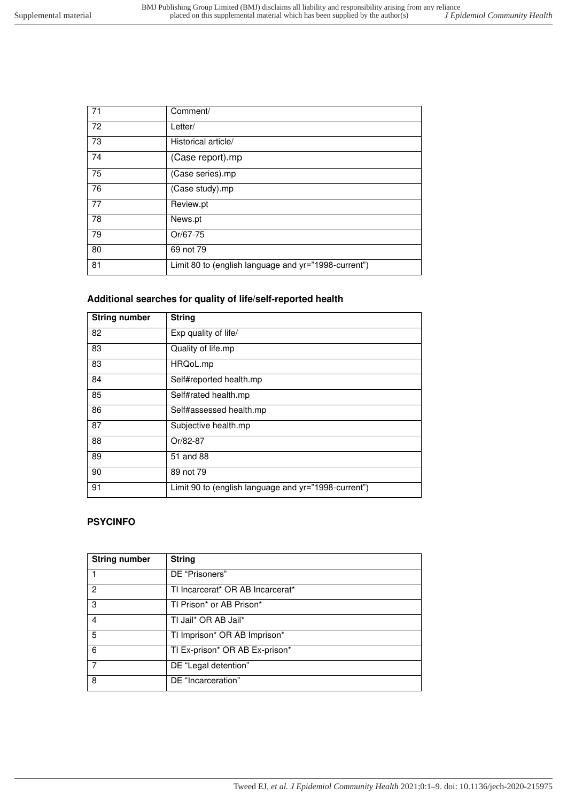| 71 | Comment/                                             |
|----|------------------------------------------------------|
| 72 | Letter/                                              |
| 73 | Historical article/                                  |
| 74 | (Case report).mp                                     |
| 75 | (Case series).mp                                     |
| 76 | (Case study).mp                                      |
| 77 | Review.pt                                            |
| 78 | News.pt                                              |
| 79 | Or/67-75                                             |
| 80 | 69 not 79                                            |
| 81 | Limit 80 to (english language and yr="1998-current") |

# **Additional searches for quality of life/self-reported health**

| <b>String number</b> | <b>String</b>                                        |
|----------------------|------------------------------------------------------|
| 82                   | Exp quality of life/                                 |
| 83                   | Quality of life.mp                                   |
| 83                   | HRQoL.mp                                             |
| 84                   | Self#reported health.mp                              |
| 85                   | Self#rated health.mp                                 |
| 86                   | Self#assessed health.mp                              |
| 87                   | Subjective health.mp                                 |
| 88                   | Or/82-87                                             |
| 89                   | 51 and 88                                            |
| 90                   | 89 not 79                                            |
| 91                   | Limit 90 to (english language and yr="1998-current") |

## **PSYCINFO**

| <b>String number</b> | <b>String</b>                    |
|----------------------|----------------------------------|
|                      | DE "Prisoners"                   |
| 2                    | TI Incarcerat* OR AB Incarcerat* |
| 3                    | TI Prison* or AB Prison*         |
| 4                    | TI Jail* OR AB Jail*             |
| 5                    | TI Imprison* OR AB Imprison*     |
| 6                    | TI Ex-prison* OR AB Ex-prison*   |
| 7                    | DE "Legal detention"             |
| 8                    | DE "Incarceration"               |

Tweed EJ*, et al. J Epidemiol Community Health* 2021;0:1–9. doi: 10.1136/jech-2020-215975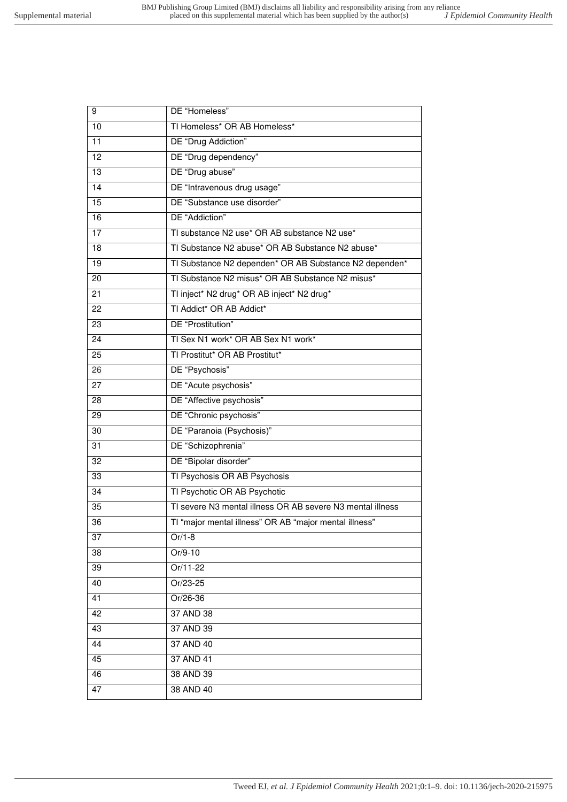| TI Homeless* OR AB Homeless*<br>10<br>$\overline{11}$<br>DE "Drug Addiction"<br>$\overline{12}$<br>DE "Drug dependency"<br>DE "Drug abuse"<br>$\overline{13}$<br>14<br>DE "Intravenous drug usage"<br>$\overline{15}$<br>DE "Substance use disorder"<br>DE "Addiction"<br>$\overline{16}$<br>$\overline{17}$<br>TI substance N2 use* OR AB substance N2 use*<br>TI Substance N2 abuse* OR AB Substance N2 abuse*<br>18<br>$\overline{19}$<br>TI Substance N2 dependen* OR AB Substance N2 dependen*<br>TI Substance N2 misus* OR AB Substance N2 misus*<br>20<br>TI inject* N2 drug* OR AB inject* N2 drug*<br>21<br>TI Addict* OR AB Addict*<br>22<br>DE "Prostitution"<br>23<br>TI Sex N1 work* OR AB Sex N1 work*<br>24<br>TI Prostitut* OR AB Prostitut*<br>25<br>DE "Psychosis"<br>26<br>DE "Acute psychosis"<br>27<br>DE "Affective psychosis"<br>28<br>DE "Chronic psychosis"<br>29<br>DE "Paranoia (Psychosis)"<br>30<br>DE "Schizophrenia"<br>31<br>DE "Bipolar disorder"<br>$\overline{32}$<br>33<br>TI Psychosis OR AB Psychosis<br>TI Psychotic OR AB Psychotic<br>34<br>TI severe N3 mental illness OR AB severe N3 mental illness<br>35<br>TI "major mental illness" OR AB "major mental illness"<br>36<br>Or/1-8<br>37<br>Or/9-10<br>38<br>39<br>Or/11-22<br>40<br>Or/23-25<br>41<br>Or/26-36<br>42<br>37 AND 38<br>37 AND 39<br>43<br>44<br>37 AND 40<br>37 AND 41<br>45<br>38 AND 39<br>46<br>38 AND 40<br>47 | 9 | DE "Homeless" |
|--------------------------------------------------------------------------------------------------------------------------------------------------------------------------------------------------------------------------------------------------------------------------------------------------------------------------------------------------------------------------------------------------------------------------------------------------------------------------------------------------------------------------------------------------------------------------------------------------------------------------------------------------------------------------------------------------------------------------------------------------------------------------------------------------------------------------------------------------------------------------------------------------------------------------------------------------------------------------------------------------------------------------------------------------------------------------------------------------------------------------------------------------------------------------------------------------------------------------------------------------------------------------------------------------------------------------------------------------------------------------------------------------------------------------------|---|---------------|
|                                                                                                                                                                                                                                                                                                                                                                                                                                                                                                                                                                                                                                                                                                                                                                                                                                                                                                                                                                                                                                                                                                                                                                                                                                                                                                                                                                                                                                |   |               |
|                                                                                                                                                                                                                                                                                                                                                                                                                                                                                                                                                                                                                                                                                                                                                                                                                                                                                                                                                                                                                                                                                                                                                                                                                                                                                                                                                                                                                                |   |               |
|                                                                                                                                                                                                                                                                                                                                                                                                                                                                                                                                                                                                                                                                                                                                                                                                                                                                                                                                                                                                                                                                                                                                                                                                                                                                                                                                                                                                                                |   |               |
|                                                                                                                                                                                                                                                                                                                                                                                                                                                                                                                                                                                                                                                                                                                                                                                                                                                                                                                                                                                                                                                                                                                                                                                                                                                                                                                                                                                                                                |   |               |
|                                                                                                                                                                                                                                                                                                                                                                                                                                                                                                                                                                                                                                                                                                                                                                                                                                                                                                                                                                                                                                                                                                                                                                                                                                                                                                                                                                                                                                |   |               |
|                                                                                                                                                                                                                                                                                                                                                                                                                                                                                                                                                                                                                                                                                                                                                                                                                                                                                                                                                                                                                                                                                                                                                                                                                                                                                                                                                                                                                                |   |               |
|                                                                                                                                                                                                                                                                                                                                                                                                                                                                                                                                                                                                                                                                                                                                                                                                                                                                                                                                                                                                                                                                                                                                                                                                                                                                                                                                                                                                                                |   |               |
|                                                                                                                                                                                                                                                                                                                                                                                                                                                                                                                                                                                                                                                                                                                                                                                                                                                                                                                                                                                                                                                                                                                                                                                                                                                                                                                                                                                                                                |   |               |
|                                                                                                                                                                                                                                                                                                                                                                                                                                                                                                                                                                                                                                                                                                                                                                                                                                                                                                                                                                                                                                                                                                                                                                                                                                                                                                                                                                                                                                |   |               |
|                                                                                                                                                                                                                                                                                                                                                                                                                                                                                                                                                                                                                                                                                                                                                                                                                                                                                                                                                                                                                                                                                                                                                                                                                                                                                                                                                                                                                                |   |               |
|                                                                                                                                                                                                                                                                                                                                                                                                                                                                                                                                                                                                                                                                                                                                                                                                                                                                                                                                                                                                                                                                                                                                                                                                                                                                                                                                                                                                                                |   |               |
|                                                                                                                                                                                                                                                                                                                                                                                                                                                                                                                                                                                                                                                                                                                                                                                                                                                                                                                                                                                                                                                                                                                                                                                                                                                                                                                                                                                                                                |   |               |
|                                                                                                                                                                                                                                                                                                                                                                                                                                                                                                                                                                                                                                                                                                                                                                                                                                                                                                                                                                                                                                                                                                                                                                                                                                                                                                                                                                                                                                |   |               |
|                                                                                                                                                                                                                                                                                                                                                                                                                                                                                                                                                                                                                                                                                                                                                                                                                                                                                                                                                                                                                                                                                                                                                                                                                                                                                                                                                                                                                                |   |               |
|                                                                                                                                                                                                                                                                                                                                                                                                                                                                                                                                                                                                                                                                                                                                                                                                                                                                                                                                                                                                                                                                                                                                                                                                                                                                                                                                                                                                                                |   |               |
|                                                                                                                                                                                                                                                                                                                                                                                                                                                                                                                                                                                                                                                                                                                                                                                                                                                                                                                                                                                                                                                                                                                                                                                                                                                                                                                                                                                                                                |   |               |
|                                                                                                                                                                                                                                                                                                                                                                                                                                                                                                                                                                                                                                                                                                                                                                                                                                                                                                                                                                                                                                                                                                                                                                                                                                                                                                                                                                                                                                |   |               |
|                                                                                                                                                                                                                                                                                                                                                                                                                                                                                                                                                                                                                                                                                                                                                                                                                                                                                                                                                                                                                                                                                                                                                                                                                                                                                                                                                                                                                                |   |               |
|                                                                                                                                                                                                                                                                                                                                                                                                                                                                                                                                                                                                                                                                                                                                                                                                                                                                                                                                                                                                                                                                                                                                                                                                                                                                                                                                                                                                                                |   |               |
|                                                                                                                                                                                                                                                                                                                                                                                                                                                                                                                                                                                                                                                                                                                                                                                                                                                                                                                                                                                                                                                                                                                                                                                                                                                                                                                                                                                                                                |   |               |
|                                                                                                                                                                                                                                                                                                                                                                                                                                                                                                                                                                                                                                                                                                                                                                                                                                                                                                                                                                                                                                                                                                                                                                                                                                                                                                                                                                                                                                |   |               |
|                                                                                                                                                                                                                                                                                                                                                                                                                                                                                                                                                                                                                                                                                                                                                                                                                                                                                                                                                                                                                                                                                                                                                                                                                                                                                                                                                                                                                                |   |               |
|                                                                                                                                                                                                                                                                                                                                                                                                                                                                                                                                                                                                                                                                                                                                                                                                                                                                                                                                                                                                                                                                                                                                                                                                                                                                                                                                                                                                                                |   |               |
|                                                                                                                                                                                                                                                                                                                                                                                                                                                                                                                                                                                                                                                                                                                                                                                                                                                                                                                                                                                                                                                                                                                                                                                                                                                                                                                                                                                                                                |   |               |
|                                                                                                                                                                                                                                                                                                                                                                                                                                                                                                                                                                                                                                                                                                                                                                                                                                                                                                                                                                                                                                                                                                                                                                                                                                                                                                                                                                                                                                |   |               |
|                                                                                                                                                                                                                                                                                                                                                                                                                                                                                                                                                                                                                                                                                                                                                                                                                                                                                                                                                                                                                                                                                                                                                                                                                                                                                                                                                                                                                                |   |               |
|                                                                                                                                                                                                                                                                                                                                                                                                                                                                                                                                                                                                                                                                                                                                                                                                                                                                                                                                                                                                                                                                                                                                                                                                                                                                                                                                                                                                                                |   |               |
|                                                                                                                                                                                                                                                                                                                                                                                                                                                                                                                                                                                                                                                                                                                                                                                                                                                                                                                                                                                                                                                                                                                                                                                                                                                                                                                                                                                                                                |   |               |
|                                                                                                                                                                                                                                                                                                                                                                                                                                                                                                                                                                                                                                                                                                                                                                                                                                                                                                                                                                                                                                                                                                                                                                                                                                                                                                                                                                                                                                |   |               |
|                                                                                                                                                                                                                                                                                                                                                                                                                                                                                                                                                                                                                                                                                                                                                                                                                                                                                                                                                                                                                                                                                                                                                                                                                                                                                                                                                                                                                                |   |               |
|                                                                                                                                                                                                                                                                                                                                                                                                                                                                                                                                                                                                                                                                                                                                                                                                                                                                                                                                                                                                                                                                                                                                                                                                                                                                                                                                                                                                                                |   |               |
|                                                                                                                                                                                                                                                                                                                                                                                                                                                                                                                                                                                                                                                                                                                                                                                                                                                                                                                                                                                                                                                                                                                                                                                                                                                                                                                                                                                                                                |   |               |
|                                                                                                                                                                                                                                                                                                                                                                                                                                                                                                                                                                                                                                                                                                                                                                                                                                                                                                                                                                                                                                                                                                                                                                                                                                                                                                                                                                                                                                |   |               |
|                                                                                                                                                                                                                                                                                                                                                                                                                                                                                                                                                                                                                                                                                                                                                                                                                                                                                                                                                                                                                                                                                                                                                                                                                                                                                                                                                                                                                                |   |               |
|                                                                                                                                                                                                                                                                                                                                                                                                                                                                                                                                                                                                                                                                                                                                                                                                                                                                                                                                                                                                                                                                                                                                                                                                                                                                                                                                                                                                                                |   |               |
|                                                                                                                                                                                                                                                                                                                                                                                                                                                                                                                                                                                                                                                                                                                                                                                                                                                                                                                                                                                                                                                                                                                                                                                                                                                                                                                                                                                                                                |   |               |
|                                                                                                                                                                                                                                                                                                                                                                                                                                                                                                                                                                                                                                                                                                                                                                                                                                                                                                                                                                                                                                                                                                                                                                                                                                                                                                                                                                                                                                |   |               |
|                                                                                                                                                                                                                                                                                                                                                                                                                                                                                                                                                                                                                                                                                                                                                                                                                                                                                                                                                                                                                                                                                                                                                                                                                                                                                                                                                                                                                                |   |               |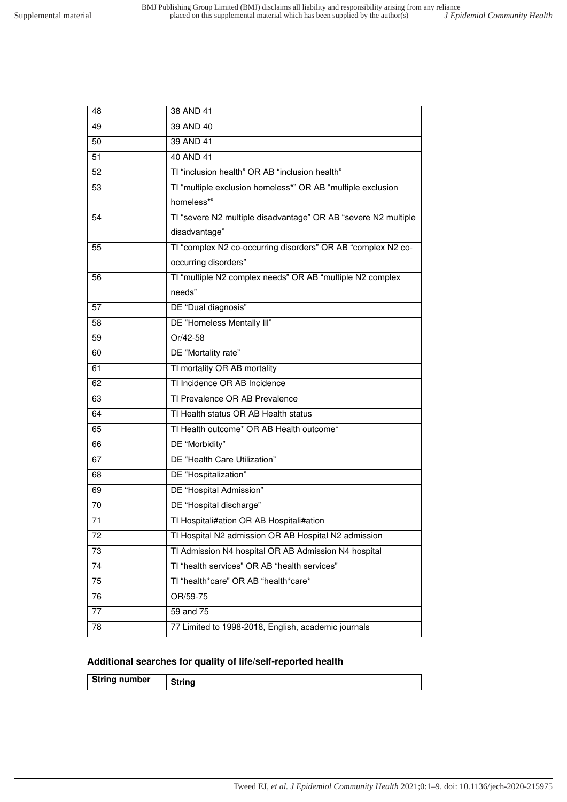| 48              | 38 AND 41                                                      |
|-----------------|----------------------------------------------------------------|
| 49              | 39 AND 40                                                      |
| 50              | 39 AND 41                                                      |
| $\overline{51}$ | 40 AND 41                                                      |
| 52              | TI "inclusion health" OR AB "inclusion health"                 |
| 53              | TI "multiple exclusion homeless*" OR AB "multiple exclusion    |
|                 | homeless*"                                                     |
| 54              | TI "severe N2 multiple disadvantage" OR AB "severe N2 multiple |
|                 | disadvantage"                                                  |
| 55              | TI "complex N2 co-occurring disorders" OR AB "complex N2 co-   |
|                 | occurring disorders"                                           |
| 56              | TI "multiple N2 complex needs" OR AB "multiple N2 complex      |
|                 | needs"                                                         |
| 57              | DE "Dual diagnosis"                                            |
| 58              | DE "Homeless Mentally III"                                     |
| 59              | Or/42-58                                                       |
| 60              | DE "Mortality rate"                                            |
| 61              | TI mortality OR AB mortality                                   |
| 62              | TI Incidence OR AB Incidence                                   |
| 63              | TI Prevalence OR AB Prevalence                                 |
| 64              | TI Health status OR AB Health status                           |
| 65              | TI Health outcome* OR AB Health outcome*                       |
| 66              | DE "Morbidity"                                                 |
| 67              | DE "Health Care Utilization"                                   |
| 68              | DE "Hospitalization"                                           |
| 69              | DE "Hospital Admission"                                        |
| 70              | DE "Hospital discharge"                                        |
| 71              | TI Hospitali#ation OR AB Hospitali#ation                       |
| 72              | TI Hospital N2 admission OR AB Hospital N2 admission           |
| 73              | TI Admission N4 hospital OR AB Admission N4 hospital           |
| 74              | TI "health services" OR AB "health services"                   |
| 75              | TI "health*care" OR AB "health*care*                           |
| 76              | OR/59-75                                                       |
| 77              | 59 and 75                                                      |
| 78              | 77 Limited to 1998-2018, English, academic journals            |
|                 |                                                                |

## **Additional searches for quality of life/self-reported health**

| <b>String number</b> |  |
|----------------------|--|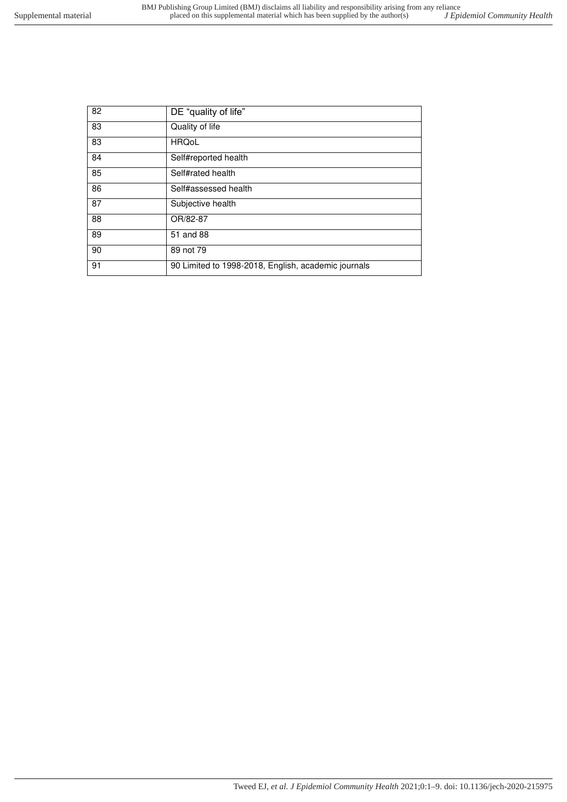| 82 | DE "quality of life"                                |
|----|-----------------------------------------------------|
| 83 | Quality of life                                     |
| 83 | <b>HRQoL</b>                                        |
| 84 | Self#reported health                                |
| 85 | Self#rated health                                   |
| 86 | Self#assessed health                                |
| 87 | Subjective health                                   |
| 88 | OR/82-87                                            |
| 89 | 51 and 88                                           |
| 90 | 89 not 79                                           |
| 91 | 90 Limited to 1998-2018, English, academic journals |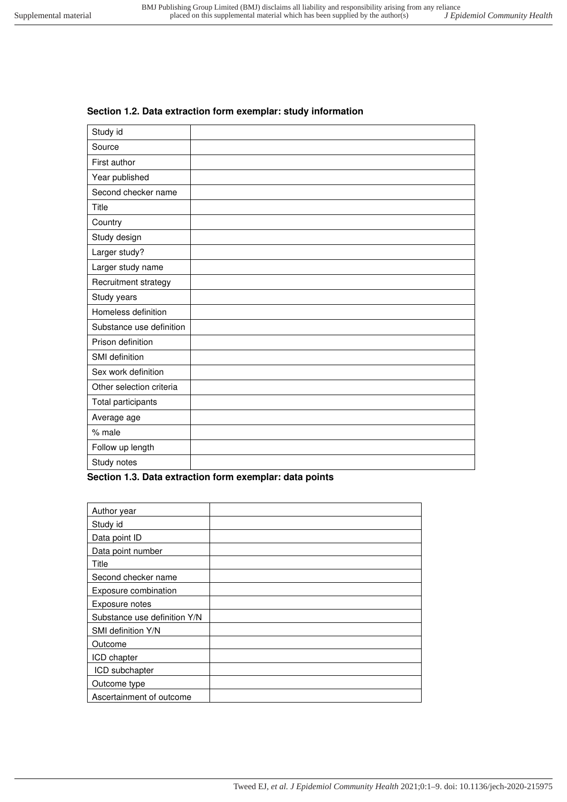# Study id Source First author Year published Second checker name Title **Country** Study design Larger study? Larger study name Recruitment strategy

#### **Section 1.2. Data extraction form exemplar: study information**

| $\sim$ $\sim$ $\sim$ $\sim$ $\sim$ $\sim$ $\sim$ |  |
|--------------------------------------------------|--|
| Larger study?                                    |  |
| Larger study name                                |  |
| Recruitment strategy                             |  |
| Study years                                      |  |
| Homeless definition                              |  |
| Substance use definition                         |  |
| Prison definition                                |  |
| SMI definition                                   |  |
| Sex work definition                              |  |
| Other selection criteria                         |  |
| Total participants                               |  |
| Average age                                      |  |
| $%$ male                                         |  |
| Follow up length                                 |  |
| Study notes                                      |  |

#### <span id="page-7-0"></span>**Section 1.3. Data extraction form exemplar: data points**

| Author year                  |  |
|------------------------------|--|
| Study id                     |  |
| Data point ID                |  |
| Data point number            |  |
| Title                        |  |
| Second checker name          |  |
| Exposure combination         |  |
| Exposure notes               |  |
| Substance use definition Y/N |  |
| SMI definition Y/N           |  |
| Outcome                      |  |
| ICD chapter                  |  |
| ICD subchapter               |  |
| Outcome type                 |  |
| Ascertainment of outcome     |  |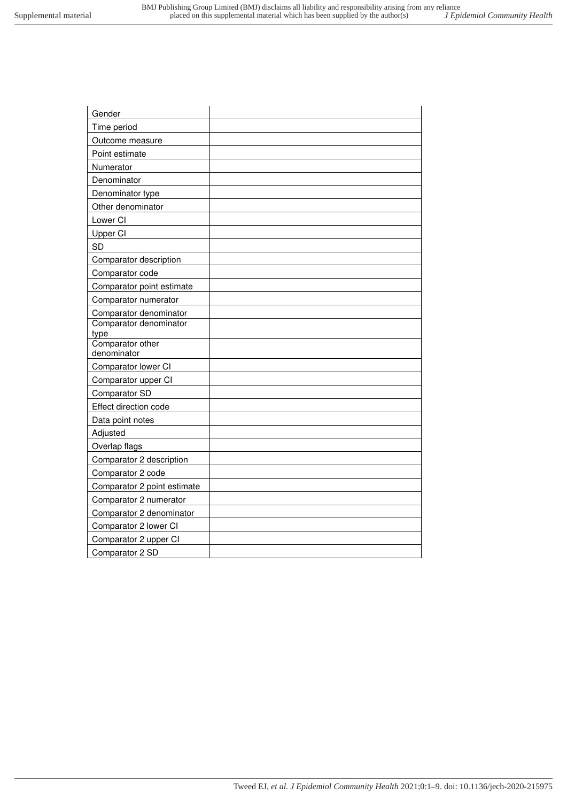| Gender                         |  |
|--------------------------------|--|
| Time period                    |  |
| Outcome measure                |  |
| Point estimate                 |  |
| Numerator                      |  |
| Denominator                    |  |
| Denominator type               |  |
| Other denominator              |  |
| Lower CI                       |  |
| Upper CI                       |  |
| <b>SD</b>                      |  |
| Comparator description         |  |
| Comparator code                |  |
| Comparator point estimate      |  |
| Comparator numerator           |  |
| Comparator denominator         |  |
| Comparator denominator<br>type |  |
| Comparator other               |  |
| denominator                    |  |
| Comparator lower CI            |  |
| Comparator upper CI            |  |
| Comparator SD                  |  |
| Effect direction code          |  |
| Data point notes               |  |
| Adjusted                       |  |
| Overlap flags                  |  |
| Comparator 2 description       |  |
| Comparator 2 code              |  |
| Comparator 2 point estimate    |  |
| Comparator 2 numerator         |  |
| Comparator 2 denominator       |  |
| Comparator 2 lower CI          |  |
| Comparator 2 upper CI          |  |
| Comparator 2 SD                |  |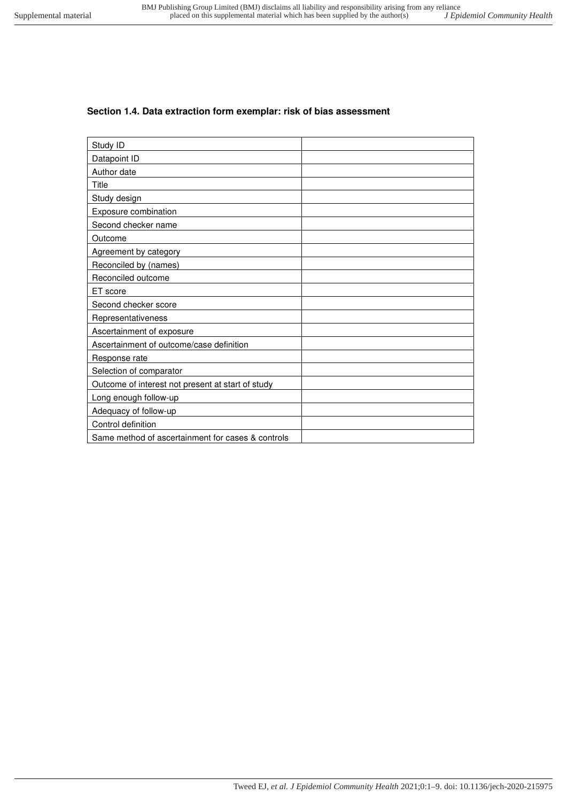## <span id="page-9-0"></span>**Section 1.4. Data extraction form exemplar: risk of bias assessment**

| Study ID                                          |  |
|---------------------------------------------------|--|
| Datapoint ID                                      |  |
| Author date                                       |  |
| Title                                             |  |
| Study design                                      |  |
| Exposure combination                              |  |
| Second checker name                               |  |
| Outcome                                           |  |
| Agreement by category                             |  |
| Reconciled by (names)                             |  |
| Reconciled outcome                                |  |
| ET score                                          |  |
| Second checker score                              |  |
| Representativeness                                |  |
| Ascertainment of exposure                         |  |
| Ascertainment of outcome/case definition          |  |
| Response rate                                     |  |
| Selection of comparator                           |  |
| Outcome of interest not present at start of study |  |
| Long enough follow-up                             |  |
| Adequacy of follow-up                             |  |
| Control definition                                |  |
| Same method of ascertainment for cases & controls |  |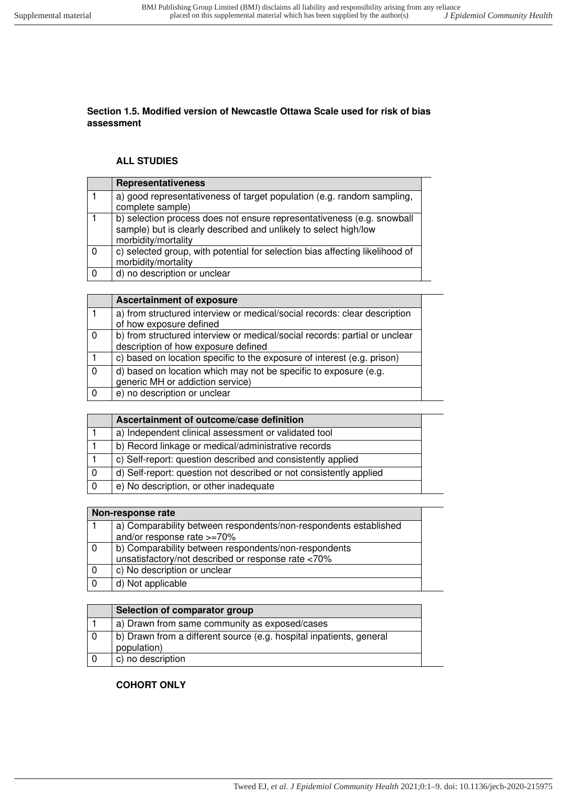#### **Section 1.5. Modified version of Newcastle Ottawa Scale used for risk of bias assessment**

#### **ALL STUDIES**

|          | Representativeness                                                                                                                                                |
|----------|-------------------------------------------------------------------------------------------------------------------------------------------------------------------|
|          | a) good representativeness of target population (e.g. random sampling,<br>complete sample)                                                                        |
|          | b) selection process does not ensure representativeness (e.g. snowball<br>sample) but is clearly described and unlikely to select high/low<br>morbidity/mortality |
| $\Omega$ | c) selected group, with potential for selection bias affecting likelihood of<br>morbidity/mortality                                                               |
|          | d) no description or unclear                                                                                                                                      |

|                | <b>Ascertainment of exposure</b>                                                                                  |
|----------------|-------------------------------------------------------------------------------------------------------------------|
|                | a) from structured interview or medical/social records: clear description<br>of how exposure defined              |
| $\overline{0}$ | b) from structured interview or medical/social records: partial or unclear<br>description of how exposure defined |
|                | c) based on location specific to the exposure of interest (e.g. prison)                                           |
| $\mathbf{0}$   | d) based on location which may not be specific to exposure (e.g.<br>generic MH or addiction service)              |
| -0             | e) no description or unclear                                                                                      |

| Ascertainment of outcome/case definition                           |  |
|--------------------------------------------------------------------|--|
| a) Independent clinical assessment or validated tool               |  |
| b) Record linkage or medical/administrative records                |  |
| c) Self-report: question described and consistently applied        |  |
| d) Self-report: question not described or not consistently applied |  |
| e) No description, or other inadequate                             |  |

|     | Non-response rate                                                |  |
|-----|------------------------------------------------------------------|--|
|     | a) Comparability between respondents/non-respondents established |  |
|     | and/or response rate >=70%                                       |  |
| - 0 | b) Comparability between respondents/non-respondents             |  |
|     | unsatisfactory/not described or response rate <70%               |  |
|     | c) No description or unclear                                     |  |
|     | d) Not applicable                                                |  |

|     | Selection of comparator group                                                      |
|-----|------------------------------------------------------------------------------------|
|     | a) Drawn from same community as exposed/cases                                      |
|     | b) Drawn from a different source (e.g. hospital inpatients, general<br>population) |
| - 0 | c) no description                                                                  |

#### **COHORT ONLY**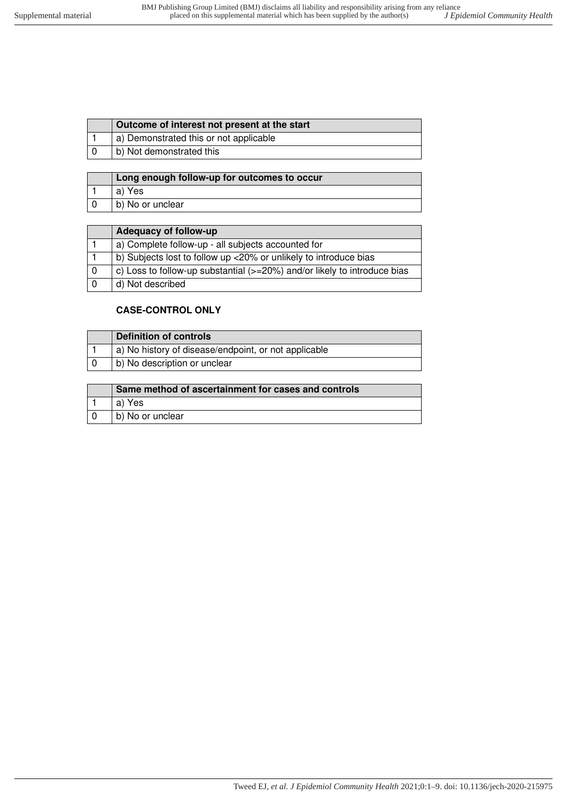| a) Demonstrated this or not applicable<br>b) Not demonstrated this | Outcome of interest not present at the start |
|--------------------------------------------------------------------|----------------------------------------------|
|                                                                    |                                              |
|                                                                    |                                              |

| Long enough follow-up for outcomes to occur |
|---------------------------------------------|
| a) Yes                                      |
| b) No or unclear                            |

| Adequacy of follow-up                                                    |
|--------------------------------------------------------------------------|
| a) Complete follow-up - all subjects accounted for                       |
| b) Subjects lost to follow up <20% or unlikely to introduce bias         |
| c) Loss to follow-up substantial (>=20%) and/or likely to introduce bias |
| d) Not described                                                         |

### **CASE-CONTROL ONLY**

| Definition of controls                               |
|------------------------------------------------------|
| a) No history of disease/endpoint, or not applicable |
| b) No description or unclear                         |

| Same method of ascertainment for cases and controls |
|-----------------------------------------------------|
| a) Yes                                              |
| b) No or unclear                                    |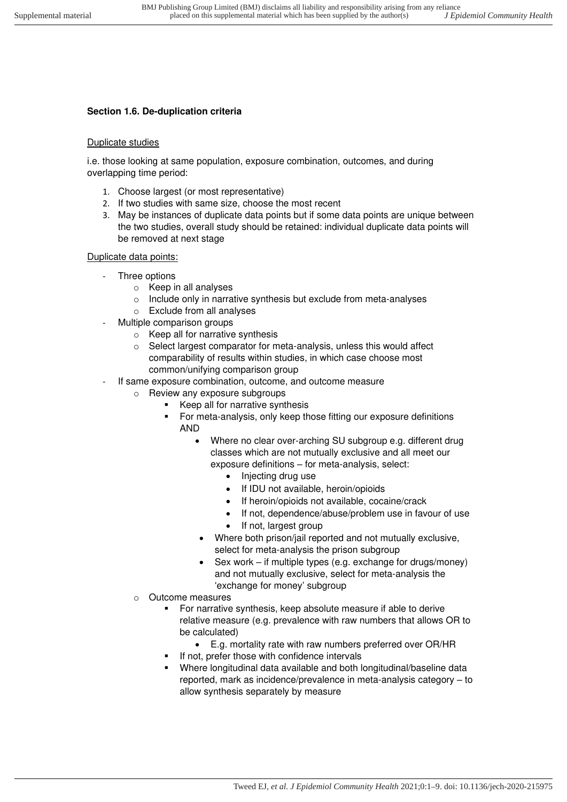# <span id="page-12-0"></span>**Section 1.6. De-duplication criteria**

#### Duplicate studies

i.e. those looking at same population, exposure combination, outcomes, and during overlapping time period:

- 1. Choose largest (or most representative)
- 2. If two studies with same size, choose the most recent
- 3. May be instances of duplicate data points but if some data points are unique between the two studies, overall study should be retained: individual duplicate data points will be removed at next stage

#### Duplicate data points:

- Three options
	- o Keep in all analyses
	- o Include only in narrative synthesis but exclude from meta-analyses
	- o Exclude from all analyses
- Multiple comparison groups
	- o Keep all for narrative synthesis
	- o Select largest comparator for meta-analysis, unless this would affect comparability of results within studies, in which case choose most common/unifying comparison group
- If same exposure combination, outcome, and outcome measure
	- o Review any exposure subgroups
		- Keep all for narrative synthesis
		- For meta-analysis, only keep those fitting our exposure definitions AND
			- Where no clear over-arching SU subgroup e.g. different drug classes which are not mutually exclusive and all meet our exposure definitions – for meta-analysis, select:
				- Injecting drug use
				- If IDU not available, heroin/opioids
				- If heroin/opioids not available, cocaine/crack
				- If not, dependence/abuse/problem use in favour of use
				- If not, largest group
				- Where both prison/jail reported and not mutually exclusive, select for meta-analysis the prison subgroup
			- Sex work if multiple types (e.g. exchange for drugs/money) and not mutually exclusive, select for meta-analysis the 'exchange for money' subgroup
	- o Outcome measures
		- For narrative synthesis, keep absolute measure if able to derive relative measure (e.g. prevalence with raw numbers that allows OR to be calculated)
			- E.g. mortality rate with raw numbers preferred over OR/HR
		- If not, prefer those with confidence intervals
		- Where longitudinal data available and both longitudinal/baseline data reported, mark as incidence/prevalence in meta-analysis category – to allow synthesis separately by measure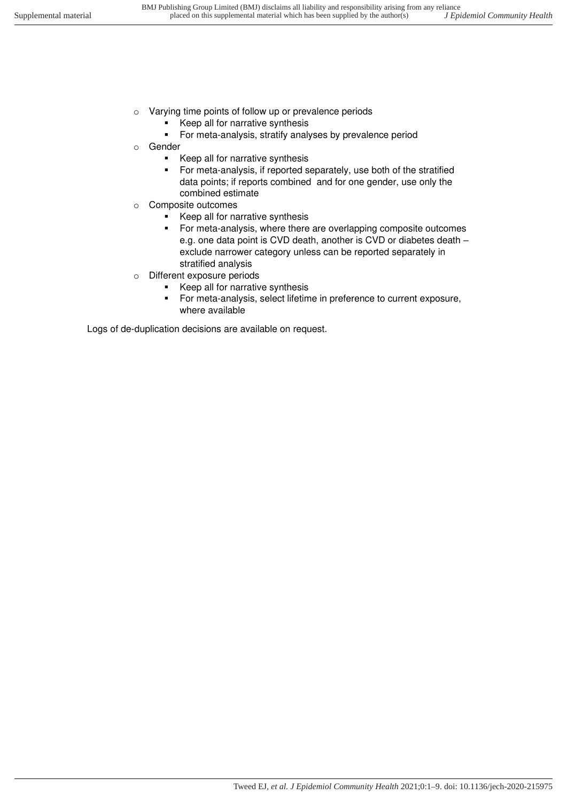- o Varying time points of follow up or prevalence periods
	- Keep all for narrative synthesis
	- For meta-analysis, stratify analyses by prevalence period
- o Gender
	- Keep all for narrative synthesis
	- For meta-analysis, if reported separately, use both of the stratified data points; if reports combined and for one gender, use only the combined estimate
- o Composite outcomes
	- Keep all for narrative synthesis
	- For meta-analysis, where there are overlapping composite outcomes e.g. one data point is CVD death, another is CVD or diabetes death – exclude narrower category unless can be reported separately in stratified analysis
- o Different exposure periods
	- Keep all for narrative synthesis
	- For meta-analysis, select lifetime in preference to current exposure, where available

Logs of de-duplication decisions are available on request.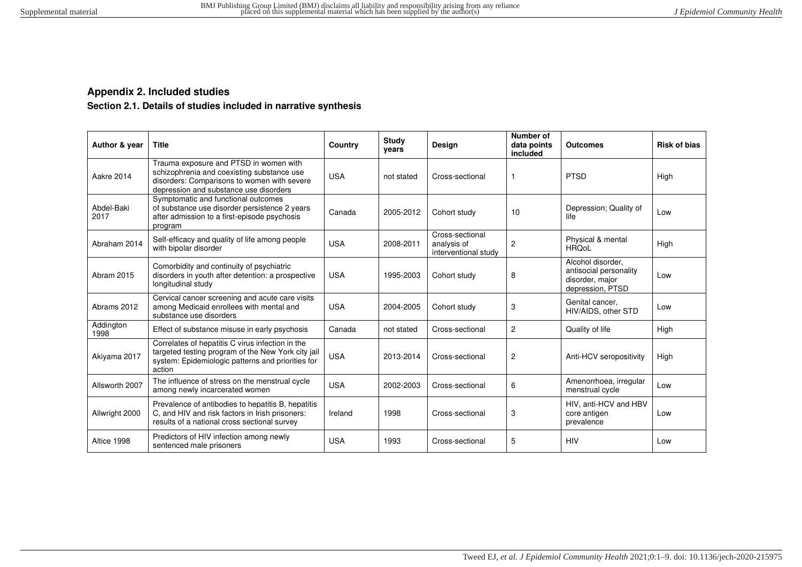## **Appendix 2. Included studies**

# **Section 2.1. Details of studies included in narrative synthesis**

<span id="page-14-1"></span><span id="page-14-0"></span>

| Author & year      | <b>Title</b>                                                                                                                                                                  | Country    | Study<br>years | Design                                                 | Number of<br>data points<br>included | <b>Outcomes</b>                                                                    | <b>Risk of bias</b> |
|--------------------|-------------------------------------------------------------------------------------------------------------------------------------------------------------------------------|------------|----------------|--------------------------------------------------------|--------------------------------------|------------------------------------------------------------------------------------|---------------------|
| Aakre 2014         | Trauma exposure and PTSD in women with<br>schizophrenia and coexisting substance use<br>disorders: Comparisons to women with severe<br>depression and substance use disorders | <b>USA</b> | not stated     | Cross-sectional                                        | 1                                    | <b>PTSD</b>                                                                        | High                |
| Abdel-Baki<br>2017 | Symptomatic and functional outcomes<br>of substance use disorder persistence 2 years<br>after admission to a first-episode psychosis<br>program                               | Canada     | 2005-2012      | Cohort study                                           | 10                                   | Depression; Quality of<br>life                                                     | Low                 |
| Abraham 2014       | Self-efficacy and quality of life among people<br>with bipolar disorder                                                                                                       | <b>USA</b> | 2008-2011      | Cross-sectional<br>analysis of<br>interventional study | $\overline{2}$                       | Physical & mental<br><b>HROoL</b>                                                  | High                |
| Abram 2015         | Comorbidity and continuity of psychiatric<br>disorders in youth after detention: a prospective<br>longitudinal study                                                          | <b>USA</b> | 1995-2003      | Cohort study                                           | 8                                    | Alcohol disorder.<br>antisocial personality<br>disorder, major<br>depression, PTSD | Low                 |
| Abrams 2012        | Cervical cancer screening and acute care visits<br>among Medicaid enrollees with mental and<br>substance use disorders                                                        | <b>USA</b> | 2004-2005      | Cohort study                                           | 3                                    | Genital cancer,<br>HIV/AIDS, other STD                                             | Low                 |
| Addington<br>1998  | Effect of substance misuse in early psychosis                                                                                                                                 | Canada     | not stated     | Cross-sectional                                        | $\overline{2}$                       | Quality of life                                                                    | High                |
| Akiyama 2017       | Correlates of hepatitis C virus infection in the<br>targeted testing program of the New York city jail<br>system: Epidemiologic patterns and priorities for<br>action         | <b>USA</b> | 2013-2014      | Cross-sectional                                        | $\overline{2}$                       | Anti-HCV seropositivity                                                            | <b>High</b>         |
| Allsworth 2007     | The influence of stress on the menstrual cycle<br>among newly incarcerated women                                                                                              | <b>USA</b> | 2002-2003      | Cross-sectional                                        | 6                                    | Amenorrhoea, irregular<br>menstrual cycle                                          | Low                 |
| Allwright 2000     | Prevalence of antibodies to hepatitis B, hepatitis<br>C, and HIV and risk factors in Irish prisoners:<br>results of a national cross sectional survey                         | Ireland    | 1998           | Cross-sectional                                        | 3                                    | HIV, anti-HCV and HBV<br>core antigen<br>prevalence                                | Low                 |
| Altice 1998        | Predictors of HIV infection among newly<br>sentenced male prisoners                                                                                                           | <b>USA</b> | 1993           | Cross-sectional                                        | 5                                    | <b>HIV</b>                                                                         | Low                 |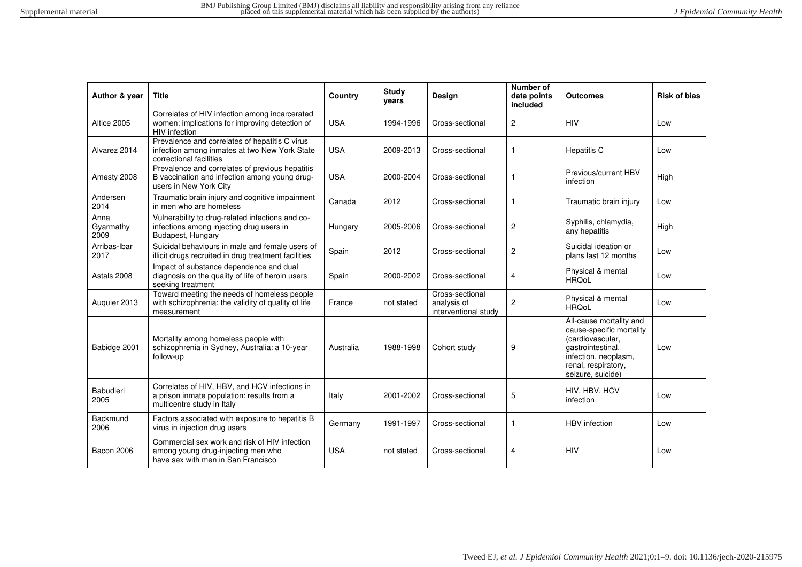| Author & year             | <b>Title</b>                                                                                                               | Country    | Study<br>years | Design                                                 | Number of<br>data points<br>included | <b>Outcomes</b>                                                                                                                                                  | <b>Risk of bias</b> |
|---------------------------|----------------------------------------------------------------------------------------------------------------------------|------------|----------------|--------------------------------------------------------|--------------------------------------|------------------------------------------------------------------------------------------------------------------------------------------------------------------|---------------------|
| Altice 2005               | Correlates of HIV infection among incarcerated<br>women: implications for improving detection of<br><b>HIV</b> infection   | <b>USA</b> | 1994-1996      | Cross-sectional                                        | $\overline{c}$                       | <b>HIV</b>                                                                                                                                                       | Low                 |
| Alvarez 2014              | Prevalence and correlates of hepatitis C virus<br>infection among inmates at two New York State<br>correctional facilities | <b>USA</b> | 2009-2013      | Cross-sectional                                        | $\mathbf{1}$                         | <b>Hepatitis C</b>                                                                                                                                               | Low                 |
| Amesty 2008               | Prevalence and correlates of previous hepatitis<br>B vaccination and infection among young drug-<br>users in New York City | <b>USA</b> | 2000-2004      | Cross-sectional                                        |                                      | Previous/current HBV<br>infection                                                                                                                                | High                |
| Andersen<br>2014          | Traumatic brain injury and cognitive impairment<br>in men who are homeless                                                 | Canada     | 2012           | Cross-sectional                                        | $\mathbf{1}$                         | Traumatic brain injury                                                                                                                                           | Low                 |
| Anna<br>Gyarmathy<br>2009 | Vulnerability to drug-related infections and co-<br>infections among injecting drug users in<br>Budapest, Hungary          | Hungary    | 2005-2006      | Cross-sectional                                        | $\overline{2}$                       | Syphilis, chlamydia,<br>any hepatitis                                                                                                                            | High                |
| Arribas-Ibar<br>2017      | Suicidal behaviours in male and female users of<br>illicit drugs recruited in drug treatment facilities                    | Spain      | 2012           | Cross-sectional                                        | $\overline{2}$                       | Suicidal ideation or<br>plans last 12 months                                                                                                                     | Low                 |
| Astals 2008               | Impact of substance dependence and dual<br>diagnosis on the quality of life of heroin users<br>seeking treatment           | Spain      | 2000-2002      | Cross-sectional                                        | 4                                    | Physical & mental<br><b>HRQoL</b>                                                                                                                                | Low                 |
| Auguier 2013              | Toward meeting the needs of homeless people<br>with schizophrenia: the validity of quality of life<br>measurement          | France     | not stated     | Cross-sectional<br>analysis of<br>interventional study | 2                                    | Physical & mental<br><b>HRQoL</b>                                                                                                                                | Low                 |
| Babidge 2001              | Mortality among homeless people with<br>schizophrenia in Sydney, Australia: a 10-year<br>follow-up                         | Australia  | 1988-1998      | Cohort study                                           | 9                                    | All-cause mortality and<br>cause-specific mortality<br>(cardiovascular,<br>gastrointestinal,<br>infection, neoplasm,<br>renal, respiratory,<br>seizure, suicide) | Low                 |
| <b>Babudieri</b><br>2005  | Correlates of HIV, HBV, and HCV infections in<br>a prison inmate population: results from a<br>multicentre study in Italy  | Italy      | 2001-2002      | Cross-sectional                                        | 5                                    | HIV, HBV, HCV<br>infection                                                                                                                                       | Low                 |
| Backmund<br>2006          | Factors associated with exposure to hepatitis B<br>virus in injection drug users                                           | Germany    | 1991-1997      | Cross-sectional                                        | $\mathbf{1}$                         | <b>HBV</b> infection                                                                                                                                             | Low                 |
| Bacon 2006                | Commercial sex work and risk of HIV infection<br>among young drug-injecting men who<br>have sex with men in San Francisco  | <b>USA</b> | not stated     | Cross-sectional                                        | 4                                    | <b>HIV</b>                                                                                                                                                       | Low                 |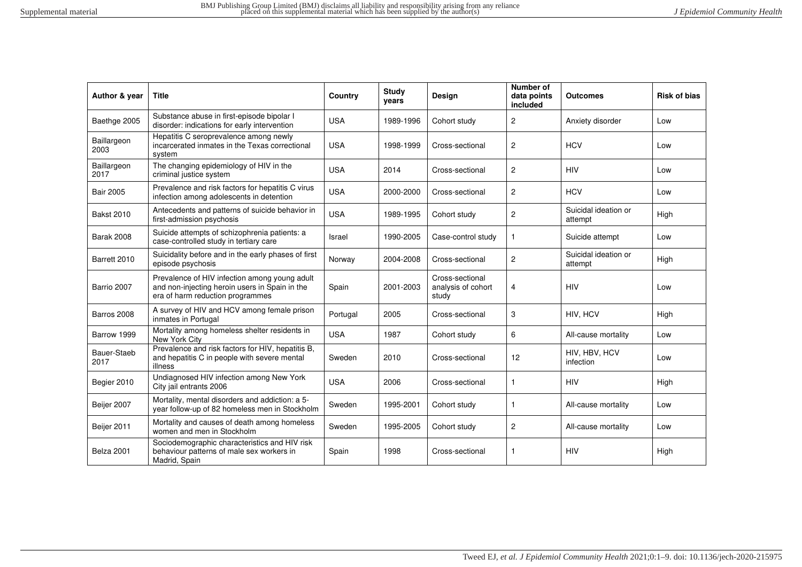| Author & year       | <b>Title</b>                                                                                                                        | Country    | <b>Study</b><br>years | Design                                         | Number of<br>data points<br>included | Outcomes                        | <b>Risk of bias</b> |
|---------------------|-------------------------------------------------------------------------------------------------------------------------------------|------------|-----------------------|------------------------------------------------|--------------------------------------|---------------------------------|---------------------|
| Baethge 2005        | Substance abuse in first-episode bipolar I<br>disorder: indications for early intervention                                          | <b>USA</b> | 1989-1996             | Cohort study                                   | $\overline{c}$                       | Anxiety disorder                | Low                 |
| Baillargeon<br>2003 | Hepatitis C seroprevalence among newly<br>incarcerated inmates in the Texas correctional<br>system                                  | <b>USA</b> | 1998-1999             | Cross-sectional                                | $\overline{c}$                       | <b>HCV</b>                      | Low                 |
| Baillargeon<br>2017 | The changing epidemiology of HIV in the<br>criminal justice system                                                                  | <b>USA</b> | 2014                  | Cross-sectional                                | $\overline{c}$                       | <b>HIV</b>                      | Low                 |
| <b>Bair 2005</b>    | Prevalence and risk factors for hepatitis C virus<br>infection among adolescents in detention                                       | <b>USA</b> | 2000-2000             | Cross-sectional                                | 2                                    | <b>HCV</b>                      | Low                 |
| <b>Bakst 2010</b>   | Antecedents and patterns of suicide behavior in<br>first-admission psychosis                                                        | <b>USA</b> | 1989-1995             | Cohort study                                   | $\overline{c}$                       | Suicidal ideation or<br>attempt | High                |
| <b>Barak 2008</b>   | Suicide attempts of schizophrenia patients: a<br>case-controlled study in tertiary care                                             | Israel     | 1990-2005             | Case-control study                             | $\mathbf{1}$                         | Suicide attempt                 | Low                 |
| Barrett 2010        | Suicidality before and in the early phases of first<br>episode psychosis                                                            | Norway     | 2004-2008             | Cross-sectional                                | $\overline{c}$                       | Suicidal ideation or<br>attempt | High                |
| Barrio 2007         | Prevalence of HIV infection among young adult<br>and non-injecting heroin users in Spain in the<br>era of harm reduction programmes | Spain      | 2001-2003             | Cross-sectional<br>analysis of cohort<br>study | 4                                    | <b>HIV</b>                      | Low                 |
| Barros 2008         | A survey of HIV and HCV among female prison<br>inmates in Portugal                                                                  | Portugal   | 2005                  | Cross-sectional                                | 3                                    | HIV, HCV                        | High                |
| Barrow 1999         | Mortality among homeless shelter residents in<br>New York City                                                                      | <b>USA</b> | 1987                  | Cohort study                                   | 6                                    | All-cause mortality             | Low                 |
| Bauer-Staeb<br>2017 | Prevalence and risk factors for HIV, hepatitis B,<br>and hepatitis C in people with severe mental<br>illness                        | Sweden     | 2010                  | Cross-sectional                                | 12                                   | HIV, HBV, HCV<br>infection      | Low                 |
| Begier 2010         | Undiagnosed HIV infection among New York<br>City jail entrants 2006                                                                 | <b>USA</b> | 2006                  | Cross-sectional                                | $\mathbf{1}$                         | <b>HIV</b>                      | High                |
| Beijer 2007         | Mortality, mental disorders and addiction: a 5-<br>year follow-up of 82 homeless men in Stockholm                                   | Sweden     | 1995-2001             | Cohort study                                   | $\mathbf{1}$                         | All-cause mortality             | Low                 |
| Beijer 2011         | Mortality and causes of death among homeless<br>women and men in Stockholm                                                          | Sweden     | 1995-2005             | Cohort study                                   | $\overline{c}$                       | All-cause mortality             | Low                 |
| Belza 2001          | Sociodemographic characteristics and HIV risk<br>behaviour patterns of male sex workers in<br>Madrid, Spain                         | Spain      | 1998                  | Cross-sectional                                | $\mathbf{1}$                         | <b>HIV</b>                      | High                |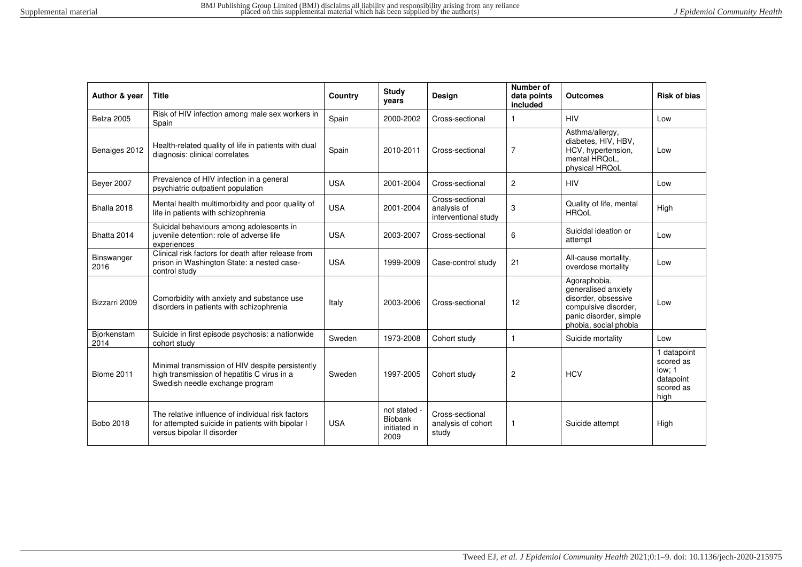| Author & year       | <b>Title</b>                                                                                                                        | Country    | <b>Study</b><br>years                           | Design                                                 | Number of<br>data points<br>included | <b>Outcomes</b>                                                                                                                       | <b>Risk of bias</b>                                                  |
|---------------------|-------------------------------------------------------------------------------------------------------------------------------------|------------|-------------------------------------------------|--------------------------------------------------------|--------------------------------------|---------------------------------------------------------------------------------------------------------------------------------------|----------------------------------------------------------------------|
| Belza 2005          | Risk of HIV infection among male sex workers in<br>Spain                                                                            | Spain      | 2000-2002                                       | Cross-sectional                                        |                                      | <b>HIV</b>                                                                                                                            | Low                                                                  |
| Benaiges 2012       | Health-related quality of life in patients with dual<br>diagnosis: clinical correlates                                              | Spain      | 2010-2011                                       | Cross-sectional                                        | $\overline{7}$                       | Asthma/allergy,<br>diabetes, HIV, HBV,<br>HCV, hypertension,<br>mental HRQoL.<br>physical HRQoL                                       | Low                                                                  |
| <b>Beyer 2007</b>   | Prevalence of HIV infection in a general<br>psychiatric outpatient population                                                       | <b>USA</b> | 2001-2004                                       | Cross-sectional                                        | $\overline{2}$                       | <b>HIV</b>                                                                                                                            | Low                                                                  |
| Bhalla 2018         | Mental health multimorbidity and poor quality of<br>life in patients with schizophrenia                                             | <b>USA</b> | 2001-2004                                       | Cross-sectional<br>analysis of<br>interventional study | 3                                    | Quality of life, mental<br><b>HRQoL</b>                                                                                               | High                                                                 |
| Bhatta 2014         | Suicidal behaviours among adolescents in<br>juvenile detention: role of adverse life<br>experiences                                 | <b>USA</b> | 2003-2007                                       | Cross-sectional                                        | 6                                    | Suicidal ideation or<br>attempt                                                                                                       | Low                                                                  |
| Binswanger<br>2016  | Clinical risk factors for death after release from<br>prison in Washington State: a nested case-<br>control study                   | <b>USA</b> | 1999-2009                                       | Case-control study                                     | 21                                   | All-cause mortality,<br>overdose mortality                                                                                            | Low                                                                  |
| Bizzarri 2009       | Comorbidity with anxiety and substance use<br>disorders in patients with schizophrenia                                              | Italy      | 2003-2006                                       | Cross-sectional                                        | 12                                   | Agoraphobia,<br>generalised anxiety<br>disorder, obsessive<br>compulsive disorder,<br>panic disorder, simple<br>phobia, social phobia | Low                                                                  |
| Biorkenstam<br>2014 | Suicide in first episode psychosis: a nationwide<br>cohort study                                                                    | Sweden     | 1973-2008                                       | Cohort study                                           | $\overline{1}$                       | Suicide mortality                                                                                                                     | Low                                                                  |
| <b>Blome 2011</b>   | Minimal transmission of HIV despite persistently<br>high transmission of hepatitis C virus in a<br>Swedish needle exchange program  | Sweden     | 1997-2005                                       | Cohort study                                           | $\overline{c}$                       | <b>HCV</b>                                                                                                                            | 1 datapoint<br>scored as<br>low: 1<br>datapoint<br>scored as<br>high |
| Bobo 2018           | The relative influence of individual risk factors<br>for attempted suicide in patients with bipolar I<br>versus bipolar II disorder | <b>USA</b> | not stated -<br>Biobank<br>initiated in<br>2009 | Cross-sectional<br>analysis of cohort<br>study         | $\mathbf{1}$                         | Suicide attempt                                                                                                                       | High                                                                 |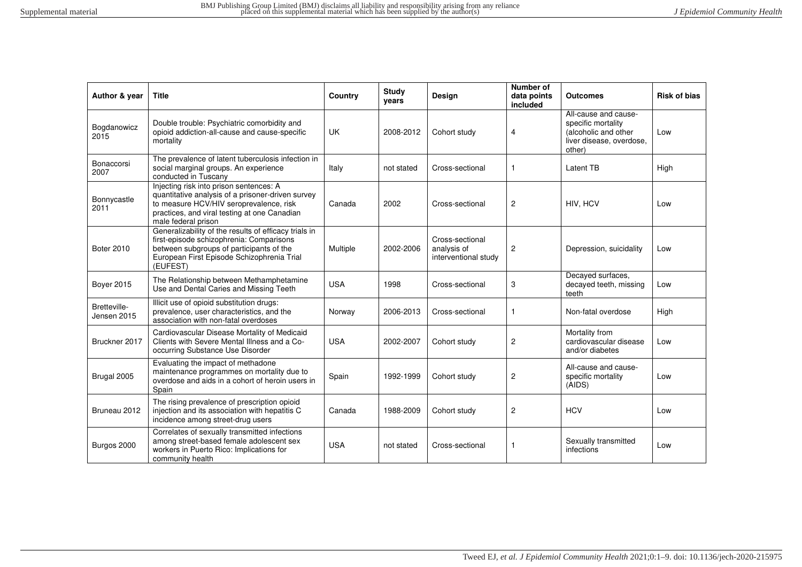| Author & year               | <b>Title</b>                                                                                                                                                                                                   | Country    | Study<br>years | Design                                                 | Number of<br>data points<br>included | <b>Outcomes</b>                                                                                          | <b>Risk of bias</b> |
|-----------------------------|----------------------------------------------------------------------------------------------------------------------------------------------------------------------------------------------------------------|------------|----------------|--------------------------------------------------------|--------------------------------------|----------------------------------------------------------------------------------------------------------|---------------------|
| Bogdanowicz<br>2015         | Double trouble: Psychiatric comorbidity and<br>opioid addiction-all-cause and cause-specific<br>mortality                                                                                                      | <b>UK</b>  | 2008-2012      | Cohort study                                           | 4                                    | All-cause and cause-<br>specific mortality<br>(alcoholic and other<br>liver disease, overdose,<br>other) | Low                 |
| Bonaccorsi<br>2007          | The prevalence of latent tuberculosis infection in<br>social marginal groups. An experience<br>conducted in Tuscany                                                                                            | Italy      | not stated     | Cross-sectional                                        | 1                                    | Latent TB                                                                                                | High                |
| Bonnycastle<br>2011         | Injecting risk into prison sentences: A<br>quantitative analysis of a prisoner-driven survey<br>to measure HCV/HIV seroprevalence, risk<br>practices, and viral testing at one Canadian<br>male federal prison | Canada     | 2002           | Cross-sectional                                        | $\overline{c}$                       | HIV, HCV                                                                                                 | Low                 |
| <b>Boter 2010</b>           | Generalizability of the results of efficacy trials in<br>first-episode schizophrenia: Comparisons<br>between subgroups of participants of the<br>European First Episode Schizophrenia Trial<br>(EUFEST)        | Multiple   | 2002-2006      | Cross-sectional<br>analysis of<br>interventional study | 2                                    | Depression, suicidality                                                                                  | Low                 |
| <b>Bover 2015</b>           | The Relationship between Methamphetamine<br>Use and Dental Caries and Missing Teeth                                                                                                                            | <b>USA</b> | 1998           | Cross-sectional                                        | 3                                    | Decayed surfaces,<br>decayed teeth, missing<br>teeth                                                     | Low                 |
| Bretteville-<br>Jensen 2015 | Illicit use of opioid substitution drugs:<br>prevalence, user characteristics, and the<br>association with non-fatal overdoses                                                                                 | Norway     | 2006-2013      | Cross-sectional                                        | $\mathbf{1}$                         | Non-fatal overdose                                                                                       | High                |
| Bruckner 2017               | Cardiovascular Disease Mortality of Medicaid<br>Clients with Severe Mental Illness and a Co-<br>occurring Substance Use Disorder                                                                               | <b>USA</b> | 2002-2007      | Cohort study                                           | $\overline{c}$                       | Mortality from<br>cardiovascular disease<br>and/or diabetes                                              | Low                 |
| Brugal 2005                 | Evaluating the impact of methadone<br>maintenance programmes on mortality due to<br>overdose and aids in a cohort of heroin users in<br>Spain                                                                  | Spain      | 1992-1999      | Cohort study                                           | $\overline{\mathbf{c}}$              | All-cause and cause-<br>specific mortality<br>(AIDS)                                                     | Low                 |
| Bruneau 2012                | The rising prevalence of prescription opioid<br>injection and its association with hepatitis C<br>incidence among street-drug users                                                                            | Canada     | 1988-2009      | Cohort study                                           | $\overline{c}$                       | <b>HCV</b>                                                                                               | Low                 |
| Burgos 2000                 | Correlates of sexually transmitted infections<br>among street-based female adolescent sex<br>workers in Puerto Rico: Implications for<br>community health                                                      | <b>USA</b> | not stated     | Cross-sectional                                        | $\mathbf{1}$                         | Sexually transmitted<br>infections                                                                       | Low                 |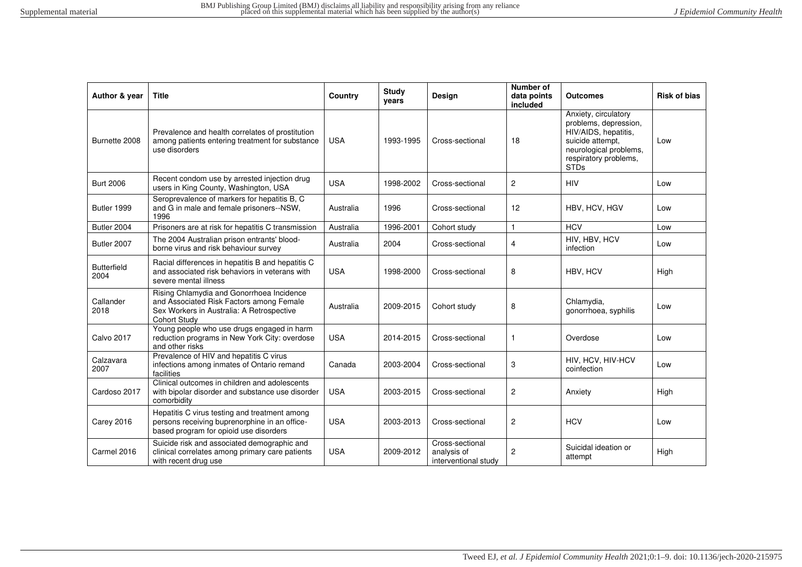| Author & year              | Title                                                                                                                                                     | Country    | Study<br>years | Design                                                 | Number of<br>data points<br>included | <b>Outcomes</b>                                                                                                                                             | <b>Risk of bias</b> |
|----------------------------|-----------------------------------------------------------------------------------------------------------------------------------------------------------|------------|----------------|--------------------------------------------------------|--------------------------------------|-------------------------------------------------------------------------------------------------------------------------------------------------------------|---------------------|
| Burnette 2008              | Prevalence and health correlates of prostitution<br>among patients entering treatment for substance<br>use disorders                                      | <b>USA</b> | 1993-1995      | Cross-sectional                                        | 18                                   | Anxiety, circulatory<br>problems, depression,<br>HIV/AIDS, hepatitis,<br>suicide attempt,<br>neurological problems,<br>respiratory problems,<br><b>STDs</b> | Low                 |
| <b>Burt 2006</b>           | Recent condom use by arrested injection drug<br>users in King County, Washington, USA                                                                     | <b>USA</b> | 1998-2002      | Cross-sectional                                        | 2                                    | <b>HIV</b>                                                                                                                                                  | Low                 |
| Butler 1999                | Seroprevalence of markers for hepatitis B, C<br>and G in male and female prisoners--NSW,<br>1996                                                          | Australia  | 1996           | Cross-sectional                                        | 12                                   | HBV, HCV, HGV                                                                                                                                               | Low                 |
| Butler 2004                | Prisoners are at risk for hepatitis C transmission                                                                                                        | Australia  | 1996-2001      | Cohort study                                           | $\mathbf{1}$                         | <b>HCV</b>                                                                                                                                                  | Low                 |
| Butler 2007                | The 2004 Australian prison entrants' blood-<br>borne virus and risk behaviour survey                                                                      | Australia  | 2004           | Cross-sectional                                        | 4                                    | HIV, HBV, HCV<br>infection                                                                                                                                  | Low                 |
| <b>Butterfield</b><br>2004 | Racial differences in hepatitis B and hepatitis C<br>and associated risk behaviors in veterans with<br>severe mental illness                              | <b>USA</b> | 1998-2000      | Cross-sectional                                        | 8                                    | HBV, HCV                                                                                                                                                    | High                |
| Callander<br>2018          | Rising Chlamydia and Gonorrhoea Incidence<br>and Associated Risk Factors among Female<br>Sex Workers in Australia: A Retrospective<br><b>Cohort Study</b> | Australia  | 2009-2015      | Cohort study                                           | 8                                    | Chlamydia,<br>gonorrhoea, syphilis                                                                                                                          | Low                 |
| <b>Calvo 2017</b>          | Young people who use drugs engaged in harm<br>reduction programs in New York City: overdose<br>and other risks                                            | <b>USA</b> | 2014-2015      | Cross-sectional                                        | -1                                   | Overdose                                                                                                                                                    | Low                 |
| Calzavara<br>2007          | Prevalence of HIV and hepatitis C virus<br>infections among inmates of Ontario remand<br>facilities                                                       | Canada     | 2003-2004      | Cross-sectional                                        | 3                                    | HIV, HCV, HIV-HCV<br>coinfection                                                                                                                            | Low                 |
| Cardoso 2017               | Clinical outcomes in children and adolescents<br>with bipolar disorder and substance use disorder<br>comorbidity                                          | <b>USA</b> | 2003-2015      | Cross-sectional                                        | $\overline{c}$                       | Anxiety                                                                                                                                                     | High                |
| <b>Carey 2016</b>          | Hepatitis C virus testing and treatment among<br>persons receiving buprenorphine in an office-<br>based program for opioid use disorders                  | <b>USA</b> | 2003-2013      | Cross-sectional                                        | 2                                    | <b>HCV</b>                                                                                                                                                  | Low                 |
| Carmel 2016                | Suicide risk and associated demographic and<br>clinical correlates among primary care patients<br>with recent drug use                                    | <b>USA</b> | 2009-2012      | Cross-sectional<br>analysis of<br>interventional study | 2                                    | Suicidal ideation or<br>attempt                                                                                                                             | High                |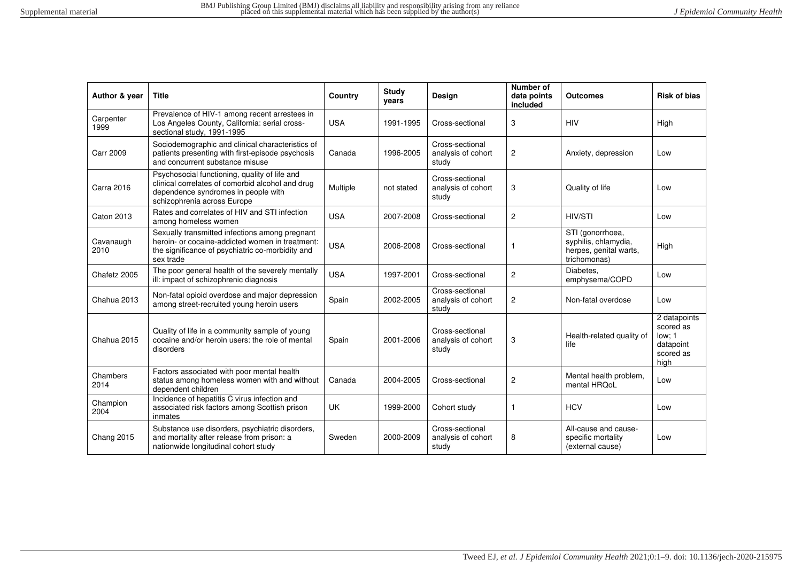| Author & year     | <b>Title</b>                                                                                                                                                            | Country    | <b>Study</b><br>years | <b>Design</b>                                  | Number of<br>data points<br>included | <b>Outcomes</b>                                                                    | <b>Risk of bias</b>                                                   |
|-------------------|-------------------------------------------------------------------------------------------------------------------------------------------------------------------------|------------|-----------------------|------------------------------------------------|--------------------------------------|------------------------------------------------------------------------------------|-----------------------------------------------------------------------|
| Carpenter<br>1999 | Prevalence of HIV-1 among recent arrestees in<br>Los Angeles County, California: serial cross-<br>sectional study, 1991-1995                                            | <b>USA</b> | 1991-1995             | Cross-sectional                                | 3                                    | <b>HIV</b>                                                                         | High                                                                  |
| <b>Carr 2009</b>  | Sociodemographic and clinical characteristics of<br>patients presenting with first-episode psychosis<br>and concurrent substance misuse                                 | Canada     | 1996-2005             | Cross-sectional<br>analysis of cohort<br>study | $\overline{c}$                       | Anxiety, depression                                                                | Low                                                                   |
| <b>Carra 2016</b> | Psychosocial functioning, quality of life and<br>clinical correlates of comorbid alcohol and drug<br>dependence syndromes in people with<br>schizophrenia across Europe | Multiple   | not stated            | Cross-sectional<br>analysis of cohort<br>study | 3                                    | Quality of life                                                                    | Low                                                                   |
| <b>Caton 2013</b> | Rates and correlates of HIV and STI infection<br>among homeless women                                                                                                   | <b>USA</b> | 2007-2008             | Cross-sectional                                | $\overline{2}$                       | HIV/STI                                                                            | Low                                                                   |
| Cavanaugh<br>2010 | Sexually transmitted infections among pregnant<br>heroin- or cocaine-addicted women in treatment:<br>the significance of psychiatric co-morbidity and<br>sex trade      | <b>USA</b> | 2006-2008             | Cross-sectional                                | 1                                    | STI (gonorrhoea,<br>syphilis, chlamydia,<br>herpes, genital warts,<br>trichomonas) | High                                                                  |
| Chafetz 2005      | The poor general health of the severely mentally<br>ill: impact of schizophrenic diagnosis                                                                              | <b>USA</b> | 1997-2001             | Cross-sectional                                | $\overline{2}$                       | Diabetes.<br>emphysema/COPD                                                        | Low                                                                   |
| Chahua 2013       | Non-fatal opioid overdose and major depression<br>among street-recruited young heroin users                                                                             | Spain      | 2002-2005             | Cross-sectional<br>analysis of cohort<br>study | $\overline{c}$                       | Non-fatal overdose                                                                 | Low                                                                   |
| Chahua 2015       | Quality of life in a community sample of young<br>cocaine and/or heroin users: the role of mental<br>disorders                                                          | Spain      | 2001-2006             | Cross-sectional<br>analysis of cohort<br>study | 3                                    | Health-related quality of<br>life                                                  | 2 datapoints<br>scored as<br>low: 1<br>datapoint<br>scored as<br>high |
| Chambers<br>2014  | Factors associated with poor mental health<br>status among homeless women with and without<br>dependent children                                                        | Canada     | 2004-2005             | Cross-sectional                                | $\overline{2}$                       | Mental health problem,<br>mental HRQoL                                             | Low                                                                   |
| Champion<br>2004  | Incidence of hepatitis C virus infection and<br>associated risk factors among Scottish prison<br>inmates                                                                | UK         | 1999-2000             | Cohort study                                   | $\mathbf{1}$                         | <b>HCV</b>                                                                         | Low                                                                   |
| <b>Chang 2015</b> | Substance use disorders, psychiatric disorders,<br>and mortality after release from prison: a<br>nationwide longitudinal cohort study                                   | Sweden     | 2000-2009             | Cross-sectional<br>analysis of cohort<br>study | 8                                    | All-cause and cause-<br>specific mortality<br>(external cause)                     | Low                                                                   |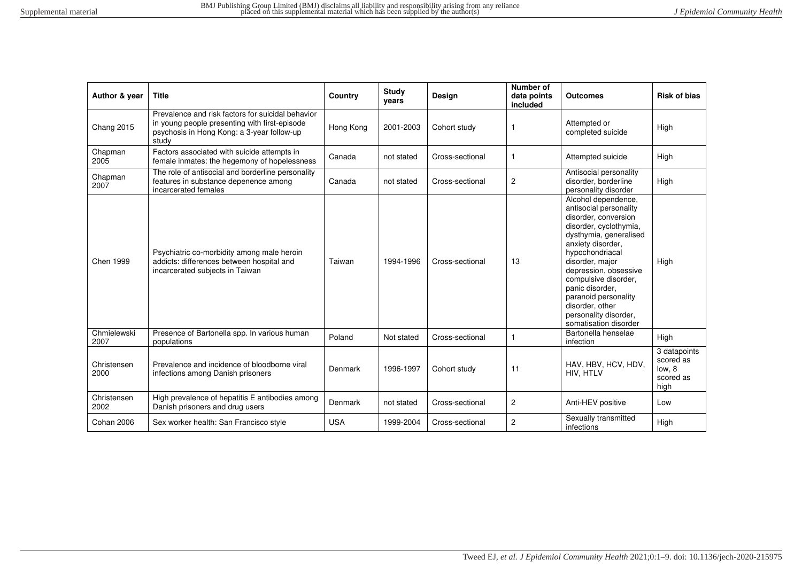| Author & year       | <b>Title</b>                                                                                                                                              | Country    | Study<br>years | Design          | Number of<br>data points<br>included | <b>Outcomes</b>                                                                                                                                                                                                                                                                                                                                       | <b>Risk of bias</b>                                      |
|---------------------|-----------------------------------------------------------------------------------------------------------------------------------------------------------|------------|----------------|-----------------|--------------------------------------|-------------------------------------------------------------------------------------------------------------------------------------------------------------------------------------------------------------------------------------------------------------------------------------------------------------------------------------------------------|----------------------------------------------------------|
| Chang 2015          | Prevalence and risk factors for suicidal behavior<br>in young people presenting with first-episode<br>psychosis in Hong Kong: a 3-year follow-up<br>study | Hong Kong  | 2001-2003      | Cohort study    |                                      | Attempted or<br>completed suicide                                                                                                                                                                                                                                                                                                                     | High                                                     |
| Chapman<br>2005     | Factors associated with suicide attempts in<br>female inmates: the hegemony of hopelessness                                                               | Canada     | not stated     | Cross-sectional |                                      | Attempted suicide                                                                                                                                                                                                                                                                                                                                     | High                                                     |
| Chapman<br>2007     | The role of antisocial and borderline personality<br>features in substance depenence among<br>incarcerated females                                        | Canada     | not stated     | Cross-sectional | $\overline{c}$                       | Antisocial personality<br>disorder, borderline<br>personality disorder                                                                                                                                                                                                                                                                                | High                                                     |
| Chen 1999           | Psychiatric co-morbidity among male heroin<br>addicts: differences between hospital and<br>incarcerated subjects in Taiwan                                | Taiwan     | 1994-1996      | Cross-sectional | 13                                   | Alcohol dependence,<br>antisocial personality<br>disorder, conversion<br>disorder, cyclothymia,<br>dysthymia, generalised<br>anxiety disorder,<br>hypochondriacal<br>disorder, major<br>depression, obsessive<br>compulsive disorder,<br>panic disorder.<br>paranoid personality<br>disorder, other<br>personality disorder,<br>somatisation disorder | High                                                     |
| Chmielewski<br>2007 | Presence of Bartonella spp. In various human<br>populations                                                                                               | Poland     | Not stated     | Cross-sectional | 1                                    | Bartonella henselae<br>infection                                                                                                                                                                                                                                                                                                                      | High                                                     |
| Christensen<br>2000 | Prevalence and incidence of bloodborne viral<br>infections among Danish prisoners                                                                         | Denmark    | 1996-1997      | Cohort study    | 11                                   | HAV, HBV, HCV, HDV,<br>HIV, HTLV                                                                                                                                                                                                                                                                                                                      | 3 datapoints<br>scored as<br>low. 8<br>scored as<br>high |
| Christensen<br>2002 | High prevalence of hepatitis E antibodies among<br>Danish prisoners and drug users                                                                        | Denmark    | not stated     | Cross-sectional | $\overline{c}$                       | Anti-HEV positive                                                                                                                                                                                                                                                                                                                                     | Low                                                      |
| Cohan 2006          | Sex worker health: San Francisco style                                                                                                                    | <b>USA</b> | 1999-2004      | Cross-sectional | 2                                    | Sexually transmitted<br>infections                                                                                                                                                                                                                                                                                                                    | High                                                     |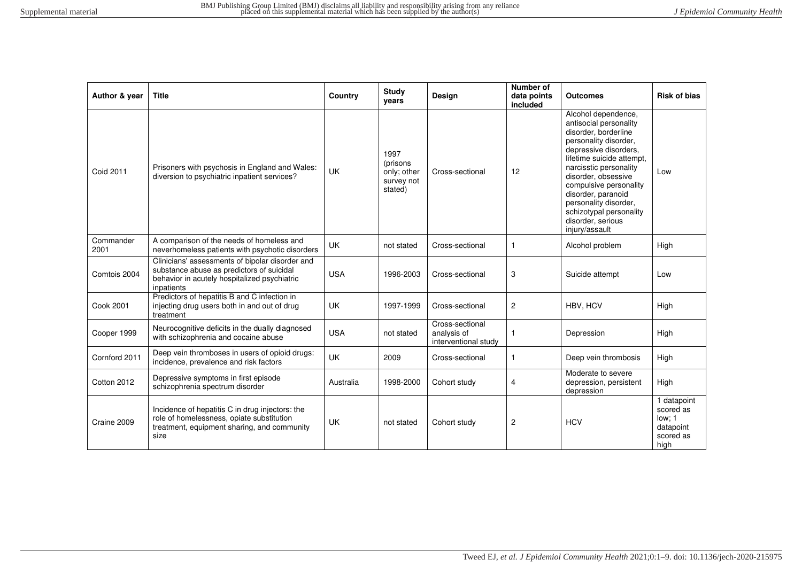| Author & year     | <b>Title</b>                                                                                                                                               | Country    | <b>Study</b><br>years                                     | Design                                                 | Number of<br>data points<br>included | <b>Outcomes</b>                                                                                                                                                                                                                                                                                                                                  | <b>Risk of bias</b>                                                  |
|-------------------|------------------------------------------------------------------------------------------------------------------------------------------------------------|------------|-----------------------------------------------------------|--------------------------------------------------------|--------------------------------------|--------------------------------------------------------------------------------------------------------------------------------------------------------------------------------------------------------------------------------------------------------------------------------------------------------------------------------------------------|----------------------------------------------------------------------|
| <b>Coid 2011</b>  | Prisoners with psychosis in England and Wales:<br>diversion to psychiatric inpatient services?                                                             | <b>UK</b>  | 1997<br>(prisons)<br>only; other<br>survey not<br>stated) | Cross-sectional                                        | 12                                   | Alcohol dependence,<br>antisocial personality<br>disorder, borderline<br>personality disorder,<br>depressive disorders,<br>lifetime suicide attempt,<br>narcisstic personality<br>disorder, obsessive<br>compulsive personality<br>disorder, paranoid<br>personality disorder,<br>schizotypal personality<br>disorder, serious<br>injury/assault | Low                                                                  |
| Commander<br>2001 | A comparison of the needs of homeless and<br>neverhomeless patients with psychotic disorders                                                               | <b>UK</b>  | not stated                                                | Cross-sectional                                        | $\mathbf{1}$                         | Alcohol problem                                                                                                                                                                                                                                                                                                                                  | High                                                                 |
| Comtois 2004      | Clinicians' assessments of bipolar disorder and<br>substance abuse as predictors of suicidal<br>behavior in acutely hospitalized psychiatric<br>inpatients | <b>USA</b> | 1996-2003                                                 | Cross-sectional                                        | 3                                    | Suicide attempt                                                                                                                                                                                                                                                                                                                                  | Low                                                                  |
| Cook 2001         | Predictors of hepatitis B and C infection in<br>injecting drug users both in and out of drug<br>treatment                                                  | UK         | 1997-1999                                                 | Cross-sectional                                        | $\overline{2}$                       | HBV, HCV                                                                                                                                                                                                                                                                                                                                         | High                                                                 |
| Cooper 1999       | Neurocognitive deficits in the dually diagnosed<br>with schizophrenia and cocaine abuse                                                                    | <b>USA</b> | not stated                                                | Cross-sectional<br>analysis of<br>interventional study | 1                                    | Depression                                                                                                                                                                                                                                                                                                                                       | High                                                                 |
| Cornford 2011     | Deep vein thromboses in users of opioid drugs:<br>incidence, prevalence and risk factors                                                                   | <b>UK</b>  | 2009                                                      | Cross-sectional                                        | $\mathbf{1}$                         | Deep vein thrombosis                                                                                                                                                                                                                                                                                                                             | High                                                                 |
| Cotton 2012       | Depressive symptoms in first episode<br>schizophrenia spectrum disorder                                                                                    | Australia  | 1998-2000                                                 | Cohort study                                           | $\overline{4}$                       | Moderate to severe<br>depression, persistent<br>depression                                                                                                                                                                                                                                                                                       | High                                                                 |
| Craine 2009       | Incidence of hepatitis C in drug injectors: the<br>role of homelessness, opiate substitution<br>treatment, equipment sharing, and community<br>size        | <b>UK</b>  | not stated                                                | Cohort study                                           | $\overline{c}$                       | <b>HCV</b>                                                                                                                                                                                                                                                                                                                                       | 1 datapoint<br>scored as<br>low: 1<br>datapoint<br>scored as<br>high |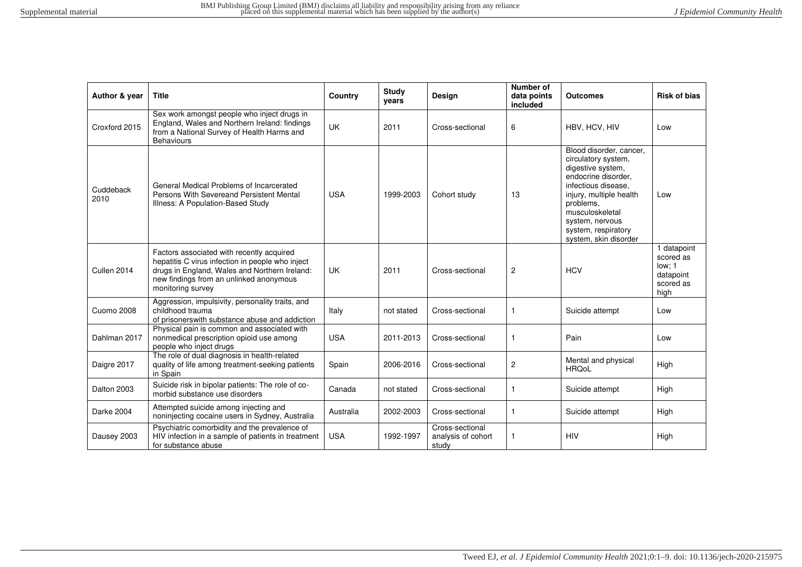| Author & year     | <b>Title</b>                                                                                                                                                                                                   | Country    | <b>Study</b><br>vears | <b>Design</b>                                  | <b>Number of</b><br>data points<br>included | <b>Outcomes</b>                                                                                                                                                                                                                                 | <b>Risk of bias</b>                                                  |
|-------------------|----------------------------------------------------------------------------------------------------------------------------------------------------------------------------------------------------------------|------------|-----------------------|------------------------------------------------|---------------------------------------------|-------------------------------------------------------------------------------------------------------------------------------------------------------------------------------------------------------------------------------------------------|----------------------------------------------------------------------|
| Croxford 2015     | Sex work amongst people who inject drugs in<br>England, Wales and Northern Ireland: findings<br>from a National Survey of Health Harms and<br><b>Behaviours</b>                                                | <b>UK</b>  | 2011                  | Cross-sectional                                | 6                                           | HBV, HCV, HIV                                                                                                                                                                                                                                   | Low                                                                  |
| Cuddeback<br>2010 | General Medical Problems of Incarcerated<br>Persons With Severeand Persistent Mental<br>Illness: A Population-Based Study                                                                                      | <b>USA</b> | 1999-2003             | Cohort study                                   | 13                                          | Blood disorder, cancer,<br>circulatory system,<br>digestive system,<br>endocrine disorder,<br>infectious disease.<br>injury, multiple health<br>problems.<br>musculoskeletal<br>system, nervous<br>system, respiratory<br>system, skin disorder | Low                                                                  |
| Cullen 2014       | Factors associated with recently acquired<br>hepatitis C virus infection in people who inject<br>drugs in England, Wales and Northern Ireland:<br>new findings from an unlinked anonymous<br>monitoring survey | <b>UK</b>  | 2011                  | Cross-sectional                                | $\overline{c}$                              | <b>HCV</b>                                                                                                                                                                                                                                      | 1 datapoint<br>scored as<br>low: 1<br>datapoint<br>scored as<br>high |
| <b>Cuomo 2008</b> | Aggression, impulsivity, personality traits, and<br>childhood trauma<br>of prisonerswith substance abuse and addiction                                                                                         | Italy      | not stated            | Cross-sectional                                | $\mathbf{1}$                                | Suicide attempt                                                                                                                                                                                                                                 | Low                                                                  |
| Dahlman 2017      | Physical pain is common and associated with<br>nonmedical prescription opioid use among<br>people who inject drugs                                                                                             | <b>USA</b> | 2011-2013             | Cross-sectional                                | 1                                           | Pain                                                                                                                                                                                                                                            | Low                                                                  |
| Daigre 2017       | The role of dual diagnosis in health-related<br>quality of life among treatment-seeking patients<br>in Spain                                                                                                   | Spain      | 2006-2016             | Cross-sectional                                | $\overline{2}$                              | Mental and physical<br><b>HRQoL</b>                                                                                                                                                                                                             | High                                                                 |
| Dalton 2003       | Suicide risk in bipolar patients: The role of co-<br>morbid substance use disorders                                                                                                                            | Canada     | not stated            | Cross-sectional                                | $\mathbf{1}$                                | Suicide attempt                                                                                                                                                                                                                                 | High                                                                 |
| Darke 2004        | Attempted suicide among injecting and<br>noninjecting cocaine users in Sydney, Australia                                                                                                                       | Australia  | 2002-2003             | Cross-sectional                                | $\mathbf{1}$                                | Suicide attempt                                                                                                                                                                                                                                 | High                                                                 |
| Dausey 2003       | Psychiatric comorbidity and the prevalence of<br>HIV infection in a sample of patients in treatment<br>for substance abuse                                                                                     | <b>USA</b> | 1992-1997             | Cross-sectional<br>analysis of cohort<br>study | 1                                           | <b>HIV</b>                                                                                                                                                                                                                                      | High                                                                 |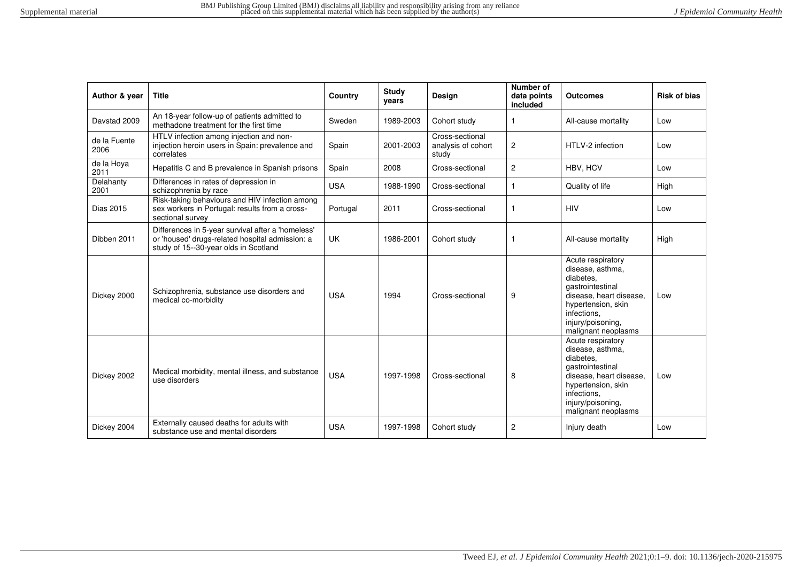| Author & year        | <b>Title</b>                                                                                                                                  | Country    | <b>Study</b><br>vears | <b>Design</b>                                  | Number of<br>data points<br>included | <b>Outcomes</b>                                                                                                                                                                    | <b>Risk of bias</b> |
|----------------------|-----------------------------------------------------------------------------------------------------------------------------------------------|------------|-----------------------|------------------------------------------------|--------------------------------------|------------------------------------------------------------------------------------------------------------------------------------------------------------------------------------|---------------------|
| Davstad 2009         | An 18-year follow-up of patients admitted to<br>methadone treatment for the first time                                                        | Sweden     | 1989-2003             | Cohort study                                   | $\mathbf{1}$                         | All-cause mortality                                                                                                                                                                | Low                 |
| de la Fuente<br>2006 | HTLV infection among injection and non-<br>injection heroin users in Spain: prevalence and<br>correlates                                      | Spain      | 2001-2003             | Cross-sectional<br>analysis of cohort<br>study | $\overline{c}$                       | HTLV-2 infection                                                                                                                                                                   | Low                 |
| de la Hova<br>2011   | Hepatitis C and B prevalence in Spanish prisons                                                                                               | Spain      | 2008                  | Cross-sectional                                | $\overline{2}$                       | HBV, HCV                                                                                                                                                                           | Low                 |
| Delahanty<br>2001    | Differences in rates of depression in<br>schizophrenia by race                                                                                | <b>USA</b> | 1988-1990             | Cross-sectional                                | $\mathbf{1}$                         | Quality of life                                                                                                                                                                    | High                |
| Dias 2015            | Risk-taking behaviours and HIV infection among<br>sex workers in Portugal: results from a cross-<br>sectional survey                          | Portugal   | 2011                  | Cross-sectional                                | -1                                   | <b>HIV</b>                                                                                                                                                                         | Low                 |
| Dibben 2011          | Differences in 5-year survival after a 'homeless'<br>or 'housed' drugs-related hospital admission: a<br>study of 15--30-year olds in Scotland | <b>UK</b>  | 1986-2001             | Cohort study                                   | $\mathbf{1}$                         | All-cause mortality                                                                                                                                                                | High                |
| Dickey 2000          | Schizophrenia, substance use disorders and<br>medical co-morbidity                                                                            | <b>USA</b> | 1994                  | Cross-sectional                                | 9                                    | Acute respiratory<br>disease, asthma,<br>diabetes.<br>gastrointestinal<br>disease, heart disease,<br>hypertension, skin<br>infections.<br>injury/poisoning.<br>malignant neoplasms | Low                 |
| Dickey 2002          | Medical morbidity, mental illness, and substance<br>use disorders                                                                             | <b>USA</b> | 1997-1998             | Cross-sectional                                | 8                                    | Acute respiratory<br>disease, asthma,<br>diabetes.<br>gastrointestinal<br>disease, heart disease,<br>hypertension, skin<br>infections.<br>injury/poisoning,<br>malignant neoplasms | Low                 |
| Dickey 2004          | Externally caused deaths for adults with<br>substance use and mental disorders                                                                | <b>USA</b> | 1997-1998             | Cohort study                                   | $\overline{2}$                       | Injury death                                                                                                                                                                       | Low                 |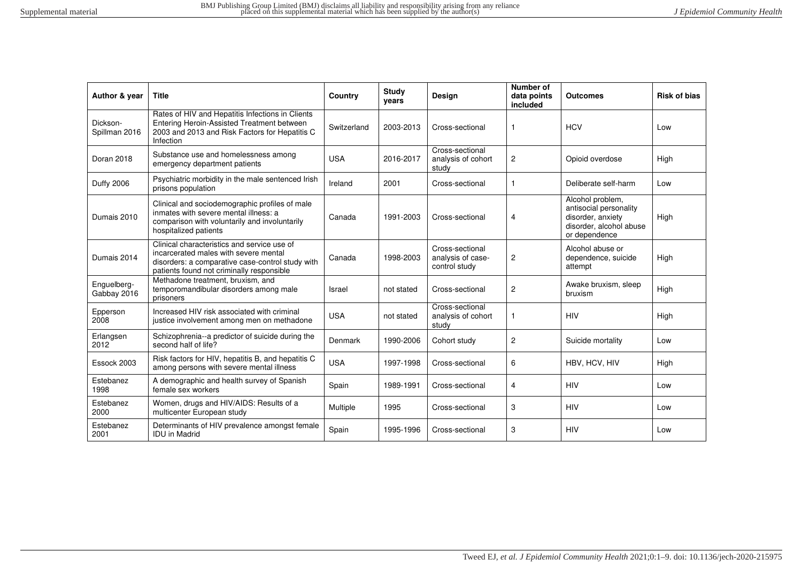| Author & year              | <b>Title</b>                                                                                                                                                                          | Country     | <b>Study</b><br>vears | Design                                                | Number of<br>data points<br>included | Outcomes                                                                                                    | <b>Risk of bias</b> |
|----------------------------|---------------------------------------------------------------------------------------------------------------------------------------------------------------------------------------|-------------|-----------------------|-------------------------------------------------------|--------------------------------------|-------------------------------------------------------------------------------------------------------------|---------------------|
| Dickson-<br>Spillman 2016  | Rates of HIV and Hepatitis Infections in Clients<br>Entering Heroin-Assisted Treatment between<br>2003 and 2013 and Risk Factors for Hepatitis C<br>Infection                         | Switzerland | 2003-2013             | Cross-sectional                                       | $\mathbf{1}$                         | <b>HCV</b>                                                                                                  | Low                 |
| Doran 2018                 | Substance use and homelessness among<br>emergency department patients                                                                                                                 | <b>USA</b>  | 2016-2017             | Cross-sectional<br>analysis of cohort<br>study        | 2                                    | Opioid overdose                                                                                             | High                |
| <b>Duffy 2006</b>          | Psychiatric morbidity in the male sentenced Irish<br>prisons population                                                                                                               | Ireland     | 2001                  | Cross-sectional                                       |                                      | Deliberate self-harm                                                                                        | Low                 |
| Dumais 2010                | Clinical and sociodemographic profiles of male<br>inmates with severe mental illness: a<br>comparison with voluntarily and involuntarily<br>hospitalized patients                     | Canada      | 1991-2003             | Cross-sectional                                       | $\overline{4}$                       | Alcohol problem,<br>antisocial personality<br>disorder, anxiety<br>disorder, alcohol abuse<br>or dependence | High                |
| Dumais 2014                | Clinical characteristics and service use of<br>incarcerated males with severe mental<br>disorders: a comparative case-control study with<br>patients found not criminally responsible | Canada      | 1998-2003             | Cross-sectional<br>analysis of case-<br>control study | $\overline{2}$                       | Alcohol abuse or<br>dependence, suicide<br>attempt                                                          | High                |
| Enquelberg-<br>Gabbay 2016 | Methadone treatment, bruxism, and<br>temporomandibular disorders among male<br>prisoners                                                                                              | Israel      | not stated            | Cross-sectional                                       | 2                                    | Awake bruxism, sleep<br>bruxism                                                                             | High                |
| Epperson<br>2008           | Increased HIV risk associated with criminal<br>justice involvement among men on methadone                                                                                             | <b>USA</b>  | not stated            | Cross-sectional<br>analysis of cohort<br>study        |                                      | <b>HIV</b>                                                                                                  | High                |
| Erlangsen<br>2012          | Schizophrenia--a predictor of suicide during the<br>second half of life?                                                                                                              | Denmark     | 1990-2006             | Cohort study                                          | $\overline{2}$                       | Suicide mortality                                                                                           | Low                 |
| Essock 2003                | Risk factors for HIV, hepatitis B, and hepatitis C<br>among persons with severe mental illness                                                                                        | <b>USA</b>  | 1997-1998             | Cross-sectional                                       | 6                                    | HBV, HCV, HIV                                                                                               | High                |
| Estebanez<br>1998          | A demographic and health survey of Spanish<br>female sex workers                                                                                                                      | Spain       | 1989-1991             | Cross-sectional                                       | $\overline{4}$                       | <b>HIV</b>                                                                                                  | Low                 |
| Estebanez<br>2000          | Women, drugs and HIV/AIDS: Results of a<br>multicenter European study                                                                                                                 | Multiple    | 1995                  | Cross-sectional                                       | 3                                    | <b>HIV</b>                                                                                                  | Low                 |
| Estebanez<br>2001          | Determinants of HIV prevalence amongst female<br><b>IDU</b> in Madrid                                                                                                                 | Spain       | 1995-1996             | Cross-sectional                                       | 3                                    | <b>HIV</b>                                                                                                  | Low                 |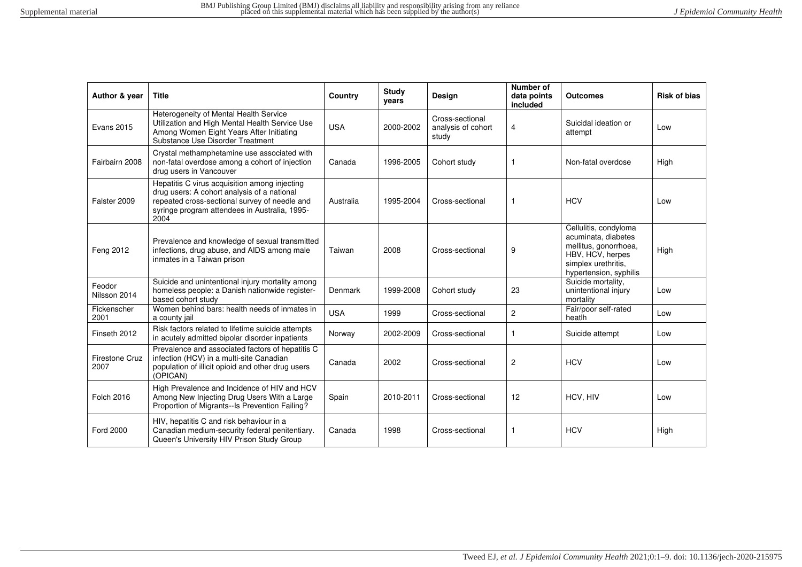| Author & year          | <b>Title</b>                                                                                                                                                                                           | Country    | <b>Study</b><br>years | <b>Design</b>                                  | <b>Number of</b><br>data points<br>included | <b>Outcomes</b>                                                                                                                            | <b>Risk of bias</b> |
|------------------------|--------------------------------------------------------------------------------------------------------------------------------------------------------------------------------------------------------|------------|-----------------------|------------------------------------------------|---------------------------------------------|--------------------------------------------------------------------------------------------------------------------------------------------|---------------------|
| Evans 2015             | Heterogeneity of Mental Health Service<br>Utilization and High Mental Health Service Use<br>Among Women Eight Years After Initiating<br>Substance Use Disorder Treatment                               | <b>USA</b> | 2000-2002             | Cross-sectional<br>analysis of cohort<br>study | 4                                           | Suicidal ideation or<br>attempt                                                                                                            | Low                 |
| Fairbairn 2008         | Crystal methamphetamine use associated with<br>non-fatal overdose among a cohort of injection<br>drug users in Vancouver                                                                               | Canada     | 1996-2005             | Cohort study                                   | 1                                           | Non-fatal overdose                                                                                                                         | High                |
| Falster 2009           | Hepatitis C virus acquisition among injecting<br>drug users: A cohort analysis of a national<br>repeated cross-sectional survey of needle and<br>syringe program attendees in Australia, 1995-<br>2004 | Australia  | 1995-2004             | Cross-sectional                                | 1                                           | <b>HCV</b>                                                                                                                                 | Low                 |
| Feng 2012              | Prevalence and knowledge of sexual transmitted<br>infections, drug abuse, and AIDS among male<br>inmates in a Taiwan prison                                                                            | Taiwan     | 2008                  | Cross-sectional                                | 9                                           | Cellulitis, condyloma<br>acuminata, diabetes<br>mellitus, gonorrhoea,<br>HBV, HCV, herpes<br>simplex urethritis.<br>hypertension, syphilis | High                |
| Feodor<br>Nilsson 2014 | Suicide and unintentional injury mortality among<br>homeless people: a Danish nationwide register-<br>based cohort study                                                                               | Denmark    | 1999-2008             | Cohort study                                   | 23                                          | Suicide mortality.<br>unintentional injury<br>mortality                                                                                    | Low                 |
| Fickenscher<br>2001    | Women behind bars: health needs of inmates in<br>a county jail                                                                                                                                         | <b>USA</b> | 1999                  | Cross-sectional                                | $\overline{2}$                              | Fair/poor self-rated<br>heatlh                                                                                                             | Low                 |
| Finseth 2012           | Risk factors related to lifetime suicide attempts<br>in acutely admitted bipolar disorder inpatients                                                                                                   | Norway     | 2002-2009             | Cross-sectional                                | 1                                           | Suicide attempt                                                                                                                            | Low                 |
| Firestone Cruz<br>2007 | Prevalence and associated factors of hepatitis C<br>infection (HCV) in a multi-site Canadian<br>population of illicit opioid and other drug users<br>(OPICAN)                                          | Canada     | 2002                  | Cross-sectional                                | 2                                           | <b>HCV</b>                                                                                                                                 | Low                 |
| <b>Folch 2016</b>      | High Prevalence and Incidence of HIV and HCV<br>Among New Injecting Drug Users With a Large<br>Proportion of Migrants--Is Prevention Failing?                                                          | Spain      | 2010-2011             | Cross-sectional                                | 12                                          | HCV, HIV                                                                                                                                   | Low                 |
| <b>Ford 2000</b>       | HIV, hepatitis C and risk behaviour in a<br>Canadian medium-security federal penitentiary.<br>Queen's University HIV Prison Study Group                                                                | Canada     | 1998                  | Cross-sectional                                | 1                                           | <b>HCV</b>                                                                                                                                 | High                |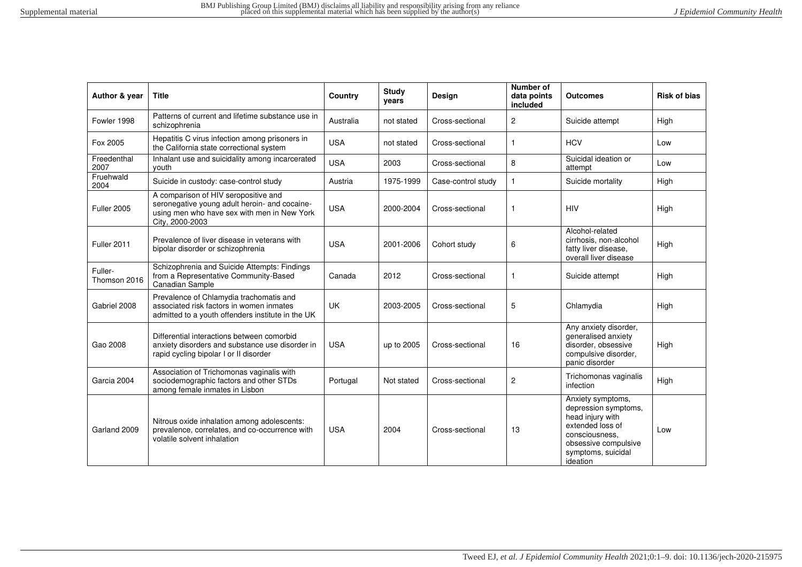| Author & year           | <b>Title</b>                                                                                                                                            | Country    | <b>Study</b><br>years | Design             | <b>Number of</b><br>data points<br>included | <b>Outcomes</b>                                                                                                                                               | <b>Risk of bias</b> |
|-------------------------|---------------------------------------------------------------------------------------------------------------------------------------------------------|------------|-----------------------|--------------------|---------------------------------------------|---------------------------------------------------------------------------------------------------------------------------------------------------------------|---------------------|
| Fowler 1998             | Patterns of current and lifetime substance use in<br>schizophrenia                                                                                      | Australia  | not stated            | Cross-sectional    | $\overline{c}$                              | Suicide attempt                                                                                                                                               | High                |
| Fox 2005                | Hepatitis C virus infection among prisoners in<br>the California state correctional system                                                              | <b>USA</b> | not stated            | Cross-sectional    | 1                                           | <b>HCV</b>                                                                                                                                                    | Low                 |
| Freedenthal<br>2007     | Inhalant use and suicidality among incarcerated<br>vouth                                                                                                | <b>USA</b> | 2003                  | Cross-sectional    | 8                                           | Suicidal ideation or<br>attempt                                                                                                                               | Low                 |
| Fruehwald<br>2004       | Suicide in custody: case-control study                                                                                                                  | Austria    | 1975-1999             | Case-control study | 1                                           | Suicide mortality                                                                                                                                             | High                |
| Fuller 2005             | A comparison of HIV seropositive and<br>seronegative young adult heroin- and cocaine-<br>using men who have sex with men in New York<br>City, 2000-2003 | <b>USA</b> | 2000-2004             | Cross-sectional    | 1                                           | <b>HIV</b>                                                                                                                                                    | High                |
| Fuller 2011             | Prevalence of liver disease in veterans with<br>bipolar disorder or schizophrenia                                                                       | <b>USA</b> | 2001-2006             | Cohort study       | 6                                           | Alcohol-related<br>cirrhosis, non-alcohol<br>fatty liver disease.<br>overall liver disease                                                                    | High                |
| Fuller-<br>Thomson 2016 | Schizophrenia and Suicide Attempts: Findings<br>from a Representative Community-Based<br>Canadian Sample                                                | Canada     | 2012                  | Cross-sectional    | 1                                           | Suicide attempt                                                                                                                                               | High                |
| Gabriel 2008            | Prevalence of Chlamydia trachomatis and<br>associated risk factors in women inmates<br>admitted to a youth offenders institute in the UK                | <b>UK</b>  | 2003-2005             | Cross-sectional    | 5                                           | Chlamydia                                                                                                                                                     | High                |
| Gao 2008                | Differential interactions between comorbid<br>anxiety disorders and substance use disorder in<br>rapid cycling bipolar I or II disorder                 | <b>USA</b> | up to 2005            | Cross-sectional    | 16                                          | Any anxiety disorder,<br>generalised anxiety<br>disorder, obsessive<br>compulsive disorder,<br>panic disorder                                                 | High                |
| Garcia 2004             | Association of Trichomonas vaginalis with<br>sociodemographic factors and other STDs<br>among female inmates in Lisbon                                  | Portugal   | Not stated            | Cross-sectional    | $\overline{c}$                              | Trichomonas vaginalis<br>infection                                                                                                                            | High                |
| Garland 2009            | Nitrous oxide inhalation among adolescents:<br>prevalence, correlates, and co-occurrence with<br>volatile solvent inhalation                            | <b>USA</b> | 2004                  | Cross-sectional    | 13                                          | Anxiety symptoms,<br>depression symptoms,<br>head injury with<br>extended loss of<br>consciousness.<br>obsessive compulsive<br>symptoms, suicidal<br>ideation | Low                 |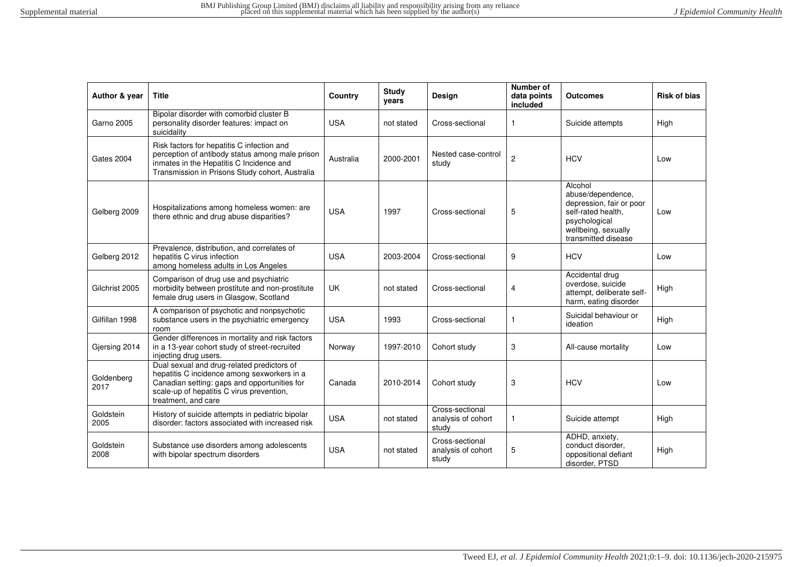| Author & year      | <b>Title</b>                                                                                                                                                                                                  | Country    | <b>Study</b><br>years | <b>Design</b>                                  | Number of<br>data points<br>included | <b>Outcomes</b>                                                                                                                               | <b>Risk of bias</b> |
|--------------------|---------------------------------------------------------------------------------------------------------------------------------------------------------------------------------------------------------------|------------|-----------------------|------------------------------------------------|--------------------------------------|-----------------------------------------------------------------------------------------------------------------------------------------------|---------------------|
| Garno 2005         | Bipolar disorder with comorbid cluster B<br>personality disorder features: impact on<br>suicidality                                                                                                           | <b>USA</b> | not stated            | Cross-sectional                                |                                      | Suicide attempts                                                                                                                              | High                |
| Gates 2004         | Risk factors for hepatitis C infection and<br>perception of antibody status among male prison<br>inmates in the Hepatitis C Incidence and<br>Transmission in Prisons Study cohort, Australia                  | Australia  | 2000-2001             | Nested case-control<br>study                   | $\overline{c}$                       | <b>HCV</b>                                                                                                                                    | Low                 |
| Gelberg 2009       | Hospitalizations among homeless women: are<br>there ethnic and drug abuse disparities?                                                                                                                        | <b>USA</b> | 1997                  | Cross-sectional                                | 5                                    | Alcohol<br>abuse/dependence,<br>depression, fair or poor<br>self-rated health,<br>psychological<br>wellbeing, sexually<br>transmitted disease | Low                 |
| Gelberg 2012       | Prevalence, distribution, and correlates of<br>hepatitis C virus infection<br>among homeless adults in Los Angeles                                                                                            | <b>USA</b> | 2003-2004             | Cross-sectional                                | 9                                    | <b>HCV</b>                                                                                                                                    | Low                 |
| Gilchrist 2005     | Comparison of drug use and psychiatric<br>morbidity between prostitute and non-prostitute<br>female drug users in Glasgow, Scotland                                                                           | <b>UK</b>  | not stated            | Cross-sectional                                | 4                                    | Accidental drug<br>overdose, suicide<br>attempt, deliberate self-<br>harm, eating disorder                                                    | High                |
| Gilfillan 1998     | A comparison of psychotic and nonpsychotic<br>substance users in the psychiatric emergency<br>room                                                                                                            | <b>USA</b> | 1993                  | Cross-sectional                                |                                      | Suicidal behaviour or<br>ideation                                                                                                             | High                |
| Giersing 2014      | Gender differences in mortality and risk factors<br>in a 13-year cohort study of street-recruited<br>injecting drug users.                                                                                    | Norway     | 1997-2010             | Cohort study                                   | 3                                    | All-cause mortality                                                                                                                           | Low                 |
| Goldenberg<br>2017 | Dual sexual and drug-related predictors of<br>hepatitis C incidence among sexworkers in a<br>Canadian setting: gaps and opportunities for<br>scale-up of hepatitis C virus prevention,<br>treatment, and care | Canada     | 2010-2014             | Cohort study                                   | 3                                    | <b>HCV</b>                                                                                                                                    | Low                 |
| Goldstein<br>2005  | History of suicide attempts in pediatric bipolar<br>disorder: factors associated with increased risk                                                                                                          | <b>USA</b> | not stated            | Cross-sectional<br>analysis of cohort<br>study | -1                                   | Suicide attempt                                                                                                                               | High                |
| Goldstein<br>2008  | Substance use disorders among adolescents<br>with bipolar spectrum disorders                                                                                                                                  | <b>USA</b> | not stated            | Cross-sectional<br>analysis of cohort<br>study | 5                                    | ADHD, anxiety,<br>conduct disorder,<br>oppositional defiant<br>disorder, PTSD                                                                 | High                |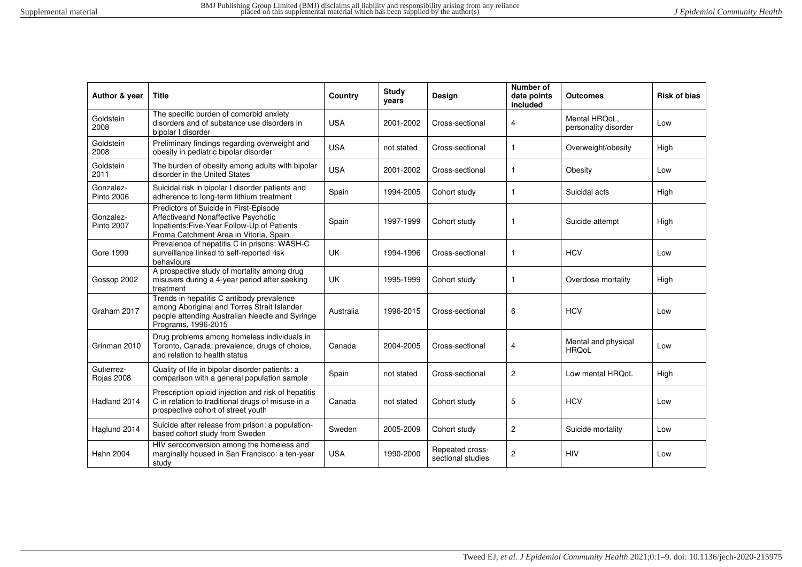| Author & year                  | <b>Title</b>                                                                                                                                                           | Country    | <b>Study</b><br>years | Design                               | Number of<br>data points<br>included | <b>Outcomes</b>                       | <b>Risk of bias</b> |
|--------------------------------|------------------------------------------------------------------------------------------------------------------------------------------------------------------------|------------|-----------------------|--------------------------------------|--------------------------------------|---------------------------------------|---------------------|
| Goldstein<br>2008              | The specific burden of comorbid anxiety<br>disorders and of substance use disorders in<br>bipolar I disorder                                                           | <b>USA</b> | 2001-2002             | Cross-sectional                      | 4                                    | Mental HRQoL,<br>personality disorder | Low                 |
| Goldstein<br>2008              | Preliminary findings regarding overweight and<br>obesity in pediatric bipolar disorder                                                                                 | <b>USA</b> | not stated            | Cross-sectional                      | $\mathbf{1}$                         | Overweight/obesity                    | High                |
| Goldstein<br>2011              | The burden of obesity among adults with bipolar<br>disorder in the United States                                                                                       | <b>USA</b> | 2001-2002             | Cross-sectional                      | $\mathbf{1}$                         | Obesity                               | Low                 |
| Gonzalez-<br>Pinto 2006        | Suicidal risk in bipolar I disorder patients and<br>adherence to long-term lithium treatment                                                                           | Spain      | 1994-2005             | Cohort study                         | -1                                   | Suicidal acts                         | High                |
| Gonzalez-<br><b>Pinto 2007</b> | Predictors of Suicide in First-Episode<br>Affectiveand Nonaffective Psychotic<br>Inpatients: Five-Year Follow-Up of Patients<br>Froma Catchment Area in Vitoria, Spain | Spain      | 1997-1999             | Cohort study                         | -1                                   | Suicide attempt                       | High                |
| <b>Gore 1999</b>               | Prevalence of hepatitis C in prisons: WASH-C<br>surveillance linked to self-reported risk<br>behaviours                                                                | UK         | 1994-1996             | Cross-sectional                      | $\mathbf{1}$                         | <b>HCV</b>                            | Low                 |
| Gossop 2002                    | A prospective study of mortality among drug<br>misusers during a 4-year period after seeking<br>treatment                                                              | <b>UK</b>  | 1995-1999             | Cohort study                         | -1                                   | Overdose mortality                    | High                |
| Graham 2017                    | Trends in hepatitis C antibody prevalence<br>among Aboriginal and Torres Strait Islander<br>people attending Australian Needle and Syringe<br>Programs, 1996-2015      | Australia  | 1996-2015             | Cross-sectional                      | 6                                    | <b>HCV</b>                            | Low                 |
| Grinman 2010                   | Drug problems among homeless individuals in<br>Toronto, Canada: prevalence, drugs of choice,<br>and relation to health status                                          | Canada     | 2004-2005             | Cross-sectional                      | 4                                    | Mental and physical<br><b>HRQoL</b>   | Low                 |
| Gutierrez-<br>Rojas 2008       | Quality of life in bipolar disorder patients: a<br>comparison with a general population sample                                                                         | Spain      | not stated            | Cross-sectional                      | $\overline{2}$                       | Low mental HRQoL                      | High                |
| Hadland 2014                   | Prescription opioid injection and risk of hepatitis<br>C in relation to traditional drugs of misuse in a<br>prospective cohort of street youth                         | Canada     | not stated            | Cohort study                         | 5                                    | <b>HCV</b>                            | Low                 |
| Haglund 2014                   | Suicide after release from prison: a population-<br>based cohort study from Sweden                                                                                     | Sweden     | 2005-2009             | Cohort study                         | $\overline{c}$                       | Suicide mortality                     | Low                 |
| <b>Hahn 2004</b>               | HIV seroconversion among the homeless and<br>marginally housed in San Francisco: a ten-year<br>study                                                                   | <b>USA</b> | 1990-2000             | Repeated cross-<br>sectional studies | $\overline{c}$                       | <b>HIV</b>                            | Low                 |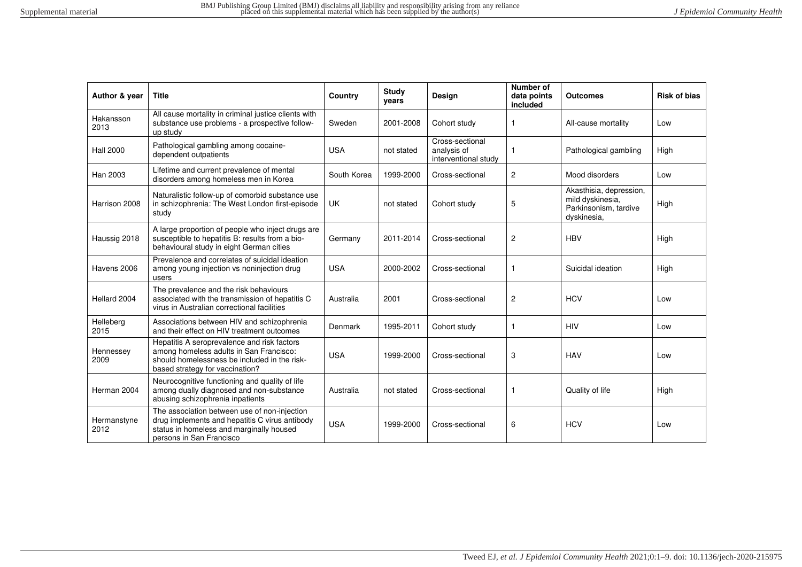| Author & year       | <b>Title</b>                                                                                                                                                              | Country     | <b>Study</b><br>years | <b>Design</b>                                          | Number of<br>data points<br>included | <b>Outcomes</b>                                                                     | <b>Risk of bias</b> |
|---------------------|---------------------------------------------------------------------------------------------------------------------------------------------------------------------------|-------------|-----------------------|--------------------------------------------------------|--------------------------------------|-------------------------------------------------------------------------------------|---------------------|
| Hakansson<br>2013   | All cause mortality in criminal justice clients with<br>substance use problems - a prospective follow-<br>up study                                                        | Sweden      | 2001-2008             | Cohort study                                           |                                      | All-cause mortality                                                                 | Low                 |
| <b>Hall 2000</b>    | Pathological gambling among cocaine-<br>dependent outpatients                                                                                                             | <b>USA</b>  | not stated            | Cross-sectional<br>analysis of<br>interventional study |                                      | Pathological gambling                                                               | High                |
| Han 2003            | Lifetime and current prevalence of mental<br>disorders among homeless men in Korea                                                                                        | South Korea | 1999-2000             | Cross-sectional                                        | $\overline{c}$                       | Mood disorders                                                                      | Low                 |
| Harrison 2008       | Naturalistic follow-up of comorbid substance use<br>in schizophrenia: The West London first-episode<br>study                                                              | <b>UK</b>   | not stated            | Cohort study                                           | 5                                    | Akasthisia, depression,<br>mild dyskinesia,<br>Parkinsonism, tardive<br>dyskinesia, | High                |
| Haussig 2018        | A large proportion of people who inject drugs are<br>susceptible to hepatitis B: results from a bio-<br>behavioural study in eight German cities                          | Germany     | 2011-2014             | Cross-sectional                                        | 2                                    | <b>HBV</b>                                                                          | High                |
| Havens 2006         | Prevalence and correlates of suicidal ideation<br>among young injection vs noninjection drug<br>users                                                                     | <b>USA</b>  | 2000-2002             | Cross-sectional                                        |                                      | Suicidal ideation                                                                   | High                |
| Hellard 2004        | The prevalence and the risk behaviours<br>associated with the transmission of hepatitis C<br>virus in Australian correctional facilities                                  | Australia   | 2001                  | Cross-sectional                                        | $\overline{c}$                       | <b>HCV</b>                                                                          | Low                 |
| Helleberg<br>2015   | Associations between HIV and schizophrenia<br>and their effect on HIV treatment outcomes                                                                                  | Denmark     | 1995-2011             | Cohort study                                           | -1                                   | <b>HIV</b>                                                                          | Low                 |
| Hennessey<br>2009   | Hepatitis A seroprevalence and risk factors<br>among homeless adults in San Francisco:<br>should homelessness be included in the risk-<br>based strategy for vaccination? | <b>USA</b>  | 1999-2000             | Cross-sectional                                        | 3                                    | <b>HAV</b>                                                                          | Low                 |
| Herman 2004         | Neurocognitive functioning and quality of life<br>among dually diagnosed and non-substance<br>abusing schizophrenia inpatients                                            | Australia   | not stated            | Cross-sectional                                        | 1                                    | Quality of life                                                                     | High                |
| Hermanstyne<br>2012 | The association between use of non-injection<br>drug implements and hepatitis C virus antibody<br>status in homeless and marginally housed<br>persons in San Francisco    | <b>USA</b>  | 1999-2000             | Cross-sectional                                        | 6                                    | <b>HCV</b>                                                                          | Low                 |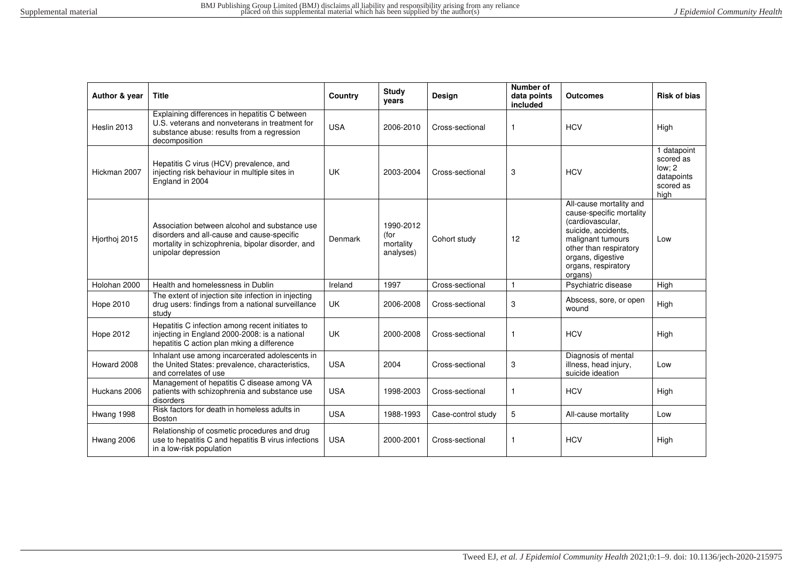| Author & year    | <b>Title</b>                                                                                                                                                            | Country    | Study<br>years                              | Design             | Number of<br>data points<br>included | Outcomes                                                                                                                                                                                             | <b>Risk of bias</b>                                                   |
|------------------|-------------------------------------------------------------------------------------------------------------------------------------------------------------------------|------------|---------------------------------------------|--------------------|--------------------------------------|------------------------------------------------------------------------------------------------------------------------------------------------------------------------------------------------------|-----------------------------------------------------------------------|
| Heslin 2013      | Explaining differences in hepatitis C between<br>U.S. veterans and nonveterans in treatment for<br>substance abuse: results from a regression<br>decomposition          | <b>USA</b> | 2006-2010                                   | Cross-sectional    | $\mathbf{1}$                         | <b>HCV</b>                                                                                                                                                                                           | High                                                                  |
| Hickman 2007     | Hepatitis C virus (HCV) prevalence, and<br>injecting risk behaviour in multiple sites in<br>England in 2004                                                             | UK         | 2003-2004                                   | Cross-sectional    | 3                                    | <b>HCV</b>                                                                                                                                                                                           | 1 datapoint<br>scored as<br>low: 2<br>datapoints<br>scored as<br>high |
| Hjorthoj 2015    | Association between alcohol and substance use<br>disorders and all-cause and cause-specific<br>mortality in schizophrenia, bipolar disorder, and<br>unipolar depression | Denmark    | 1990-2012<br>(for<br>mortality<br>analyses) | Cohort study       | 12                                   | All-cause mortality and<br>cause-specific mortality<br>(cardiovascular,<br>suicide, accidents,<br>malignant tumours<br>other than respiratory<br>organs, digestive<br>organs, respiratory<br>organs) | Low                                                                   |
| Holohan 2000     | Health and homelessness in Dublin                                                                                                                                       | Ireland    | 1997                                        | Cross-sectional    | $\mathbf{1}$                         | Psychiatric disease                                                                                                                                                                                  | High                                                                  |
| <b>Hope 2010</b> | The extent of injection site infection in injecting<br>drug users: findings from a national surveillance<br>study                                                       | <b>UK</b>  | 2006-2008                                   | Cross-sectional    | 3                                    | Abscess, sore, or open<br>wound                                                                                                                                                                      | High                                                                  |
| <b>Hope 2012</b> | Hepatitis C infection among recent initiates to<br>injecting in England 2000-2008: is a national<br>hepatitis C action plan mking a difference                          | <b>UK</b>  | 2000-2008                                   | Cross-sectional    | $\mathbf{1}$                         | <b>HCV</b>                                                                                                                                                                                           | High                                                                  |
| Howard 2008      | Inhalant use among incarcerated adolescents in<br>the United States: prevalence, characteristics,<br>and correlates of use                                              | <b>USA</b> | 2004                                        | Cross-sectional    | 3                                    | Diagnosis of mental<br>illness, head injury,<br>suicide ideation                                                                                                                                     | Low                                                                   |
| Huckans 2006     | Management of hepatitis C disease among VA<br>patients with schizophrenia and substance use<br>disorders                                                                | <b>USA</b> | 1998-2003                                   | Cross-sectional    |                                      | <b>HCV</b>                                                                                                                                                                                           | High                                                                  |
| Hwang 1998       | Risk factors for death in homeless adults in<br>Boston                                                                                                                  | <b>USA</b> | 1988-1993                                   | Case-control study | 5                                    | All-cause mortality                                                                                                                                                                                  | Low                                                                   |
| Hwang 2006       | Relationship of cosmetic procedures and drug<br>use to hepatitis C and hepatitis B virus infections<br>in a low-risk population                                         | <b>USA</b> | 2000-2001                                   | Cross-sectional    | $\mathbf{1}$                         | <b>HCV</b>                                                                                                                                                                                           | High                                                                  |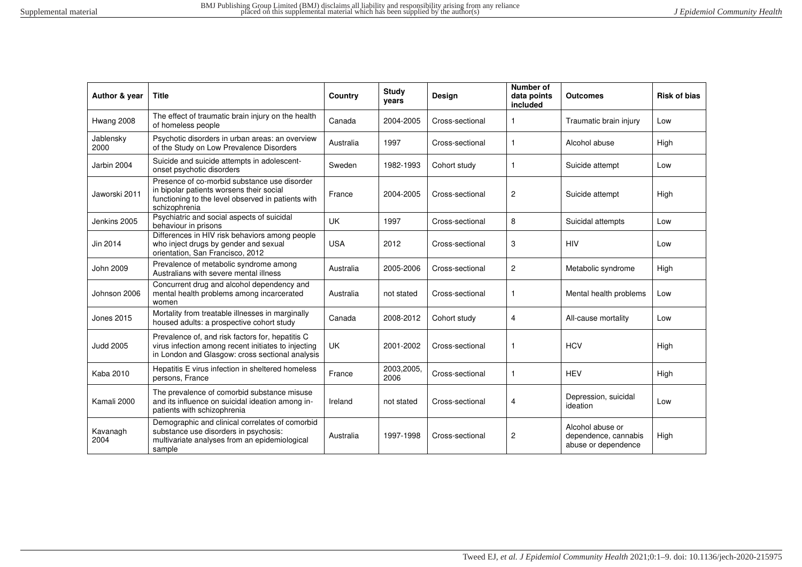| Author & year     | <b>Title</b>                                                                                                                                                    | Country    | <b>Study</b><br>years | Design          | Number of<br>data points<br>included | <b>Outcomes</b>                                                 | <b>Risk of bias</b> |
|-------------------|-----------------------------------------------------------------------------------------------------------------------------------------------------------------|------------|-----------------------|-----------------|--------------------------------------|-----------------------------------------------------------------|---------------------|
| Hwang 2008        | The effect of traumatic brain injury on the health<br>of homeless people                                                                                        | Canada     | 2004-2005             | Cross-sectional | 1                                    | Traumatic brain injury                                          | Low                 |
| Jablensky<br>2000 | Psychotic disorders in urban areas: an overview<br>of the Study on Low Prevalence Disorders                                                                     | Australia  | 1997                  | Cross-sectional | $\mathbf{1}$                         | Alcohol abuse                                                   | High                |
| Jarbin 2004       | Suicide and suicide attempts in adolescent-<br>onset psychotic disorders                                                                                        | Sweden     | 1982-1993             | Cohort study    | $\mathbf{1}$                         | Suicide attempt                                                 | Low                 |
| Jaworski 2011     | Presence of co-morbid substance use disorder<br>in bipolar patients worsens their social<br>functioning to the level observed in patients with<br>schizophrenia | France     | 2004-2005             | Cross-sectional | 2                                    | Suicide attempt                                                 | High                |
| Jenkins 2005      | Psychiatric and social aspects of suicidal<br>behaviour in prisons                                                                                              | UK         | 1997                  | Cross-sectional | 8                                    | Suicidal attempts                                               | Low                 |
| Jin 2014          | Differences in HIV risk behaviors among people<br>who inject drugs by gender and sexual<br>orientation, San Francisco, 2012                                     | <b>USA</b> | 2012                  | Cross-sectional | 3                                    | <b>HIV</b>                                                      | Low                 |
| John 2009         | Prevalence of metabolic syndrome among<br>Australians with severe mental illness                                                                                | Australia  | 2005-2006             | Cross-sectional | 2                                    | Metabolic syndrome                                              | High                |
| Johnson 2006      | Concurrent drug and alcohol dependency and<br>mental health problems among incarcerated<br>women                                                                | Australia  | not stated            | Cross-sectional | 1                                    | Mental health problems                                          | Low                 |
| Jones 2015        | Mortality from treatable illnesses in marginally<br>housed adults: a prospective cohort study                                                                   | Canada     | 2008-2012             | Cohort study    | 4                                    | All-cause mortality                                             | Low                 |
| <b>Judd 2005</b>  | Prevalence of, and risk factors for, hepatitis C<br>virus infection among recent initiates to injecting<br>in London and Glasgow: cross sectional analysis      | <b>UK</b>  | 2001-2002             | Cross-sectional | 1                                    | <b>HCV</b>                                                      | High                |
| <b>Kaba 2010</b>  | Hepatitis E virus infection in sheltered homeless<br>persons, France                                                                                            | France     | 2003,2005,<br>2006    | Cross-sectional | 1                                    | <b>HEV</b>                                                      | High                |
| Kamali 2000       | The prevalence of comorbid substance misuse<br>and its influence on suicidal ideation among in-<br>patients with schizophrenia                                  | Ireland    | not stated            | Cross-sectional | 4                                    | Depression, suicidal<br>ideation                                | Low                 |
| Kavanagh<br>2004  | Demographic and clinical correlates of comorbid<br>substance use disorders in psychosis:<br>multivariate analyses from an epidemiological<br>sample             | Australia  | 1997-1998             | Cross-sectional | 2                                    | Alcohol abuse or<br>dependence, cannabis<br>abuse or dependence | High                |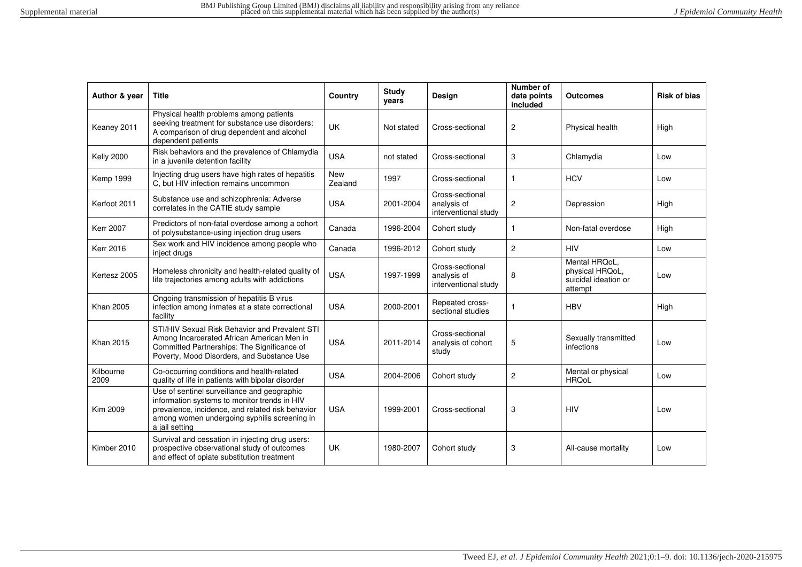| Author & year     | <b>Title</b>                                                                                                                                                                                                      | Country        | <b>Study</b><br>years | Design                                                 | Number of<br>data points<br>included | <b>Outcomes</b>                                                     | <b>Risk of bias</b> |
|-------------------|-------------------------------------------------------------------------------------------------------------------------------------------------------------------------------------------------------------------|----------------|-----------------------|--------------------------------------------------------|--------------------------------------|---------------------------------------------------------------------|---------------------|
| Keaney 2011       | Physical health problems among patients<br>seeking treatment for substance use disorders:<br>A comparison of drug dependent and alcohol<br>dependent patients                                                     | <b>UK</b>      | Not stated            | Cross-sectional                                        | $\overline{c}$                       | Physical health                                                     | High                |
| <b>Kelly 2000</b> | Risk behaviors and the prevalence of Chlamydia<br>in a juvenile detention facility                                                                                                                                | <b>USA</b>     | not stated            | Cross-sectional                                        | 3                                    | Chlamydia                                                           | Low                 |
| <b>Kemp 1999</b>  | Injecting drug users have high rates of hepatitis<br>C, but HIV infection remains uncommon                                                                                                                        | New<br>Zealand | 1997                  | Cross-sectional                                        | 1                                    | <b>HCV</b>                                                          | Low                 |
| Kerfoot 2011      | Substance use and schizophrenia: Adverse<br>correlates in the CATIE study sample                                                                                                                                  | <b>USA</b>     | 2001-2004             | Cross-sectional<br>analysis of<br>interventional study | 2                                    | Depression                                                          | High                |
| <b>Kerr 2007</b>  | Predictors of non-fatal overdose among a cohort<br>of polysubstance-using injection drug users                                                                                                                    | Canada         | 1996-2004             | Cohort study                                           | $\mathbf{1}$                         | Non-fatal overdose                                                  | High                |
| <b>Kerr 2016</b>  | Sex work and HIV incidence among people who<br>inject drugs                                                                                                                                                       | Canada         | 1996-2012             | Cohort study                                           | $\overline{2}$                       | <b>HIV</b>                                                          | Low                 |
| Kertesz 2005      | Homeless chronicity and health-related quality of<br>life trajectories among adults with addictions                                                                                                               | <b>USA</b>     | 1997-1999             | Cross-sectional<br>analysis of<br>interventional study | 8                                    | Mental HRQoL,<br>physical HRQoL,<br>suicidal ideation or<br>attempt | Low                 |
| <b>Khan 2005</b>  | Ongoing transmission of hepatitis B virus<br>infection among inmates at a state correctional<br>facility                                                                                                          | <b>USA</b>     | 2000-2001             | Repeated cross-<br>sectional studies                   | -1                                   | <b>HBV</b>                                                          | High                |
| <b>Khan 2015</b>  | STI/HIV Sexual Risk Behavior and Prevalent STI<br>Among Incarcerated African American Men in<br>Committed Partnerships: The Significance of<br>Poverty, Mood Disorders, and Substance Use                         | <b>USA</b>     | 2011-2014             | Cross-sectional<br>analysis of cohort<br>study         | 5                                    | Sexually transmitted<br>infections                                  | Low                 |
| Kilbourne<br>2009 | Co-occurring conditions and health-related<br>quality of life in patients with bipolar disorder                                                                                                                   | <b>USA</b>     | 2004-2006             | Cohort study                                           | $\overline{c}$                       | Mental or physical<br><b>HRQoL</b>                                  | Low                 |
| <b>Kim 2009</b>   | Use of sentinel surveillance and geographic<br>information systems to monitor trends in HIV<br>prevalence, incidence, and related risk behavior<br>among women undergoing syphilis screening in<br>a jail setting | <b>USA</b>     | 1999-2001             | Cross-sectional                                        | 3                                    | <b>HIV</b>                                                          | Low                 |
| Kimber 2010       | Survival and cessation in injecting drug users:<br>prospective observational study of outcomes<br>and effect of opiate substitution treatment                                                                     | <b>UK</b>      | 1980-2007             | Cohort study                                           | 3                                    | All-cause mortality                                                 | Low                 |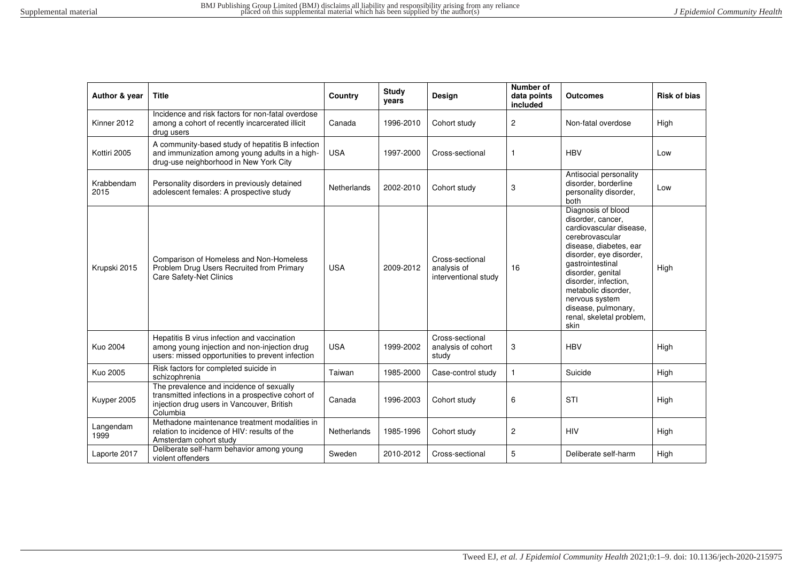| Author & year      | <b>Title</b>                                                                                                                                            | Country     | <b>Study</b><br>vears | Design                                                 | Number of<br>data points<br>included | <b>Outcomes</b>                                                                                                                                                                                                                                                                                                 | <b>Risk of bias</b> |
|--------------------|---------------------------------------------------------------------------------------------------------------------------------------------------------|-------------|-----------------------|--------------------------------------------------------|--------------------------------------|-----------------------------------------------------------------------------------------------------------------------------------------------------------------------------------------------------------------------------------------------------------------------------------------------------------------|---------------------|
| Kinner 2012        | Incidence and risk factors for non-fatal overdose<br>among a cohort of recently incarcerated illicit<br>drug users                                      | Canada      | 1996-2010             | Cohort study                                           | $\mathbf{2}$                         | Non-fatal overdose                                                                                                                                                                                                                                                                                              | High                |
| Kottiri 2005       | A community-based study of hepatitis B infection<br>and immunization among young adults in a high-<br>drug-use neighborhood in New York City            | <b>USA</b>  | 1997-2000             | Cross-sectional                                        | 1                                    | <b>HBV</b>                                                                                                                                                                                                                                                                                                      | Low                 |
| Krabbendam<br>2015 | Personality disorders in previously detained<br>adolescent females: A prospective study                                                                 | Netherlands | 2002-2010             | Cohort study                                           | 3                                    | Antisocial personality<br>disorder, borderline<br>personality disorder,<br>both                                                                                                                                                                                                                                 | Low                 |
| Krupski 2015       | Comparison of Homeless and Non-Homeless<br>Problem Drug Users Recruited from Primary<br>Care Safety-Net Clinics                                         | <b>USA</b>  | 2009-2012             | Cross-sectional<br>analysis of<br>interventional study | 16                                   | Diagnosis of blood<br>disorder, cancer,<br>cardiovascular disease.<br>cerebrovascular<br>disease, diabetes, ear<br>disorder, eye disorder,<br>gastrointestinal<br>disorder, genital<br>disorder, infection,<br>metabolic disorder,<br>nervous system<br>disease, pulmonary,<br>renal, skeletal problem,<br>skin | High                |
| <b>Kuo 2004</b>    | Hepatitis B virus infection and vaccination<br>among young injection and non-injection drug<br>users: missed opportunities to prevent infection         | <b>USA</b>  | 1999-2002             | Cross-sectional<br>analysis of cohort<br>study         | 3                                    | <b>HBV</b>                                                                                                                                                                                                                                                                                                      | High                |
| Kuo 2005           | Risk factors for completed suicide in<br>schizophrenia                                                                                                  | Taiwan      | 1985-2000             | Case-control study                                     | $\mathbf{1}$                         | Suicide                                                                                                                                                                                                                                                                                                         | High                |
| Kuyper 2005        | The prevalence and incidence of sexually<br>transmitted infections in a prospective cohort of<br>injection drug users in Vancouver, British<br>Columbia | Canada      | 1996-2003             | Cohort study                                           | 6                                    | <b>STI</b>                                                                                                                                                                                                                                                                                                      | High                |
| Langendam<br>1999  | Methadone maintenance treatment modalities in<br>relation to incidence of HIV: results of the<br>Amsterdam cohort study                                 | Netherlands | 1985-1996             | Cohort study                                           | 2                                    | <b>HIV</b>                                                                                                                                                                                                                                                                                                      | High                |
| Laporte 2017       | Deliberate self-harm behavior among young<br>violent offenders                                                                                          | Sweden      | 2010-2012             | Cross-sectional                                        | 5                                    | Deliberate self-harm                                                                                                                                                                                                                                                                                            | High                |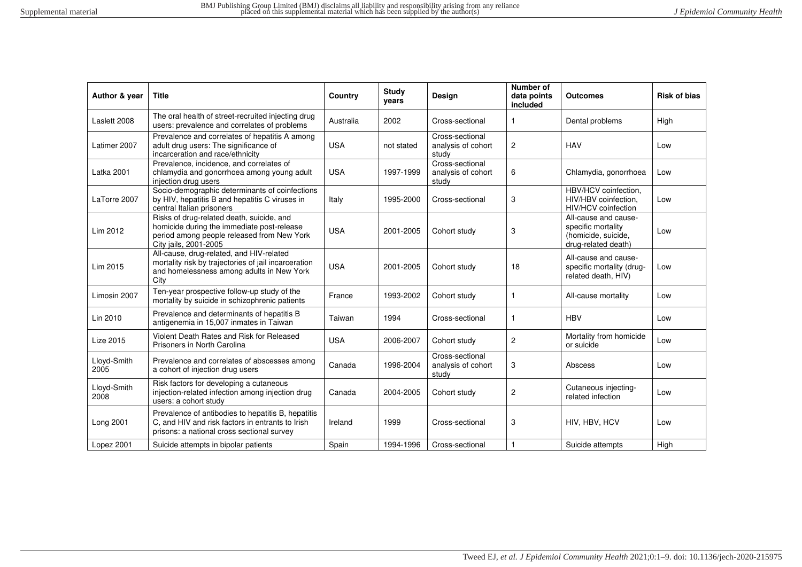| Author & year       | <b>Title</b>                                                                                                                                                   | Country    | <b>Study</b><br>years | Design                                         | Number of<br>data points<br>included | <b>Outcomes</b>                                                                          | <b>Risk of bias</b> |
|---------------------|----------------------------------------------------------------------------------------------------------------------------------------------------------------|------------|-----------------------|------------------------------------------------|--------------------------------------|------------------------------------------------------------------------------------------|---------------------|
| Laslett 2008        | The oral health of street-recruited injecting drug<br>users: prevalence and correlates of problems                                                             | Australia  | 2002                  | Cross-sectional                                | 1                                    | Dental problems                                                                          | High                |
| Latimer 2007        | Prevalence and correlates of hepatitis A among<br>adult drug users: The significance of<br>incarceration and race/ethnicity                                    | <b>USA</b> | not stated            | Cross-sectional<br>analysis of cohort<br>study | $\overline{c}$                       | <b>HAV</b>                                                                               | Low                 |
| Latka 2001          | Prevalence, incidence, and correlates of<br>chlamydia and gonorrhoea among young adult<br>injection drug users                                                 | <b>USA</b> | 1997-1999             | Cross-sectional<br>analysis of cohort<br>study | 6                                    | Chlamydia, gonorrhoea                                                                    | Low                 |
| LaTorre 2007        | Socio-demographic determinants of coinfections<br>by HIV, hepatitis B and hepatitis C viruses in<br>central Italian prisoners                                  | Italy      | 1995-2000             | Cross-sectional                                | 3                                    | HBV/HCV coinfection.<br>HIV/HBV coinfection.<br>HIV/HCV coinfection                      | Low                 |
| Lim 2012            | Risks of drug-related death, suicide, and<br>homicide during the immediate post-release<br>period among people released from New York<br>City jails, 2001-2005 | <b>USA</b> | 2001-2005             | Cohort study                                   | 3                                    | All-cause and cause-<br>specific mortality<br>(homicide, suicide,<br>drug-related death) | Low                 |
| Lim 2015            | All-cause, drug-related, and HIV-related<br>mortality risk by trajectories of jail incarceration<br>and homelessness among adults in New York<br>City          | <b>USA</b> | 2001-2005             | Cohort study                                   | 18                                   | All-cause and cause-<br>specific mortality (drug-<br>related death, HIV)                 | Low                 |
| Limosin 2007        | Ten-year prospective follow-up study of the<br>mortality by suicide in schizophrenic patients                                                                  | France     | 1993-2002             | Cohort study                                   | -1                                   | All-cause mortality                                                                      | Low                 |
| Lin 2010            | Prevalence and determinants of hepatitis B<br>antigenemia in 15,007 inmates in Taiwan                                                                          | Taiwan     | 1994                  | Cross-sectional                                | 1                                    | <b>HBV</b>                                                                               | Low                 |
| <b>Lize 2015</b>    | Violent Death Rates and Risk for Released<br>Prisoners in North Carolina                                                                                       | <b>USA</b> | 2006-2007             | Cohort study                                   | $\overline{c}$                       | Mortality from homicide<br>or suicide                                                    | Low                 |
| Lloyd-Smith<br>2005 | Prevalence and correlates of abscesses among<br>a cohort of injection drug users                                                                               | Canada     | 1996-2004             | Cross-sectional<br>analysis of cohort<br>study | 3                                    | Abscess                                                                                  | Low                 |
| Lloyd-Smith<br>2008 | Risk factors for developing a cutaneous<br>injection-related infection among injection drug<br>users: a cohort study                                           | Canada     | 2004-2005             | Cohort study                                   | $\overline{2}$                       | Cutaneous injecting-<br>related infection                                                | Low                 |
| Long 2001           | Prevalence of antibodies to hepatitis B, hepatitis<br>C, and HIV and risk factors in entrants to Irish<br>prisons: a national cross sectional survey           | Ireland    | 1999                  | Cross-sectional                                | 3                                    | HIV, HBV, HCV                                                                            | Low                 |
| Lopez 2001          | Suicide attempts in bipolar patients                                                                                                                           | Spain      | 1994-1996             | Cross-sectional                                |                                      | Suicide attempts                                                                         | High                |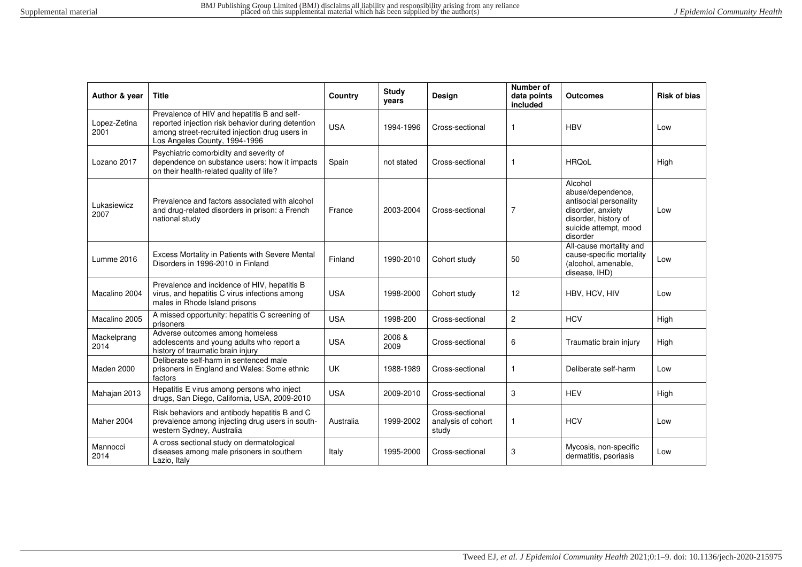| Author & year        | <b>Title</b>                                                                                                                                                                        | Country    | Study<br>years | <b>Design</b>                                  | Number of<br>data points<br>included | <b>Outcomes</b>                                                                                                                          | <b>Risk of bias</b> |
|----------------------|-------------------------------------------------------------------------------------------------------------------------------------------------------------------------------------|------------|----------------|------------------------------------------------|--------------------------------------|------------------------------------------------------------------------------------------------------------------------------------------|---------------------|
| Lopez-Zetina<br>2001 | Prevalence of HIV and hepatitis B and self-<br>reported injection risk behavior during detention<br>among street-recruited injection drug users in<br>Los Angeles County, 1994-1996 | <b>USA</b> | 1994-1996      | Cross-sectional                                | 1                                    | <b>HBV</b>                                                                                                                               | Low                 |
| Lozano 2017          | Psychiatric comorbidity and severity of<br>dependence on substance users: how it impacts<br>on their health-related quality of life?                                                | Spain      | not stated     | Cross-sectional                                | 1                                    | <b>HRQoL</b>                                                                                                                             | High                |
| Lukasiewicz<br>2007  | Prevalence and factors associated with alcohol<br>and drug-related disorders in prison: a French<br>national study                                                                  | France     | 2003-2004      | Cross-sectional                                | $\overline{7}$                       | Alcohol<br>abuse/dependence,<br>antisocial personality<br>disorder, anxiety<br>disorder, history of<br>suicide attempt, mood<br>disorder | Low                 |
| Lumme 2016           | Excess Mortality in Patients with Severe Mental<br>Disorders in 1996-2010 in Finland                                                                                                | Finland    | 1990-2010      | Cohort study                                   | 50                                   | All-cause mortality and<br>cause-specific mortality<br>(alcohol, amenable,<br>disease, IHD)                                              | Low                 |
| Macalino 2004        | Prevalence and incidence of HIV, hepatitis B<br>virus, and hepatitis C virus infections among<br>males in Rhode Island prisons                                                      | <b>USA</b> | 1998-2000      | Cohort study                                   | 12                                   | HBV, HCV, HIV                                                                                                                            | Low                 |
| Macalino 2005        | A missed opportunity: hepatitis C screening of<br>prisoners                                                                                                                         | <b>USA</b> | 1998-200       | Cross-sectional                                | $\overline{2}$                       | <b>HCV</b>                                                                                                                               | High                |
| Mackelprang<br>2014  | Adverse outcomes among homeless<br>adolescents and young adults who report a<br>history of traumatic brain injury                                                                   | <b>USA</b> | 2006 &<br>2009 | Cross-sectional                                | 6                                    | Traumatic brain injury                                                                                                                   | High                |
| Maden 2000           | Deliberate self-harm in sentenced male<br>prisoners in England and Wales: Some ethnic<br>factors                                                                                    | UK         | 1988-1989      | Cross-sectional                                | 1                                    | Deliberate self-harm                                                                                                                     | Low                 |
| Mahajan 2013         | Hepatitis E virus among persons who inject<br>drugs, San Diego, California, USA, 2009-2010                                                                                          | <b>USA</b> | 2009-2010      | Cross-sectional                                | 3                                    | <b>HEV</b>                                                                                                                               | High                |
| Maher 2004           | Risk behaviors and antibody hepatitis B and C<br>prevalence among injecting drug users in south-<br>western Sydney, Australia                                                       | Australia  | 1999-2002      | Cross-sectional<br>analysis of cohort<br>study | 1                                    | <b>HCV</b>                                                                                                                               | Low                 |
| Mannocci<br>2014     | A cross sectional study on dermatological<br>diseases among male prisoners in southern<br>Lazio, Italy                                                                              | Italy      | 1995-2000      | Cross-sectional                                | 3                                    | Mycosis, non-specific<br>dermatitis, psoriasis                                                                                           | Low                 |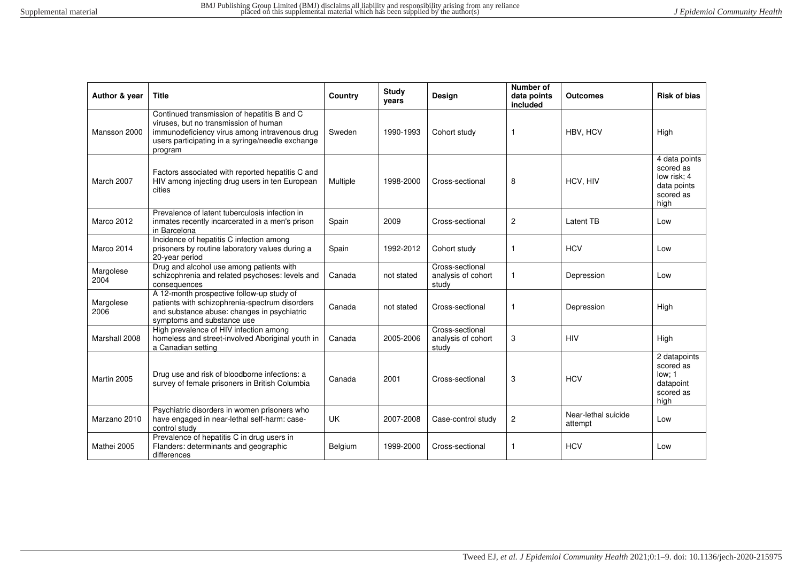| Author & year     | <b>Title</b>                                                                                                                                                                                         | Country   | <b>Study</b><br>years | Design                                         | <b>Number of</b><br>data points<br>included | Outcomes                       | <b>Risk of bias</b>                                                           |
|-------------------|------------------------------------------------------------------------------------------------------------------------------------------------------------------------------------------------------|-----------|-----------------------|------------------------------------------------|---------------------------------------------|--------------------------------|-------------------------------------------------------------------------------|
| Mansson 2000      | Continued transmission of hepatitis B and C<br>viruses, but no transmission of human<br>immunodeficiency virus among intravenous drug<br>users participating in a syringe/needle exchange<br>program | Sweden    | 1990-1993             | Cohort study                                   | $\mathbf{1}$                                | HBV, HCV                       | High                                                                          |
| March 2007        | Factors associated with reported hepatitis C and<br>HIV among injecting drug users in ten European<br>cities                                                                                         | Multiple  | 1998-2000             | Cross-sectional                                | 8                                           | HCV, HIV                       | 4 data points<br>scored as<br>low risk: 4<br>data points<br>scored as<br>high |
| Marco 2012        | Prevalence of latent tuberculosis infection in<br>inmates recently incarcerated in a men's prison<br>in Barcelona                                                                                    | Spain     | 2009                  | Cross-sectional                                | $\overline{c}$                              | Latent TB                      | Low                                                                           |
| Marco 2014        | Incidence of hepatitis C infection among<br>prisoners by routine laboratory values during a<br>20-year period                                                                                        | Spain     | 1992-2012             | Cohort study                                   | $\mathbf{1}$                                | <b>HCV</b>                     | Low                                                                           |
| Margolese<br>2004 | Drug and alcohol use among patients with<br>schizophrenia and related psychoses: levels and<br>consequences                                                                                          | Canada    | not stated            | Cross-sectional<br>analysis of cohort<br>study | $\mathbf{1}$                                | Depression                     | Low                                                                           |
| Margolese<br>2006 | A 12-month prospective follow-up study of<br>patients with schizophrenia-spectrum disorders<br>and substance abuse: changes in psychiatric<br>symptoms and substance use                             | Canada    | not stated            | Cross-sectional                                | $\mathbf{1}$                                | Depression                     | High                                                                          |
| Marshall 2008     | High prevalence of HIV infection among<br>homeless and street-involved Aboriginal youth in<br>a Canadian setting                                                                                     | Canada    | 2005-2006             | Cross-sectional<br>analysis of cohort<br>study | 3                                           | <b>HIV</b>                     | High                                                                          |
| Martin 2005       | Drug use and risk of bloodborne infections: a<br>survey of female prisoners in British Columbia                                                                                                      | Canada    | 2001                  | Cross-sectional                                | 3                                           | <b>HCV</b>                     | 2 datapoints<br>scored as<br>low: 1<br>datapoint<br>scored as<br>high         |
| Marzano 2010      | Psychiatric disorders in women prisoners who<br>have engaged in near-lethal self-harm: case-<br>control study                                                                                        | <b>UK</b> | 2007-2008             | Case-control study                             | $\overline{c}$                              | Near-lethal suicide<br>attempt | Low                                                                           |
| Mathei 2005       | Prevalence of hepatitis C in drug users in<br>Flanders: determinants and geographic<br>differences                                                                                                   | Belgium   | 1999-2000             | Cross-sectional                                | $\mathbf{1}$                                | <b>HCV</b>                     | Low                                                                           |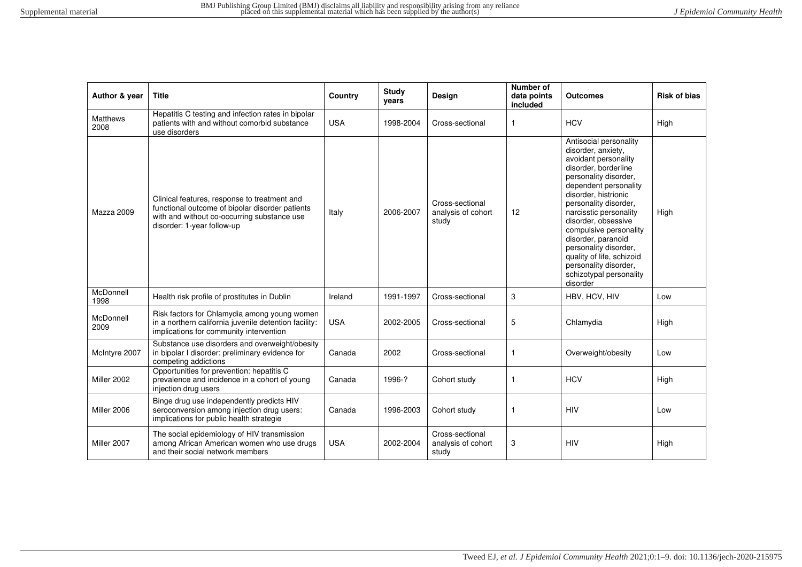| Author & year           | <b>Title</b>                                                                                                                                                                 | Country    | <b>Study</b><br>years | Design                                         | <b>Number of</b><br>data points<br>included | Outcomes                                                                                                                                                                                                                                                                                                                                                                                                               | <b>Risk of bias</b> |
|-------------------------|------------------------------------------------------------------------------------------------------------------------------------------------------------------------------|------------|-----------------------|------------------------------------------------|---------------------------------------------|------------------------------------------------------------------------------------------------------------------------------------------------------------------------------------------------------------------------------------------------------------------------------------------------------------------------------------------------------------------------------------------------------------------------|---------------------|
| <b>Matthews</b><br>2008 | Hepatitis C testing and infection rates in bipolar<br>patients with and without comorbid substance<br>use disorders                                                          | <b>USA</b> | 1998-2004             | Cross-sectional                                | $\mathbf{1}$                                | <b>HCV</b>                                                                                                                                                                                                                                                                                                                                                                                                             | High                |
| Mazza 2009              | Clinical features, response to treatment and<br>functional outcome of bipolar disorder patients<br>with and without co-occurring substance use<br>disorder: 1-year follow-up | Italy      | 2006-2007             | Cross-sectional<br>analysis of cohort<br>study | 12                                          | Antisocial personality<br>disorder, anxiety,<br>avoidant personality<br>disorder, borderline<br>personality disorder,<br>dependent personality<br>disorder, histrionic<br>personality disorder,<br>narcisstic personality<br>disorder, obsessive<br>compulsive personality<br>disorder, paranoid<br>personality disorder,<br>quality of life, schizoid<br>personality disorder,<br>schizotypal personality<br>disorder | High                |
| McDonnell<br>1998       | Health risk profile of prostitutes in Dublin                                                                                                                                 | Ireland    | 1991-1997             | Cross-sectional                                | 3                                           | HBV, HCV, HIV                                                                                                                                                                                                                                                                                                                                                                                                          | Low                 |
| McDonnell<br>2009       | Risk factors for Chlamydia among young women<br>in a northern california juvenile detention facility:<br>implications for community intervention                             | <b>USA</b> | 2002-2005             | Cross-sectional                                | 5                                           | Chlamydia                                                                                                                                                                                                                                                                                                                                                                                                              | High                |
| McIntyre 2007           | Substance use disorders and overweight/obesity<br>in bipolar I disorder: preliminary evidence for<br>competing addictions                                                    | Canada     | 2002                  | Cross-sectional                                | $\mathbf{1}$                                | Overweight/obesity                                                                                                                                                                                                                                                                                                                                                                                                     | Low                 |
| Miller 2002             | Opportunities for prevention: hepatitis C<br>prevalence and incidence in a cohort of young<br>injection drug users                                                           | Canada     | 1996-?                | Cohort study                                   | $\mathbf{1}$                                | <b>HCV</b>                                                                                                                                                                                                                                                                                                                                                                                                             | High                |
| Miller 2006             | Binge drug use independently predicts HIV<br>seroconversion among injection drug users:<br>implications for public health strategie                                          | Canada     | 1996-2003             | Cohort study                                   | $\mathbf{1}$                                | <b>HIV</b>                                                                                                                                                                                                                                                                                                                                                                                                             | Low                 |
| Miller 2007             | The social epidemiology of HIV transmission<br>among African American women who use drugs<br>and their social network members                                                | <b>USA</b> | 2002-2004             | Cross-sectional<br>analysis of cohort<br>study | 3                                           | <b>HIV</b>                                                                                                                                                                                                                                                                                                                                                                                                             | High                |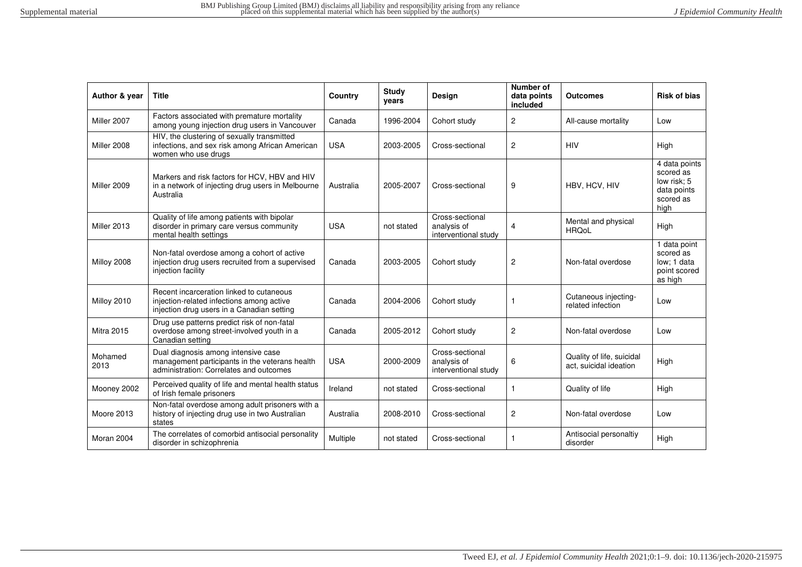| Author & year     | <b>Title</b>                                                                                                                        | Country    | Study<br>years | Design                                                 | Number of<br>data points<br>included | <b>Outcomes</b>                                     | <b>Risk of bias</b>                                                           |
|-------------------|-------------------------------------------------------------------------------------------------------------------------------------|------------|----------------|--------------------------------------------------------|--------------------------------------|-----------------------------------------------------|-------------------------------------------------------------------------------|
| Miller 2007       | Factors associated with premature mortality<br>among young injection drug users in Vancouver                                        | Canada     | 1996-2004      | Cohort study                                           | 2                                    | All-cause mortality                                 | Low                                                                           |
| Miller 2008       | HIV, the clustering of sexually transmitted<br>infections, and sex risk among African American<br>women who use drugs               | <b>USA</b> | 2003-2005      | Cross-sectional                                        | 2                                    | <b>HIV</b>                                          | High                                                                          |
| Miller 2009       | Markers and risk factors for HCV, HBV and HIV<br>in a network of injecting drug users in Melbourne<br>Australia                     | Australia  | 2005-2007      | Cross-sectional                                        | 9                                    | HBV, HCV, HIV                                       | 4 data points<br>scored as<br>low risk: 5<br>data points<br>scored as<br>high |
| Miller 2013       | Quality of life among patients with bipolar<br>disorder in primary care versus community<br>mental health settings                  | <b>USA</b> | not stated     | Cross-sectional<br>analysis of<br>interventional study | 4                                    | Mental and physical<br><b>HRQoL</b>                 | High                                                                          |
| Milloy 2008       | Non-fatal overdose among a cohort of active<br>injection drug users recruited from a supervised<br>injection facility               | Canada     | 2003-2005      | Cohort study                                           | $\mathbf{2}$                         | Non-fatal overdose                                  | 1 data point<br>scored as<br>low: 1 data<br>point scored<br>as high           |
| Milloy 2010       | Recent incarceration linked to cutaneous<br>injection-related infections among active<br>injection drug users in a Canadian setting | Canada     | 2004-2006      | Cohort study                                           | 1                                    | Cutaneous injecting-<br>related infection           | Low                                                                           |
| <b>Mitra 2015</b> | Drug use patterns predict risk of non-fatal<br>overdose among street-involved youth in a<br>Canadian setting                        | Canada     | 2005-2012      | Cohort study                                           | $\mathbf{2}$                         | Non-fatal overdose                                  | Low                                                                           |
| Mohamed<br>2013   | Dual diagnosis among intensive case<br>management participants in the veterans health<br>administration: Correlates and outcomes    | <b>USA</b> | 2000-2009      | Cross-sectional<br>analysis of<br>interventional study | 6                                    | Quality of life, suicidal<br>act, suicidal ideation | High                                                                          |
| Mooney 2002       | Perceived quality of life and mental health status<br>of Irish female prisoners                                                     | Ireland    | not stated     | Cross-sectional                                        | 1                                    | Quality of life                                     | High                                                                          |
| Moore 2013        | Non-fatal overdose among adult prisoners with a<br>history of injecting drug use in two Australian<br>states                        | Australia  | 2008-2010      | Cross-sectional                                        | $\mathbf{2}$                         | Non-fatal overdose                                  | Low                                                                           |
| Moran 2004        | The correlates of comorbid antisocial personality<br>disorder in schizophrenia                                                      | Multiple   | not stated     | Cross-sectional                                        | 1                                    | Antisocial personaltiy<br>disorder                  | High                                                                          |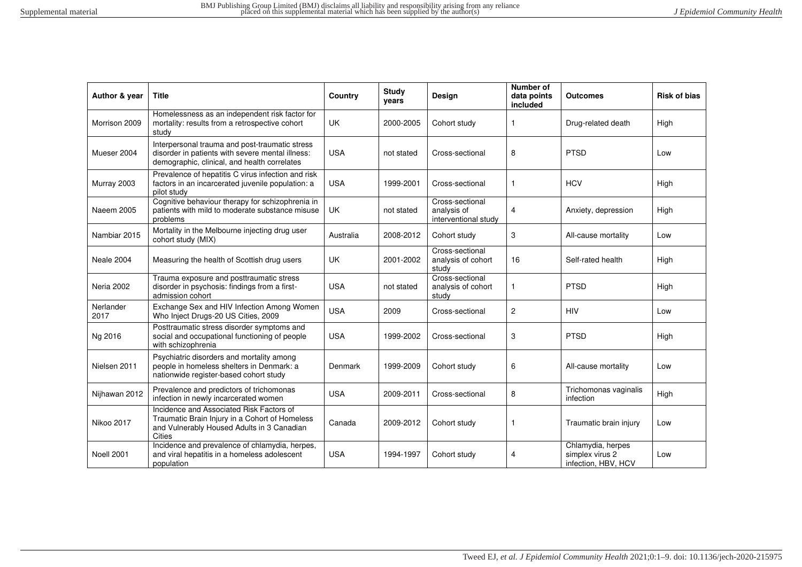| Author & year     | <b>Title</b>                                                                                                                                              | Country    | <b>Study</b><br>vears | Design                                                 | Number of<br>data points<br>included | <b>Outcomes</b>                                             | <b>Risk of bias</b> |
|-------------------|-----------------------------------------------------------------------------------------------------------------------------------------------------------|------------|-----------------------|--------------------------------------------------------|--------------------------------------|-------------------------------------------------------------|---------------------|
| Morrison 2009     | Homelessness as an independent risk factor for<br>mortality: results from a retrospective cohort<br>study                                                 | <b>UK</b>  | 2000-2005             | Cohort study                                           | -1                                   | Drug-related death                                          | High                |
| Mueser 2004       | Interpersonal trauma and post-traumatic stress<br>disorder in patients with severe mental illness:<br>demographic, clinical, and health correlates        | <b>USA</b> | not stated            | Cross-sectional                                        | 8                                    | <b>PTSD</b>                                                 | Low                 |
| Murray 2003       | Prevalence of hepatitis C virus infection and risk<br>factors in an incarcerated juvenile population: a<br>pilot study                                    | <b>USA</b> | 1999-2001             | Cross-sectional                                        |                                      | <b>HCV</b>                                                  | High                |
| Naeem 2005        | Cognitive behaviour therapy for schizophrenia in<br>patients with mild to moderate substance misuse<br>problems                                           | UK         | not stated            | Cross-sectional<br>analysis of<br>interventional study | $\overline{4}$                       | Anxiety, depression                                         | High                |
| Nambiar 2015      | Mortality in the Melbourne injecting drug user<br>cohort study (MIX)                                                                                      | Australia  | 2008-2012             | Cohort study                                           | 3                                    | All-cause mortality                                         | Low                 |
| Neale 2004        | Measuring the health of Scottish drug users                                                                                                               | <b>UK</b>  | 2001-2002             | Cross-sectional<br>analysis of cohort<br>study         | 16                                   | Self-rated health                                           | High                |
| <b>Neria 2002</b> | Trauma exposure and posttraumatic stress<br>disorder in psychosis: findings from a first-<br>admission cohort                                             | <b>USA</b> | not stated            | Cross-sectional<br>analysis of cohort<br>study         | 1                                    | <b>PTSD</b>                                                 | High                |
| Nerlander<br>2017 | Exchange Sex and HIV Infection Among Women<br>Who Inject Drugs-20 US Cities, 2009                                                                         | <b>USA</b> | 2009                  | Cross-sectional                                        | $\overline{2}$                       | <b>HIV</b>                                                  | Low                 |
| Ng 2016           | Posttraumatic stress disorder symptoms and<br>social and occupational functioning of people<br>with schizophrenia                                         | <b>USA</b> | 1999-2002             | Cross-sectional                                        | 3                                    | <b>PTSD</b>                                                 | High                |
| Nielsen 2011      | Psychiatric disorders and mortality among<br>people in homeless shelters in Denmark: a<br>nationwide register-based cohort study                          | Denmark    | 1999-2009             | Cohort study                                           | 6                                    | All-cause mortality                                         | Low                 |
| Nijhawan 2012     | Prevalence and predictors of trichomonas<br>infection in newly incarcerated women                                                                         | <b>USA</b> | 2009-2011             | Cross-sectional                                        | 8                                    | Trichomonas vaginalis<br>infection                          | High                |
| Nikoo 2017        | Incidence and Associated Risk Factors of<br>Traumatic Brain Injury in a Cohort of Homeless<br>and Vulnerably Housed Adults in 3 Canadian<br><b>Cities</b> | Canada     | 2009-2012             | Cohort study                                           | 1                                    | Traumatic brain injury                                      | Low                 |
| Noell 2001        | Incidence and prevalence of chlamydia, herpes,<br>and viral hepatitis in a homeless adolescent<br>population                                              | <b>USA</b> | 1994-1997             | Cohort study                                           | $\overline{4}$                       | Chlamydia, herpes<br>simplex virus 2<br>infection, HBV, HCV | Low                 |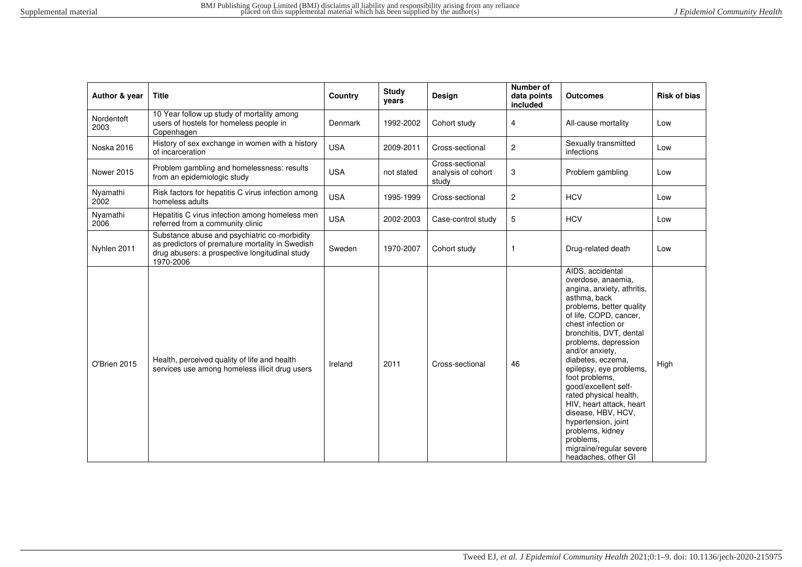| Author & year      | <b>Title</b>                                                                                                                                                   | Country    | <b>Study</b><br>years | <b>Design</b>                                  | Number of<br>data points<br>included | <b>Outcomes</b>                                                                                                                                                                                                                                                                                                                                                                                                                                                                                                        | <b>Risk of bias</b> |
|--------------------|----------------------------------------------------------------------------------------------------------------------------------------------------------------|------------|-----------------------|------------------------------------------------|--------------------------------------|------------------------------------------------------------------------------------------------------------------------------------------------------------------------------------------------------------------------------------------------------------------------------------------------------------------------------------------------------------------------------------------------------------------------------------------------------------------------------------------------------------------------|---------------------|
| Nordentoft<br>2003 | 10 Year follow up study of mortality among<br>users of hostels for homeless people in<br>Copenhagen                                                            | Denmark    | 1992-2002             | Cohort study                                   | 4                                    | All-cause mortality                                                                                                                                                                                                                                                                                                                                                                                                                                                                                                    | Low                 |
| <b>Noska 2016</b>  | History of sex exchange in women with a history<br>of incarceration                                                                                            | <b>USA</b> | 2009-2011             | Cross-sectional                                | $\overline{c}$                       | Sexually transmitted<br>infections                                                                                                                                                                                                                                                                                                                                                                                                                                                                                     | Low                 |
| <b>Nower 2015</b>  | Problem gambling and homelessness: results<br>from an epidemiologic study                                                                                      | <b>USA</b> | not stated            | Cross-sectional<br>analysis of cohort<br>study | 3                                    | Problem gambling                                                                                                                                                                                                                                                                                                                                                                                                                                                                                                       | Low                 |
| Nyamathi<br>2002   | Risk factors for hepatitis C virus infection among<br>homeless adults                                                                                          | <b>USA</b> | 1995-1999             | Cross-sectional                                | $\overline{c}$                       | <b>HCV</b>                                                                                                                                                                                                                                                                                                                                                                                                                                                                                                             | Low                 |
| Nyamathi<br>2006   | Hepatitis C virus infection among homeless men<br>referred from a community clinic                                                                             | <b>USA</b> | 2002-2003             | Case-control study                             | 5                                    | <b>HCV</b>                                                                                                                                                                                                                                                                                                                                                                                                                                                                                                             | Low                 |
| Nyhlen 2011        | Substance abuse and psychiatric co-morbidity<br>as predictors of premature mortality in Swedish<br>drug abusers: a prospective longitudinal study<br>1970-2006 | Sweden     | 1970-2007             | Cohort study                                   | 1                                    | Drug-related death                                                                                                                                                                                                                                                                                                                                                                                                                                                                                                     | Low                 |
| O'Brien 2015       | Health, perceived quality of life and health<br>services use among homeless illicit drug users                                                                 | Ireland    | 2011                  | Cross-sectional                                | 46                                   | AIDS, accidental<br>overdose, anaemia,<br>angina, anxiety, athritis,<br>asthma, back<br>problems, better quality<br>of life, COPD, cancer,<br>chest infection or<br>bronchitis, DVT, dental<br>problems, depression<br>and/or anxiety,<br>diabetes, eczema,<br>epilepsy, eye problems,<br>foot problems,<br>qood/excellent self-<br>rated physical health,<br>HIV, heart attack, heart<br>disease, HBV, HCV,<br>hypertension, joint<br>problems, kidney<br>problems.<br>migraine/regular severe<br>headaches, other GI | High                |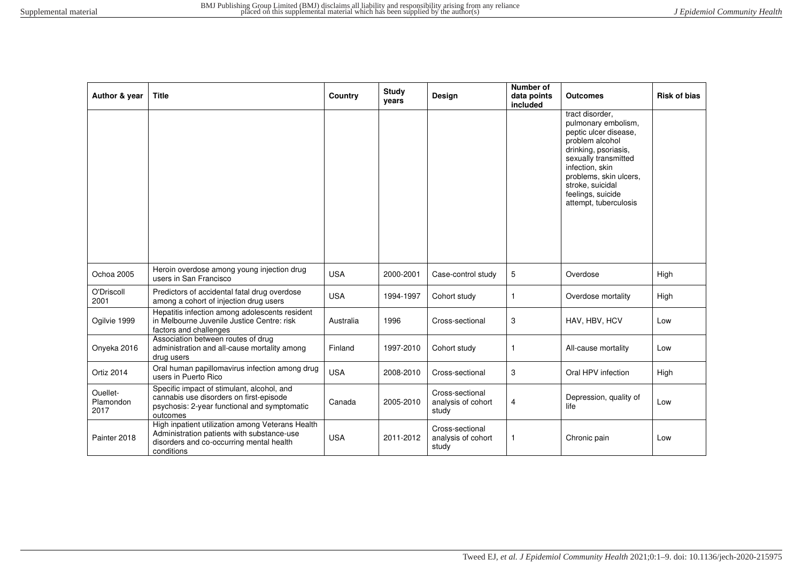| Author & year                 | <b>Title</b>                                                                                                                                             | Country    | Study<br>years | Design                                         | Number of<br>data points<br>included | <b>Outcomes</b>                                                                                                                                                                                                                                   | <b>Risk of bias</b> |
|-------------------------------|----------------------------------------------------------------------------------------------------------------------------------------------------------|------------|----------------|------------------------------------------------|--------------------------------------|---------------------------------------------------------------------------------------------------------------------------------------------------------------------------------------------------------------------------------------------------|---------------------|
|                               |                                                                                                                                                          |            |                |                                                |                                      | tract disorder.<br>pulmonary embolism,<br>peptic ulcer disease.<br>problem alcohol<br>drinking, psoriasis,<br>sexually transmitted<br>infection, skin<br>problems, skin ulcers,<br>stroke, suicidal<br>feelings, suicide<br>attempt, tuberculosis |                     |
| Ochoa 2005                    | Heroin overdose among young injection drug<br>users in San Francisco                                                                                     | <b>USA</b> | 2000-2001      | Case-control study                             | 5                                    | Overdose                                                                                                                                                                                                                                          | High                |
| O'Driscoll<br>2001            | Predictors of accidental fatal drug overdose<br>among a cohort of injection drug users                                                                   | <b>USA</b> | 1994-1997      | Cohort study                                   | $\mathbf{1}$                         | Overdose mortality                                                                                                                                                                                                                                | High                |
| Ogilvie 1999                  | Hepatitis infection among adolescents resident<br>in Melbourne Juvenile Justice Centre: risk<br>factors and challenges                                   | Australia  | 1996           | Cross-sectional                                | 3                                    | HAV, HBV, HCV                                                                                                                                                                                                                                     | Low                 |
| Onyeka 2016                   | Association between routes of drug<br>administration and all-cause mortality among<br>drug users                                                         | Finland    | 1997-2010      | Cohort study                                   | 1                                    | All-cause mortality                                                                                                                                                                                                                               | Low                 |
| Ortiz 2014                    | Oral human papillomavirus infection among drug<br>users in Puerto Rico                                                                                   | <b>USA</b> | 2008-2010      | Cross-sectional                                | 3                                    | Oral HPV infection                                                                                                                                                                                                                                | High                |
| Ouellet-<br>Plamondon<br>2017 | Specific impact of stimulant, alcohol, and<br>cannabis use disorders on first-episode<br>psychosis: 2-year functional and symptomatic<br>outcomes        | Canada     | 2005-2010      | Cross-sectional<br>analysis of cohort<br>study | 4                                    | Depression, quality of<br>life                                                                                                                                                                                                                    | Low                 |
| Painter 2018                  | High inpatient utilization among Veterans Health<br>Administration patients with substance-use<br>disorders and co-occurring mental health<br>conditions | <b>USA</b> | 2011-2012      | Cross-sectional<br>analysis of cohort<br>study | 1                                    | Chronic pain                                                                                                                                                                                                                                      | Low                 |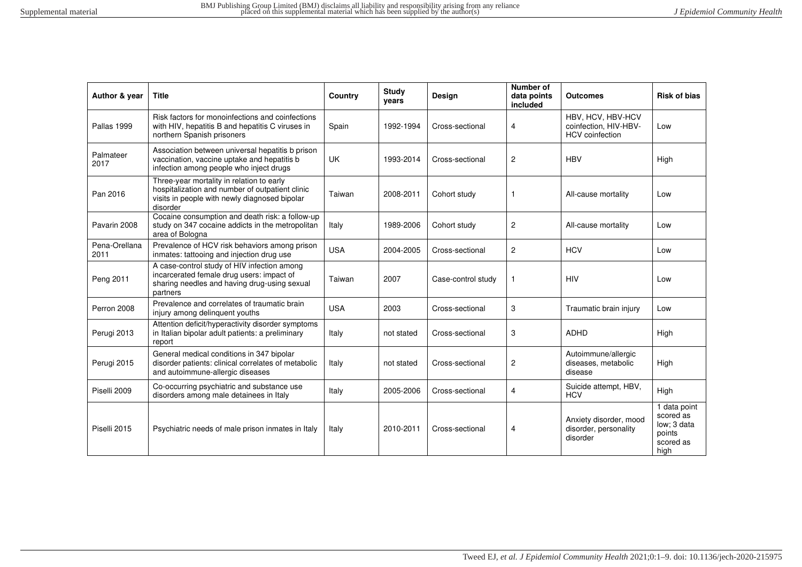| Author & year         | <b>Title</b>                                                                                                                                              | Country    | <b>Study</b><br>years | Design             | Number of<br>data points<br>included | Outcomes                                                             | <b>Risk of bias</b>                                                     |
|-----------------------|-----------------------------------------------------------------------------------------------------------------------------------------------------------|------------|-----------------------|--------------------|--------------------------------------|----------------------------------------------------------------------|-------------------------------------------------------------------------|
| Pallas 1999           | Risk factors for monoinfections and coinfections<br>with HIV, hepatitis B and hepatitis C viruses in<br>northern Spanish prisoners                        | Spain      | 1992-1994             | Cross-sectional    | 4                                    | HBV, HCV, HBV-HCV<br>coinfection, HIV-HBV-<br><b>HCV</b> coinfection | Low                                                                     |
| Palmateer<br>2017     | Association between universal hepatitis b prison<br>vaccination, vaccine uptake and hepatitis b<br>infection among people who inject drugs                | <b>UK</b>  | 1993-2014             | Cross-sectional    | $\overline{c}$                       | <b>HBV</b>                                                           | High                                                                    |
| Pan 2016              | Three-year mortality in relation to early<br>hospitalization and number of outpatient clinic<br>visits in people with newly diagnosed bipolar<br>disorder | Taiwan     | 2008-2011             | Cohort study       | -1                                   | All-cause mortality                                                  | Low                                                                     |
| Pavarin 2008          | Cocaine consumption and death risk: a follow-up<br>study on 347 cocaine addicts in the metropolitan<br>area of Bologna                                    | Italy      | 1989-2006             | Cohort study       | $\overline{2}$                       | All-cause mortality                                                  | Low                                                                     |
| Pena-Orellana<br>2011 | Prevalence of HCV risk behaviors among prison<br>inmates: tattooing and injection drug use                                                                | <b>USA</b> | 2004-2005             | Cross-sectional    | $\overline{2}$                       | <b>HCV</b>                                                           | Low                                                                     |
| Peng 2011             | A case-control study of HIV infection among<br>incarcerated female drug users: impact of<br>sharing needles and having drug-using sexual<br>partners      | Taiwan     | 2007                  | Case-control study |                                      | <b>HIV</b>                                                           | Low                                                                     |
| Perron 2008           | Prevalence and correlates of traumatic brain<br>injury among delinquent youths                                                                            | <b>USA</b> | 2003                  | Cross-sectional    | 3                                    | Traumatic brain injury                                               | Low                                                                     |
| Perugi 2013           | Attention deficit/hyperactivity disorder symptoms<br>in Italian bipolar adult patients: a preliminary<br>report                                           | Italy      | not stated            | Cross-sectional    | 3                                    | <b>ADHD</b>                                                          | High                                                                    |
| Perugi 2015           | General medical conditions in 347 bipolar<br>disorder patients: clinical correlates of metabolic<br>and autoimmune-allergic diseases                      | Italy      | not stated            | Cross-sectional    | $\overline{c}$                       | Autoimmune/allergic<br>diseases, metabolic<br>disease                | High                                                                    |
| Piselli 2009          | Co-occurring psychiatric and substance use<br>disorders among male detainees in Italy                                                                     | Italy      | 2005-2006             | Cross-sectional    | $\overline{4}$                       | Suicide attempt, HBV,<br><b>HCV</b>                                  | High                                                                    |
| Piselli 2015          | Psychiatric needs of male prison inmates in Italy                                                                                                         | Italy      | 2010-2011             | Cross-sectional    | 4                                    | Anxiety disorder, mood<br>disorder, personality<br>disorder          | 1 data point<br>scored as<br>low; 3 data<br>points<br>scored as<br>high |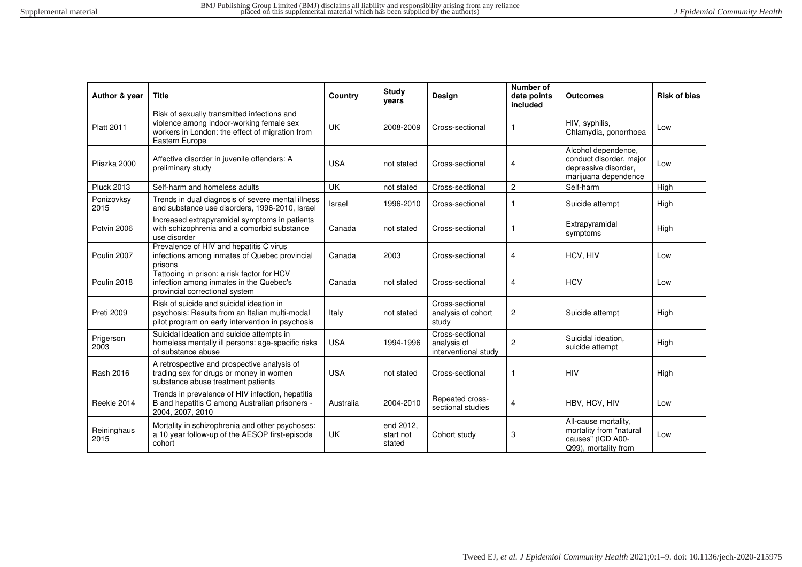| Author & year       | <b>Title</b>                                                                                                                                                 | Country    | <b>Study</b><br>vears            | <b>Design</b>                                          | Number of<br>data points<br>included | Outcomes                                                                                       | <b>Risk of bias</b> |
|---------------------|--------------------------------------------------------------------------------------------------------------------------------------------------------------|------------|----------------------------------|--------------------------------------------------------|--------------------------------------|------------------------------------------------------------------------------------------------|---------------------|
| <b>Platt 2011</b>   | Risk of sexually transmitted infections and<br>violence among indoor-working female sex<br>workers in London: the effect of migration from<br>Eastern Europe | <b>UK</b>  | 2008-2009                        | Cross-sectional                                        | $\mathbf{1}$                         | HIV, syphilis,<br>Chlamydia, gonorrhoea                                                        | Low                 |
| Pliszka 2000        | Affective disorder in juvenile offenders: A<br>preliminary study                                                                                             | <b>USA</b> | not stated                       | Cross-sectional                                        | 4                                    | Alcohol dependence,<br>conduct disorder, major<br>depressive disorder,<br>marijuana dependence | Low                 |
| <b>Pluck 2013</b>   | Self-harm and homeless adults                                                                                                                                | <b>UK</b>  | not stated                       | Cross-sectional                                        | $\overline{c}$                       | Self-harm                                                                                      | High                |
| Ponizovksy<br>2015  | Trends in dual diagnosis of severe mental illness<br>and substance use disorders, 1996-2010, Israel                                                          | Israel     | 1996-2010                        | Cross-sectional                                        | -1                                   | Suicide attempt                                                                                | High                |
| Potvin 2006         | Increased extrapyramidal symptoms in patients<br>with schizophrenia and a comorbid substance<br>use disorder                                                 | Canada     | not stated                       | Cross-sectional                                        |                                      | Extrapyramidal<br>symptoms                                                                     | High                |
| Poulin 2007         | Prevalence of HIV and hepatitis C virus<br>infections among inmates of Quebec provincial<br>prisons                                                          | Canada     | 2003                             | Cross-sectional                                        | 4                                    | HCV, HIV                                                                                       | Low                 |
| Poulin 2018         | Tattooing in prison: a risk factor for HCV<br>infection among inmates in the Quebec's<br>provincial correctional system                                      | Canada     | not stated                       | Cross-sectional                                        | 4                                    | <b>HCV</b>                                                                                     | Low                 |
| <b>Preti 2009</b>   | Risk of suicide and suicidal ideation in<br>psychosis: Results from an Italian multi-modal<br>pilot program on early intervention in psychosis               | Italy      | not stated                       | Cross-sectional<br>analysis of cohort<br>study         | $\overline{c}$                       | Suicide attempt                                                                                | High                |
| Prigerson<br>2003   | Suicidal ideation and suicide attempts in<br>homeless mentally ill persons: age-specific risks<br>of substance abuse                                         | <b>USA</b> | 1994-1996                        | Cross-sectional<br>analysis of<br>interventional study | $\overline{2}$                       | Suicidal ideation,<br>suicide attempt                                                          | High                |
| Rash 2016           | A retrospective and prospective analysis of<br>trading sex for drugs or money in women<br>substance abuse treatment patients                                 | <b>USA</b> | not stated                       | Cross-sectional                                        |                                      | <b>HIV</b>                                                                                     | High                |
| Reekie 2014         | Trends in prevalence of HIV infection, hepatitis<br>B and hepatitis C among Australian prisoners -<br>2004, 2007, 2010                                       | Australia  | 2004-2010                        | Repeated cross-<br>sectional studies                   | 4                                    | HBV, HCV, HIV                                                                                  | Low                 |
| Reininghaus<br>2015 | Mortality in schizophrenia and other psychoses:<br>a 10 year follow-up of the AESOP first-episode<br>cohort                                                  | <b>UK</b>  | end 2012,<br>start not<br>stated | Cohort study                                           | 3                                    | All-cause mortality,<br>mortality from "natural<br>causes" (ICD A00-<br>Q99), mortality from   | Low                 |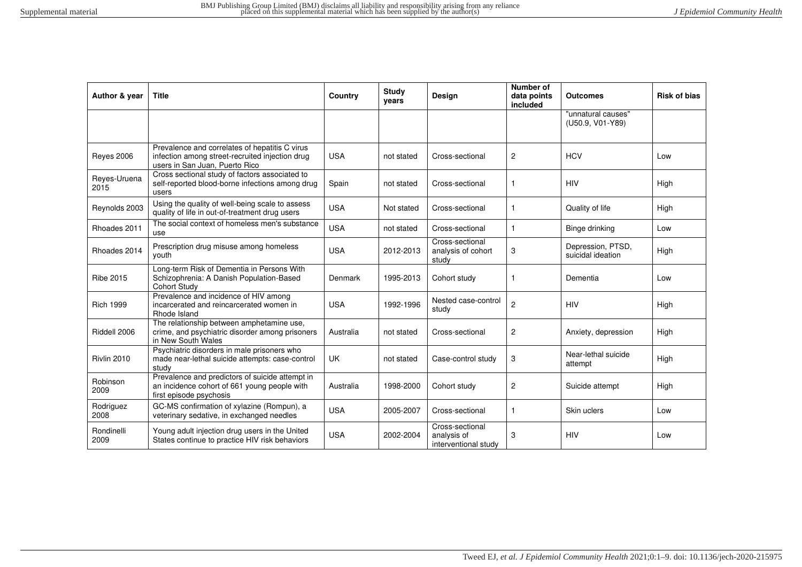| Author & year        | <b>Title</b>                                                                                                                        | Country    | <b>Study</b><br>years | Design                                                 | Number of<br>data points<br>included | <b>Outcomes</b>                        | <b>Risk of bias</b> |
|----------------------|-------------------------------------------------------------------------------------------------------------------------------------|------------|-----------------------|--------------------------------------------------------|--------------------------------------|----------------------------------------|---------------------|
|                      |                                                                                                                                     |            |                       |                                                        |                                      | "unnatural causes"<br>(U50.9, V01-Y89) |                     |
| <b>Reves 2006</b>    | Prevalence and correlates of hepatitis C virus<br>infection among street-recruited injection drug<br>users in San Juan, Puerto Rico | <b>USA</b> | not stated            | Cross-sectional                                        | $\overline{c}$                       | <b>HCV</b>                             | Low                 |
| Reyes-Uruena<br>2015 | Cross sectional study of factors associated to<br>self-reported blood-borne infections among drug<br>users                          | Spain      | not stated            | Cross-sectional                                        | -1                                   | <b>HIV</b>                             | High                |
| Reynolds 2003        | Using the quality of well-being scale to assess<br>quality of life in out-of-treatment drug users                                   | <b>USA</b> | Not stated            | Cross-sectional                                        | $\mathbf{1}$                         | Quality of life                        | High                |
| Rhoades 2011         | The social context of homeless men's substance<br>use                                                                               | <b>USA</b> | not stated            | Cross-sectional                                        | $\mathbf{1}$                         | Binge drinking                         | Low                 |
| Rhoades 2014         | Prescription drug misuse among homeless<br>youth                                                                                    | <b>USA</b> | 2012-2013             | Cross-sectional<br>analysis of cohort<br>study         | 3                                    | Depression, PTSD,<br>suicidal ideation | High                |
| <b>Ribe 2015</b>     | Long-term Risk of Dementia in Persons With<br>Schizophrenia: A Danish Population-Based<br><b>Cohort Study</b>                       | Denmark    | 1995-2013             | Cohort study                                           |                                      | Dementia                               | Low                 |
| <b>Rich 1999</b>     | Prevalence and incidence of HIV among<br>incarcerated and reincarcerated women in<br>Rhode Island                                   | <b>USA</b> | 1992-1996             | Nested case-control<br>study                           | $\overline{2}$                       | <b>HIV</b>                             | High                |
| Riddell 2006         | The relationship between amphetamine use,<br>crime, and psychiatric disorder among prisoners<br>in New South Wales                  | Australia  | not stated            | Cross-sectional                                        | $\overline{c}$                       | Anxiety, depression                    | High                |
| Rivlin 2010          | Psychiatric disorders in male prisoners who<br>made near-lethal suicide attempts: case-control<br>study                             | UK         | not stated            | Case-control study                                     | 3                                    | Near-lethal suicide<br>attempt         | High                |
| Robinson<br>2009     | Prevalence and predictors of suicide attempt in<br>an incidence cohort of 661 young people with<br>first episode psychosis          | Australia  | 1998-2000             | Cohort study                                           | $\overline{c}$                       | Suicide attempt                        | High                |
| Rodriguez<br>2008    | GC-MS confirmation of xylazine (Rompun), a<br>veterinary sedative, in exchanged needles                                             | <b>USA</b> | 2005-2007             | Cross-sectional                                        | 1                                    | Skin uclers                            | Low                 |
| Rondinelli<br>2009   | Young adult injection drug users in the United<br>States continue to practice HIV risk behaviors                                    | <b>USA</b> | 2002-2004             | Cross-sectional<br>analysis of<br>interventional study | 3                                    | <b>HIV</b>                             | Low                 |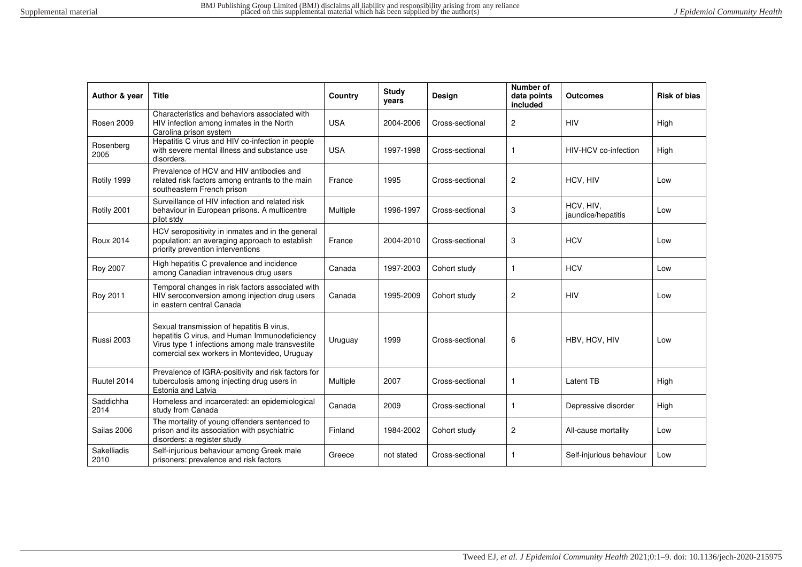| Author & year       | <b>Title</b>                                                                                                                                                                                  | Country    | Study<br>years | Design          | Number of<br>data points<br>included | <b>Outcomes</b>                 | <b>Risk of bias</b> |
|---------------------|-----------------------------------------------------------------------------------------------------------------------------------------------------------------------------------------------|------------|----------------|-----------------|--------------------------------------|---------------------------------|---------------------|
| <b>Rosen 2009</b>   | Characteristics and behaviors associated with<br>HIV infection among inmates in the North<br>Carolina prison system                                                                           | <b>USA</b> | 2004-2006      | Cross-sectional | $\overline{c}$                       | <b>HIV</b>                      | High                |
| Rosenberg<br>2005   | Hepatitis C virus and HIV co-infection in people<br>with severe mental illness and substance use<br>disorders.                                                                                | <b>USA</b> | 1997-1998      | Cross-sectional | $\mathbf{1}$                         | HIV-HCV co-infection            | High                |
| Rotily 1999         | Prevalence of HCV and HIV antibodies and<br>related risk factors among entrants to the main<br>southeastern French prison                                                                     | France     | 1995           | Cross-sectional | $\overline{2}$                       | HCV, HIV                        | Low                 |
| Rotily 2001         | Surveillance of HIV infection and related risk<br>behaviour in European prisons. A multicentre<br>pilot stdy                                                                                  | Multiple   | 1996-1997      | Cross-sectional | 3                                    | HCV, HIV,<br>jaundice/hepatitis | Low                 |
| <b>Roux 2014</b>    | HCV seropositivity in inmates and in the general<br>population: an averaging approach to establish<br>priority prevention interventions                                                       | France     | 2004-2010      | Cross-sectional | 3                                    | <b>HCV</b>                      | Low                 |
| Roy 2007            | High hepatitis C prevalence and incidence<br>among Canadian intravenous drug users                                                                                                            | Canada     | 1997-2003      | Cohort study    | $\mathbf{1}$                         | <b>HCV</b>                      | Low                 |
| Roy 2011            | Temporal changes in risk factors associated with<br>HIV seroconversion among injection drug users<br>in eastern central Canada                                                                | Canada     | 1995-2009      | Cohort study    | 2                                    | <b>HIV</b>                      | Low                 |
| <b>Russi 2003</b>   | Sexual transmission of hepatitis B virus,<br>hepatitis C virus, and Human Immunodeficiency<br>Virus type 1 infections among male transvestite<br>comercial sex workers in Montevideo, Uruguay | Uruguay    | 1999           | Cross-sectional | 6                                    | HBV, HCV, HIV                   | Low                 |
| Ruutel 2014         | Prevalence of IGRA-positivity and risk factors for<br>tuberculosis among injecting drug users in<br>Estonia and Latvia                                                                        | Multiple   | 2007           | Cross-sectional | $\mathbf{1}$                         | Latent TB                       | High                |
| Saddichha<br>2014   | Homeless and incarcerated: an epidemiological<br>study from Canada                                                                                                                            | Canada     | 2009           | Cross-sectional | $\mathbf{1}$                         | Depressive disorder             | High                |
| Sailas 2006         | The mortality of young offenders sentenced to<br>prison and its association with psychiatric<br>disorders: a register study                                                                   | Finland    | 1984-2002      | Cohort study    | $\overline{2}$                       | All-cause mortality             | Low                 |
| Sakelliadis<br>2010 | Self-injurious behaviour among Greek male<br>prisoners: prevalence and risk factors                                                                                                           | Greece     | not stated     | Cross-sectional | $\mathbf{1}$                         | Self-injurious behaviour        | Low                 |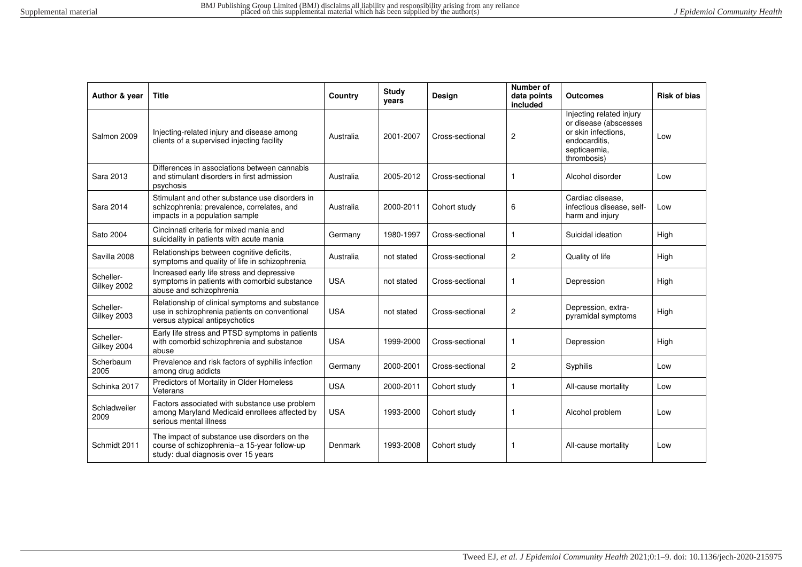| Author & year            | Title                                                                                                                               | Country    | <b>Study</b><br>years | <b>Design</b>   | Number of<br>data points<br>included | <b>Outcomes</b>                                                                                                          | <b>Risk of bias</b> |
|--------------------------|-------------------------------------------------------------------------------------------------------------------------------------|------------|-----------------------|-----------------|--------------------------------------|--------------------------------------------------------------------------------------------------------------------------|---------------------|
| Salmon 2009              | Injecting-related injury and disease among<br>clients of a supervised injecting facility                                            | Australia  | 2001-2007             | Cross-sectional | $\overline{c}$                       | Injecting related injury<br>or disease (abscesses<br>or skin infections.<br>endocarditis.<br>septicaemia,<br>thrombosis) | Low                 |
| Sara 2013                | Differences in associations between cannabis<br>and stimulant disorders in first admission<br>psychosis                             | Australia  | 2005-2012             | Cross-sectional | 1                                    | Alcohol disorder                                                                                                         | Low                 |
| Sara 2014                | Stimulant and other substance use disorders in<br>schizophrenia: prevalence, correlates, and<br>impacts in a population sample      | Australia  | 2000-2011             | Cohort study    | 6                                    | Cardiac disease.<br>infectious disease, self-<br>harm and injury                                                         | Low                 |
| Sato 2004                | Cincinnati criteria for mixed mania and<br>suicidality in patients with acute mania                                                 | Germany    | 1980-1997             | Cross-sectional | $\mathbf{1}$                         | Suicidal ideation                                                                                                        | High                |
| Savilla 2008             | Relationships between cognitive deficits,<br>symptoms and quality of life in schizophrenia                                          | Australia  | not stated            | Cross-sectional | $\overline{2}$                       | Quality of life                                                                                                          | High                |
| Scheller-<br>Gilkey 2002 | Increased early life stress and depressive<br>symptoms in patients with comorbid substance<br>abuse and schizophrenia               | <b>USA</b> | not stated            | Cross-sectional | $\mathbf{1}$                         | Depression                                                                                                               | High                |
| Scheller-<br>Gilkey 2003 | Relationship of clinical symptoms and substance<br>use in schizophrenia patients on conventional<br>versus atypical antipsychotics  | <b>USA</b> | not stated            | Cross-sectional | $\overline{2}$                       | Depression, extra-<br>pyramidal symptoms                                                                                 | High                |
| Scheller-<br>Gilkey 2004 | Early life stress and PTSD symptoms in patients<br>with comorbid schizophrenia and substance<br>abuse                               | <b>USA</b> | 1999-2000             | Cross-sectional | $\mathbf{1}$                         | Depression                                                                                                               | High                |
| Scherbaum<br>2005        | Prevalence and risk factors of syphilis infection<br>among drug addicts                                                             | Germany    | 2000-2001             | Cross-sectional | $\overline{2}$                       | Syphilis                                                                                                                 | Low                 |
| Schinka 2017             | Predictors of Mortality in Older Homeless<br>Veterans                                                                               | <b>USA</b> | 2000-2011             | Cohort study    | $\mathbf{1}$                         | All-cause mortality                                                                                                      | Low                 |
| Schladweiler<br>2009     | Factors associated with substance use problem<br>among Maryland Medicaid enrollees affected by<br>serious mental illness            | <b>USA</b> | 1993-2000             | Cohort study    | -1                                   | Alcohol problem                                                                                                          | Low                 |
| Schmidt 2011             | The impact of substance use disorders on the<br>course of schizophrenia--a 15-year follow-up<br>study: dual diagnosis over 15 years | Denmark    | 1993-2008             | Cohort study    | -1                                   | All-cause mortality                                                                                                      | Low                 |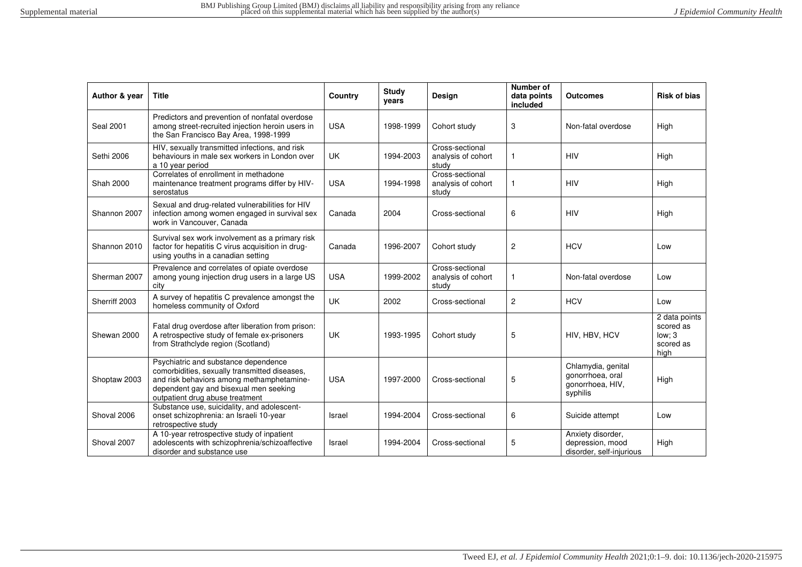| Author & year    | <b>Title</b>                                                                                                                                                                                                    | Country    | <b>Study</b><br>years | Design                                         | Number of<br>data points<br>included | <b>Outcomes</b>                                                        | <b>Risk of bias</b>                                       |
|------------------|-----------------------------------------------------------------------------------------------------------------------------------------------------------------------------------------------------------------|------------|-----------------------|------------------------------------------------|--------------------------------------|------------------------------------------------------------------------|-----------------------------------------------------------|
| <b>Seal 2001</b> | Predictors and prevention of nonfatal overdose<br>among street-recruited injection heroin users in<br>the San Francisco Bay Area, 1998-1999                                                                     | <b>USA</b> | 1998-1999             | Cohort study                                   | 3                                    | Non-fatal overdose                                                     | High                                                      |
| Sethi 2006       | HIV, sexually transmitted infections, and risk<br>behaviours in male sex workers in London over<br>a 10 year period                                                                                             | UK         | 1994-2003             | Cross-sectional<br>analysis of cohort<br>study | 1                                    | <b>HIV</b>                                                             | High                                                      |
| Shah 2000        | Correlates of enrollment in methadone<br>maintenance treatment programs differ by HIV-<br>serostatus                                                                                                            | <b>USA</b> | 1994-1998             | Cross-sectional<br>analysis of cohort<br>study | $\mathbf{1}$                         | <b>HIV</b>                                                             | High                                                      |
| Shannon 2007     | Sexual and drug-related vulnerabilities for HIV<br>infection among women engaged in survival sex<br>work in Vancouver, Canada                                                                                   | Canada     | 2004                  | Cross-sectional                                | 6                                    | <b>HIV</b>                                                             | High                                                      |
| Shannon 2010     | Survival sex work involvement as a primary risk<br>factor for hepatitis C virus acquisition in drug-<br>using youths in a canadian setting                                                                      | Canada     | 1996-2007             | Cohort study                                   | $\overline{c}$                       | <b>HCV</b>                                                             | Low                                                       |
| Sherman 2007     | Prevalence and correlates of opiate overdose<br>among young injection drug users in a large US<br>city                                                                                                          | <b>USA</b> | 1999-2002             | Cross-sectional<br>analysis of cohort<br>study |                                      | Non-fatal overdose                                                     | Low                                                       |
| Sherriff 2003    | A survey of hepatitis C prevalence amongst the<br>homeless community of Oxford                                                                                                                                  | <b>UK</b>  | 2002                  | Cross-sectional                                | $\overline{2}$                       | <b>HCV</b>                                                             | Low                                                       |
| Shewan 2000      | Fatal drug overdose after liberation from prison:<br>A retrospective study of female ex-prisoners<br>from Strathclyde region (Scotland)                                                                         | UK         | 1993-1995             | Cohort study                                   | 5                                    | HIV, HBV, HCV                                                          | 2 data points<br>scored as<br>low: 3<br>scored as<br>high |
| Shoptaw 2003     | Psychiatric and substance dependence<br>comorbidities, sexually transmitted diseases,<br>and risk behaviors among methamphetamine-<br>dependent gay and bisexual men seeking<br>outpatient drug abuse treatment | <b>USA</b> | 1997-2000             | Cross-sectional                                | 5                                    | Chlamydia, genital<br>gonorrhoea, oral<br>gonorrhoea, HIV,<br>syphilis | High                                                      |
| Shoval 2006      | Substance use, suicidality, and adolescent-<br>onset schizophrenia: an Israeli 10-year<br>retrospective study                                                                                                   | Israel     | 1994-2004             | Cross-sectional                                | 6                                    | Suicide attempt                                                        | Low                                                       |
| Shoval 2007      | A 10-year retrospective study of inpatient<br>adolescents with schizophrenia/schizoaffective<br>disorder and substance use                                                                                      | Israel     | 1994-2004             | Cross-sectional                                | 5                                    | Anxiety disorder,<br>depression, mood<br>disorder, self-injurious      | High                                                      |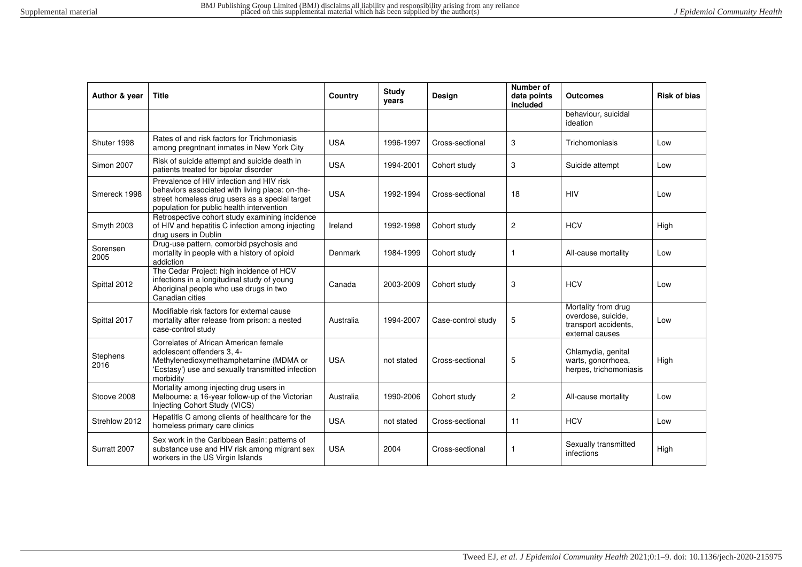| Author & year     | Title                                                                                                                                                                                      | Country    | <b>Study</b><br>years | Design             | Number of<br>data points<br>included | <b>Outcomes</b>                                                                      | <b>Risk of bias</b> |
|-------------------|--------------------------------------------------------------------------------------------------------------------------------------------------------------------------------------------|------------|-----------------------|--------------------|--------------------------------------|--------------------------------------------------------------------------------------|---------------------|
|                   |                                                                                                                                                                                            |            |                       |                    |                                      | behaviour, suicidal<br>ideation                                                      |                     |
| Shuter 1998       | Rates of and risk factors for Trichmoniasis<br>among pregntnant inmates in New York City                                                                                                   | <b>USA</b> | 1996-1997             | Cross-sectional    | 3                                    | Trichomoniasis                                                                       | Low                 |
| <b>Simon 2007</b> | Risk of suicide attempt and suicide death in<br>patients treated for bipolar disorder                                                                                                      | <b>USA</b> | 1994-2001             | Cohort study       | 3                                    | Suicide attempt                                                                      | Low                 |
| Smereck 1998      | Prevalence of HIV infection and HIV risk<br>behaviors associated with living place: on-the-<br>street homeless drug users as a special target<br>population for public health intervention | <b>USA</b> | 1992-1994             | Cross-sectional    | 18                                   | <b>HIV</b>                                                                           | Low                 |
| Smyth 2003        | Retrospective cohort study examining incidence<br>of HIV and hepatitis C infection among injecting<br>drug users in Dublin                                                                 | Ireland    | 1992-1998             | Cohort study       | $\overline{2}$                       | <b>HCV</b>                                                                           | High                |
| Sorensen<br>2005  | Drug-use pattern, comorbid psychosis and<br>mortality in people with a history of opioid<br>addiction                                                                                      | Denmark    | 1984-1999             | Cohort study       | 1                                    | All-cause mortality                                                                  | Low                 |
| Spittal 2012      | The Cedar Project: high incidence of HCV<br>infections in a longitudinal study of young<br>Aboriginal people who use drugs in two<br>Canadian cities                                       | Canada     | 2003-2009             | Cohort study       | 3                                    | <b>HCV</b>                                                                           | Low                 |
| Spittal 2017      | Modifiable risk factors for external cause<br>mortality after release from prison: a nested<br>case-control study                                                                          | Australia  | 1994-2007             | Case-control study | 5                                    | Mortality from drug<br>overdose, suicide,<br>transport accidents.<br>external causes | Low                 |
| Stephens<br>2016  | Correlates of African American female<br>adolescent offenders 3, 4-<br>Methylenedioxymethamphetamine (MDMA or<br>'Ecstasy') use and sexually transmitted infection<br>morbidity            | <b>USA</b> | not stated            | Cross-sectional    | 5                                    | Chlamydia, genital<br>warts, gonorrhoea,<br>herpes, trichomoniasis                   | High                |
| Stoove 2008       | Mortality among injecting drug users in<br>Melbourne: a 16-year follow-up of the Victorian<br>Injecting Cohort Study (VICS)                                                                | Australia  | 1990-2006             | Cohort study       | 2                                    | All-cause mortality                                                                  | Low                 |
| Strehlow 2012     | Hepatitis C among clients of healthcare for the<br>homeless primary care clinics                                                                                                           | <b>USA</b> | not stated            | Cross-sectional    | 11                                   | <b>HCV</b>                                                                           | Low                 |
| Surratt 2007      | Sex work in the Caribbean Basin: patterns of<br>substance use and HIV risk among migrant sex<br>workers in the US Virgin Islands                                                           | <b>USA</b> | 2004                  | Cross-sectional    | 1                                    | Sexually transmitted<br>infections                                                   | High                |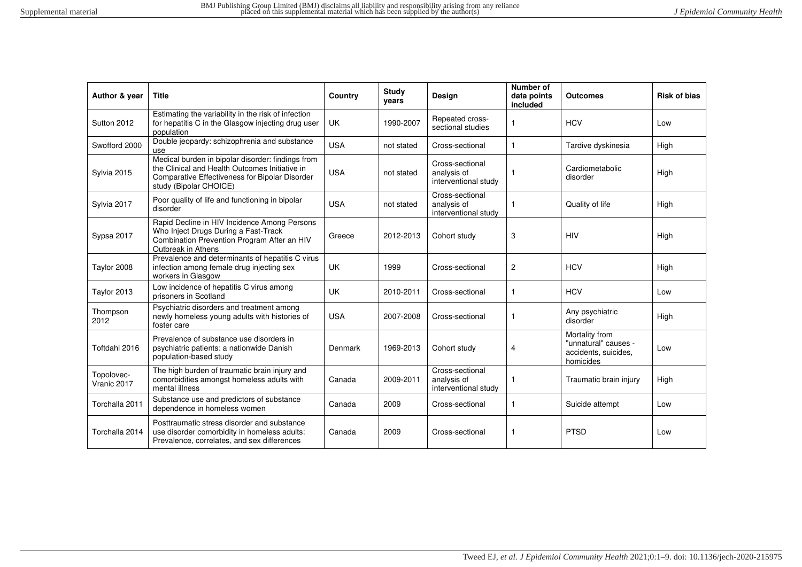| Author & year             | <b>Title</b>                                                                                                                                                                    | Country    | Study<br>vears | <b>Design</b>                                          | Number of<br>data points<br>included | <b>Outcomes</b>                                                             | <b>Risk of bias</b> |
|---------------------------|---------------------------------------------------------------------------------------------------------------------------------------------------------------------------------|------------|----------------|--------------------------------------------------------|--------------------------------------|-----------------------------------------------------------------------------|---------------------|
| Sutton 2012               | Estimating the variability in the risk of infection<br>for hepatitis C in the Glasgow injecting drug user<br>population                                                         | UK.        | 1990-2007      | Repeated cross-<br>sectional studies                   |                                      | <b>HCV</b>                                                                  | Low                 |
| Swofford 2000             | Double jeopardy: schizophrenia and substance<br>use                                                                                                                             | <b>USA</b> | not stated     | Cross-sectional                                        | $\mathbf{1}$                         | Tardive dyskinesia                                                          | High                |
| Sylvia 2015               | Medical burden in bipolar disorder: findings from<br>the Clinical and Health Outcomes Initiative in<br>Comparative Effectiveness for Bipolar Disorder<br>study (Bipolar CHOICE) | <b>USA</b> | not stated     | Cross-sectional<br>analysis of<br>interventional study |                                      | Cardiometabolic<br>disorder                                                 | High                |
| Sylvia 2017               | Poor quality of life and functioning in bipolar<br>disorder                                                                                                                     | <b>USA</b> | not stated     | Cross-sectional<br>analysis of<br>interventional study |                                      | Quality of life                                                             | High                |
| Sypsa 2017                | Rapid Decline in HIV Incidence Among Persons<br>Who Inject Drugs During a Fast-Track<br>Combination Prevention Program After an HIV<br>Outbreak in Athens                       | Greece     | 2012-2013      | Cohort study                                           | 3                                    | <b>HIV</b>                                                                  | High                |
| Taylor 2008               | Prevalence and determinants of hepatitis C virus<br>infection among female drug injecting sex<br>workers in Glasgow                                                             | UK.        | 1999           | Cross-sectional                                        | $\overline{c}$                       | <b>HCV</b>                                                                  | High                |
| Taylor 2013               | Low incidence of hepatitis C virus among<br>prisoners in Scotland                                                                                                               | <b>UK</b>  | 2010-2011      | Cross-sectional                                        | 1                                    | <b>HCV</b>                                                                  | Low                 |
| Thompson<br>2012          | Psychiatric disorders and treatment among<br>newly homeless young adults with histories of<br>foster care                                                                       | <b>USA</b> | 2007-2008      | Cross-sectional                                        |                                      | Any psychiatric<br>disorder                                                 | High                |
| Toftdahl 2016             | Prevalence of substance use disorders in<br>psychiatric patients: a nationwide Danish<br>population-based study                                                                 | Denmark    | 1969-2013      | Cohort study                                           | 4                                    | Mortality from<br>"unnatural" causes -<br>accidents, suicides,<br>homicides | Low                 |
| Topolovec-<br>Vranic 2017 | The high burden of traumatic brain injury and<br>comorbidities amongst homeless adults with<br>mental illness                                                                   | Canada     | 2009-2011      | Cross-sectional<br>analysis of<br>interventional study |                                      | Traumatic brain injury                                                      | High                |
| Torchalla 2011            | Substance use and predictors of substance<br>dependence in homeless women                                                                                                       | Canada     | 2009           | Cross-sectional                                        | 1                                    | Suicide attempt                                                             | Low                 |
| Torchalla 2014            | Posttraumatic stress disorder and substance<br>use disorder comorbidity in homeless adults:<br>Prevalence, correlates, and sex differences                                      | Canada     | 2009           | Cross-sectional                                        | $\mathbf{1}$                         | <b>PTSD</b>                                                                 | Low                 |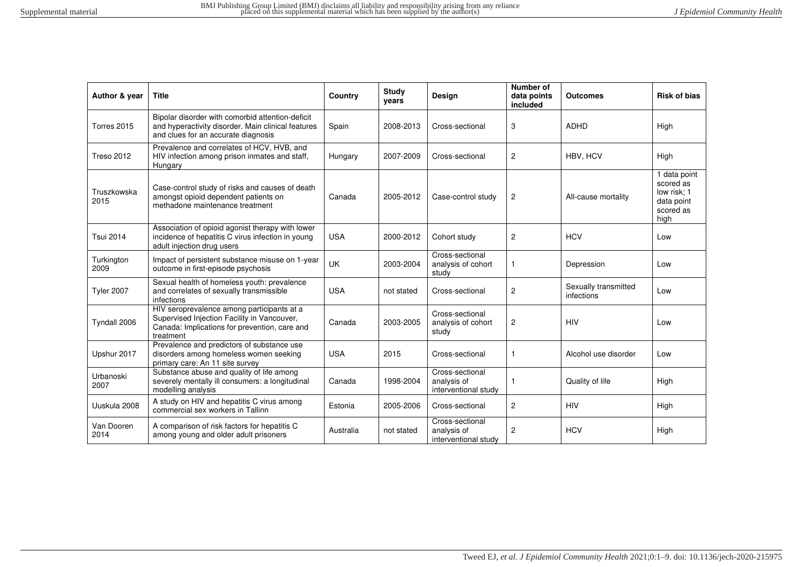| Author & year       | <b>Title</b>                                                                                                                                            | Country    | <b>Study</b><br>years | Design                                                 | Number of<br>data points<br>included | <b>Outcomes</b>                    | <b>Risk of bias</b>                                                                      |
|---------------------|---------------------------------------------------------------------------------------------------------------------------------------------------------|------------|-----------------------|--------------------------------------------------------|--------------------------------------|------------------------------------|------------------------------------------------------------------------------------------|
| Torres 2015         | Bipolar disorder with comorbid attention-deficit<br>and hyperactivity disorder. Main clinical features<br>and clues for an accurate diagnosis           | Spain      | 2008-2013             | Cross-sectional                                        | 3                                    | <b>ADHD</b>                        | High                                                                                     |
| <b>Treso 2012</b>   | Prevalence and correlates of HCV, HVB, and<br>HIV infection among prison inmates and staff,<br>Hungary                                                  | Hungary    | 2007-2009             | Cross-sectional                                        | $\mathbf{2}$                         | HBV, HCV                           | High                                                                                     |
| Truszkowska<br>2015 | Case-control study of risks and causes of death<br>amongst opioid dependent patients on<br>methadone maintenance treatment                              | Canada     | 2005-2012             | Case-control study                                     | 2                                    | All-cause mortality                | $\overline{1}$ data point<br>scored as<br>low risk; 1<br>data point<br>scored as<br>high |
| <b>Tsui 2014</b>    | Association of opioid agonist therapy with lower<br>incidence of hepatitis C virus infection in young<br>adult injection drug users                     | <b>USA</b> | 2000-2012             | Cohort study                                           | $\overline{2}$                       | <b>HCV</b>                         | Low                                                                                      |
| Turkington<br>2009  | Impact of persistent substance misuse on 1-year<br>outcome in first-episode psychosis                                                                   | UK         | 2003-2004             | Cross-sectional<br>analysis of cohort<br>study         | 1                                    | Depression                         | Low                                                                                      |
| <b>Tyler 2007</b>   | Sexual health of homeless youth: prevalence<br>and correlates of sexually transmissible<br>infections                                                   | <b>USA</b> | not stated            | Cross-sectional                                        | $\mathbf{2}$                         | Sexually transmitted<br>infections | Low                                                                                      |
| Tyndall 2006        | HIV seroprevalence among participants at a<br>Supervised Injection Facility in Vancouver,<br>Canada: Implications for prevention, care and<br>treatment | Canada     | 2003-2005             | Cross-sectional<br>analysis of cohort<br>study         | 2                                    | <b>HIV</b>                         | Low                                                                                      |
| Upshur 2017         | Prevalence and predictors of substance use<br>disorders among homeless women seeking<br>primary care: An 11 site survey                                 | <b>USA</b> | 2015                  | Cross-sectional                                        | 1                                    | Alcohol use disorder               | Low                                                                                      |
| Urbanoski<br>2007   | Substance abuse and quality of life among<br>severely mentally ill consumers: a longitudinal<br>modelling analysis                                      | Canada     | 1998-2004             | Cross-sectional<br>analysis of<br>interventional study | $\mathbf{1}$                         | Quality of life                    | High                                                                                     |
| Uuskula 2008        | A study on HIV and hepatitis C virus among<br>commercial sex workers in Tallinn                                                                         | Estonia    | 2005-2006             | Cross-sectional                                        | $\mathbf{2}$                         | <b>HIV</b>                         | High                                                                                     |
| Van Dooren<br>2014  | A comparison of risk factors for hepatitis C<br>among young and older adult prisoners                                                                   | Australia  | not stated            | Cross-sectional<br>analysis of<br>interventional study | $\overline{2}$                       | <b>HCV</b>                         | High                                                                                     |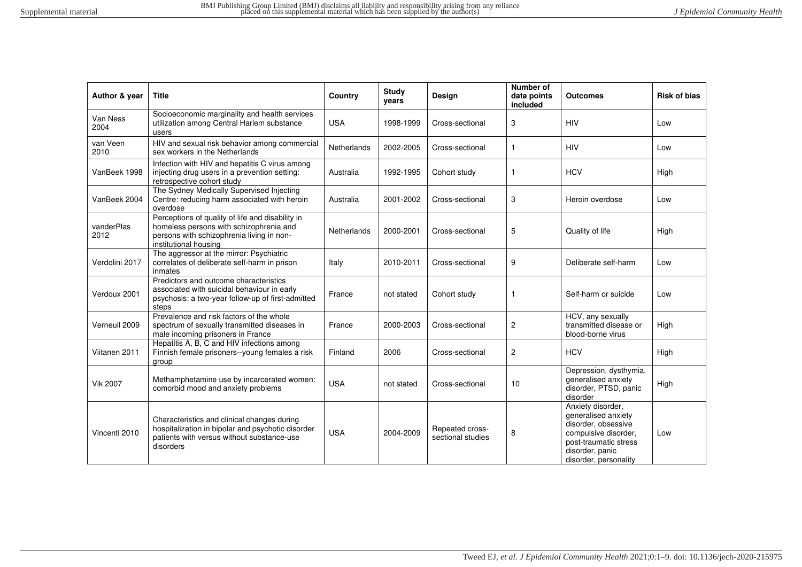| Author & year      | <b>Title</b>                                                                                                                                                      | Country            | <b>Study</b><br>years | Design                               | Number of<br>data points<br>included | <b>Outcomes</b>                                                                                                                                              | <b>Risk of bias</b> |
|--------------------|-------------------------------------------------------------------------------------------------------------------------------------------------------------------|--------------------|-----------------------|--------------------------------------|--------------------------------------|--------------------------------------------------------------------------------------------------------------------------------------------------------------|---------------------|
| Van Ness<br>2004   | Socioeconomic marginality and health services<br>utilization among Central Harlem substance<br>users                                                              | <b>USA</b>         | 1998-1999             | Cross-sectional                      | 3                                    | <b>HIV</b>                                                                                                                                                   | Low                 |
| van Veen<br>2010   | HIV and sexual risk behavior among commercial<br>sex workers in the Netherlands                                                                                   | Netherlands        | 2002-2005             | Cross-sectional                      | $\mathbf{1}$                         | <b>HIV</b>                                                                                                                                                   | Low                 |
| VanBeek 1998       | Infection with HIV and hepatitis C virus among<br>injecting drug users in a prevention setting:<br>retrospective cohort study                                     | Australia          | 1992-1995             | Cohort study                         | 1                                    | <b>HCV</b>                                                                                                                                                   | High                |
| VanBeek 2004       | The Sydney Medically Supervised Injecting<br>Centre: reducing harm associated with heroin<br>overdose                                                             | Australia          | 2001-2002             | Cross-sectional                      | 3                                    | Heroin overdose                                                                                                                                              | Low                 |
| vanderPlas<br>2012 | Perceptions of quality of life and disability in<br>homeless persons with schizophrenia and<br>persons with schizophrenia living in non-<br>institutional housing | <b>Netherlands</b> | 2000-2001             | Cross-sectional                      | 5                                    | Quality of life                                                                                                                                              | High                |
| Verdolini 2017     | The aggressor at the mirror: Psychiatric<br>correlates of deliberate self-harm in prison<br>inmates                                                               | Italy              | 2010-2011             | Cross-sectional                      | 9                                    | Deliberate self-harm                                                                                                                                         | Low                 |
| Verdoux 2001       | Predictors and outcome characteristics<br>associated with suicidal behaviour in early<br>psychosis: a two-year follow-up of first-admitted<br>steps               | France             | not stated            | Cohort study                         | -1                                   | Self-harm or suicide                                                                                                                                         | Low                 |
| Verneuil 2009      | Prevalence and risk factors of the whole<br>spectrum of sexually transmitted diseases in<br>male incoming prisoners in France                                     | France             | 2000-2003             | Cross-sectional                      | $\overline{c}$                       | HCV, any sexually<br>transmitted disease or<br>blood-borne virus                                                                                             | High                |
| Viitanen 2011      | Hepatitis A, B, C and HIV infections among<br>Finnish female prisoners--young females a risk<br>group                                                             | Finland            | 2006                  | Cross-sectional                      | $\overline{c}$                       | <b>HCV</b>                                                                                                                                                   | High                |
| <b>Vik 2007</b>    | Methamphetamine use by incarcerated women:<br>comorbid mood and anxiety problems                                                                                  | <b>USA</b>         | not stated            | Cross-sectional                      | 10                                   | Depression, dysthymia,<br>generalised anxiety<br>disorder, PTSD, panic<br>disorder                                                                           | High                |
| Vincenti 2010      | Characteristics and clinical changes during<br>hospitalization in bipolar and psychotic disorder<br>patients with versus without substance-use<br>disorders       | <b>USA</b>         | 2004-2009             | Repeated cross-<br>sectional studies | 8                                    | Anxiety disorder,<br>generalised anxiety<br>disorder, obsessive<br>compulsive disorder,<br>post-traumatic stress<br>disorder, panic<br>disorder, personality | Low                 |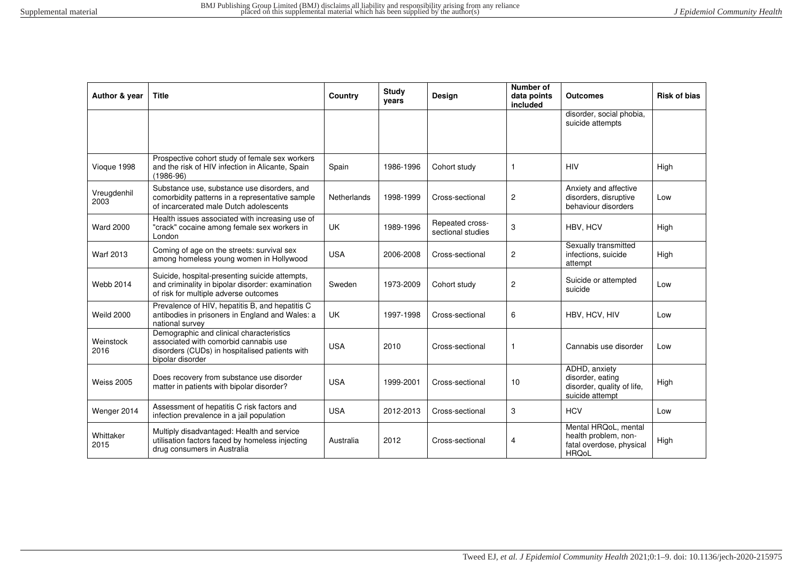| Author & year       | <b>Title</b>                                                                                                                                            | Country            | <b>Study</b><br>years | <b>Design</b>                        | Number of<br>data points<br>included | <b>Outcomes</b>                                                                          | <b>Risk of bias</b> |
|---------------------|---------------------------------------------------------------------------------------------------------------------------------------------------------|--------------------|-----------------------|--------------------------------------|--------------------------------------|------------------------------------------------------------------------------------------|---------------------|
|                     |                                                                                                                                                         |                    |                       |                                      |                                      | disorder, social phobia,<br>suicide attempts                                             |                     |
| Vioque 1998         | Prospective cohort study of female sex workers<br>and the risk of HIV infection in Alicante, Spain<br>$(1986 - 96)$                                     | Spain              | 1986-1996             | Cohort study                         | $\mathbf{1}$                         | <b>HIV</b>                                                                               | High                |
| Vreugdenhil<br>2003 | Substance use, substance use disorders, and<br>comorbidity patterns in a representative sample<br>of incarcerated male Dutch adolescents                | <b>Netherlands</b> | 1998-1999             | Cross-sectional                      | $\overline{c}$                       | Anxiety and affective<br>disorders, disruptive<br>behaviour disorders                    | Low                 |
| <b>Ward 2000</b>    | Health issues associated with increasing use of<br>"crack" cocaine among female sex workers in<br>London                                                | <b>UK</b>          | 1989-1996             | Repeated cross-<br>sectional studies | 3                                    | HBV. HCV                                                                                 | High                |
| <b>Warf 2013</b>    | Coming of age on the streets: survival sex<br>among homeless young women in Hollywood                                                                   | <b>USA</b>         | 2006-2008             | Cross-sectional                      | $\overline{c}$                       | Sexually transmitted<br>infections, suicide<br>attempt                                   | High                |
| <b>Webb 2014</b>    | Suicide, hospital-presenting suicide attempts,<br>and criminality in bipolar disorder: examination<br>of risk for multiple adverse outcomes             | Sweden             | 1973-2009             | Cohort study                         | $\overline{c}$                       | Suicide or attempted<br>suicide                                                          | Low                 |
| <b>Weild 2000</b>   | Prevalence of HIV, hepatitis B, and hepatitis C<br>antibodies in prisoners in England and Wales: a<br>national survey                                   | <b>UK</b>          | 1997-1998             | Cross-sectional                      | 6                                    | HBV, HCV, HIV                                                                            | Low                 |
| Weinstock<br>2016   | Demographic and clinical characteristics<br>associated with comorbid cannabis use<br>disorders (CUDs) in hospitalised patients with<br>bipolar disorder | <b>USA</b>         | 2010                  | Cross-sectional                      | $\mathbf{1}$                         | Cannabis use disorder                                                                    | Low                 |
| <b>Weiss 2005</b>   | Does recovery from substance use disorder<br>matter in patients with bipolar disorder?                                                                  | <b>USA</b>         | 1999-2001             | Cross-sectional                      | 10                                   | ADHD, anxiety<br>disorder, eating<br>disorder, quality of life,<br>suicide attempt       | High                |
| Wenger 2014         | Assessment of hepatitis C risk factors and<br>infection prevalence in a jail population                                                                 | <b>USA</b>         | 2012-2013             | Cross-sectional                      | 3                                    | <b>HCV</b>                                                                               | Low                 |
| Whittaker<br>2015   | Multiply disadvantaged: Health and service<br>utilisation factors faced by homeless injecting<br>drug consumers in Australia                            | Australia          | 2012                  | Cross-sectional                      | 4                                    | Mental HRQoL, mental<br>health problem, non-<br>fatal overdose, physical<br><b>HRQoL</b> | High                |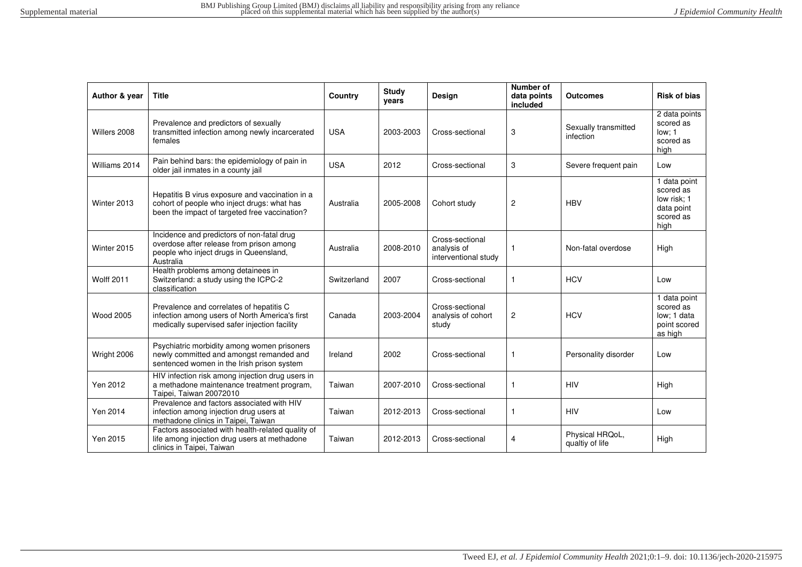| Author & year     | <b>Title</b>                                                                                                                                    | Country     | <b>Study</b><br>years | Design                                                 | <b>Number of</b><br>data points<br>included | <b>Outcomes</b>                    | <b>Risk of bias</b>                                                         |
|-------------------|-------------------------------------------------------------------------------------------------------------------------------------------------|-------------|-----------------------|--------------------------------------------------------|---------------------------------------------|------------------------------------|-----------------------------------------------------------------------------|
| Willers 2008      | Prevalence and predictors of sexually<br>transmitted infection among newly incarcerated<br>females                                              | <b>USA</b>  | 2003-2003             | Cross-sectional                                        | 3                                           | Sexually transmitted<br>infection  | 2 data points<br>scored as<br>low: 1<br>scored as<br>high                   |
| Williams 2014     | Pain behind bars: the epidemiology of pain in<br>older jail inmates in a county jail                                                            | <b>USA</b>  | 2012                  | Cross-sectional                                        | 3                                           | Severe frequent pain               | Low                                                                         |
| Winter 2013       | Hepatitis B virus exposure and vaccination in a<br>cohort of people who inject drugs: what has<br>been the impact of targeted free vaccination? | Australia   | 2005-2008             | Cohort study                                           | $\overline{2}$                              | <b>HBV</b>                         | 1 data point<br>scored as<br>low risk: 1<br>data point<br>scored as<br>high |
| Winter 2015       | Incidence and predictors of non-fatal drug<br>overdose after release from prison among<br>people who inject drugs in Queensland,<br>Australia   | Australia   | 2008-2010             | Cross-sectional<br>analysis of<br>interventional study | -1                                          | Non-fatal overdose                 | High                                                                        |
| <b>Wolff 2011</b> | Health problems among detainees in<br>Switzerland: a study using the ICPC-2<br>classification                                                   | Switzerland | 2007                  | Cross-sectional                                        | 1                                           | <b>HCV</b>                         | Low                                                                         |
| <b>Wood 2005</b>  | Prevalence and correlates of hepatitis C<br>infection among users of North America's first<br>medically supervised safer injection facility     | Canada      | 2003-2004             | Cross-sectional<br>analysis of cohort<br>study         | $\overline{\mathbf{c}}$                     | <b>HCV</b>                         | 1 data point<br>scored as<br>low: 1 data<br>point scored<br>as high         |
| Wright 2006       | Psychiatric morbidity among women prisoners<br>newly committed and amongst remanded and<br>sentenced women in the Irish prison system           | Ireland     | 2002                  | Cross-sectional                                        | $\mathbf{1}$                                | Personality disorder               | Low                                                                         |
| Yen 2012          | HIV infection risk among injection drug users in<br>a methadone maintenance treatment program,<br>Taipei. Taiwan 20072010                       | Taiwan      | 2007-2010             | Cross-sectional                                        | $\mathbf{1}$                                | <b>HIV</b>                         | High                                                                        |
| Yen 2014          | Prevalence and factors associated with HIV<br>infection among injection drug users at<br>methadone clinics in Taipei, Taiwan                    | Taiwan      | 2012-2013             | Cross-sectional                                        | $\mathbf{1}$                                | <b>HIV</b>                         | Low                                                                         |
| Yen 2015          | Factors associated with health-related quality of<br>life among injection drug users at methadone<br>clinics in Taipei, Taiwan                  | Taiwan      | 2012-2013             | Cross-sectional                                        | 4                                           | Physical HRQoL,<br>qualtiy of life | High                                                                        |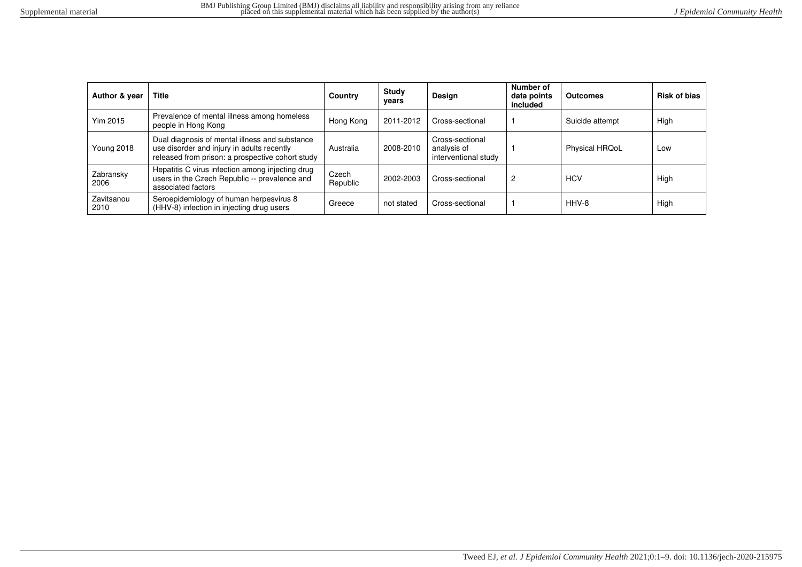| Author & year      | <b>Title</b>                                                                                                                                     | Country           | Study<br>vears | Design                                                 | Number of<br>data points<br>included | <b>Outcomes</b> | <b>Risk of bias</b> |
|--------------------|--------------------------------------------------------------------------------------------------------------------------------------------------|-------------------|----------------|--------------------------------------------------------|--------------------------------------|-----------------|---------------------|
| <b>Yim 2015</b>    | Prevalence of mental illness among homeless<br>people in Hong Kong                                                                               | Hong Kong         | 2011-2012      | Cross-sectional                                        |                                      | Suicide attempt | High                |
| <b>Young 2018</b>  | Dual diagnosis of mental illness and substance<br>use disorder and injury in adults recently<br>released from prison: a prospective cohort study | Australia         | 2008-2010      | Cross-sectional<br>analysis of<br>interventional study |                                      | Physical HRQoL  | Low                 |
| Zabransky<br>2006  | Hepatitis C virus infection among injecting drug<br>users in the Czech Republic -- prevalence and<br>associated factors                          | Czech<br>Republic | 2002-2003      | Cross-sectional                                        | 2                                    | <b>HCV</b>      | High                |
| Zavitsanou<br>2010 | Seroepidemiology of human herpesvirus 8<br>(HHV-8) infection in injecting drug users                                                             | Greece            | not stated     | Cross-sectional                                        |                                      | HHV-8           | High                |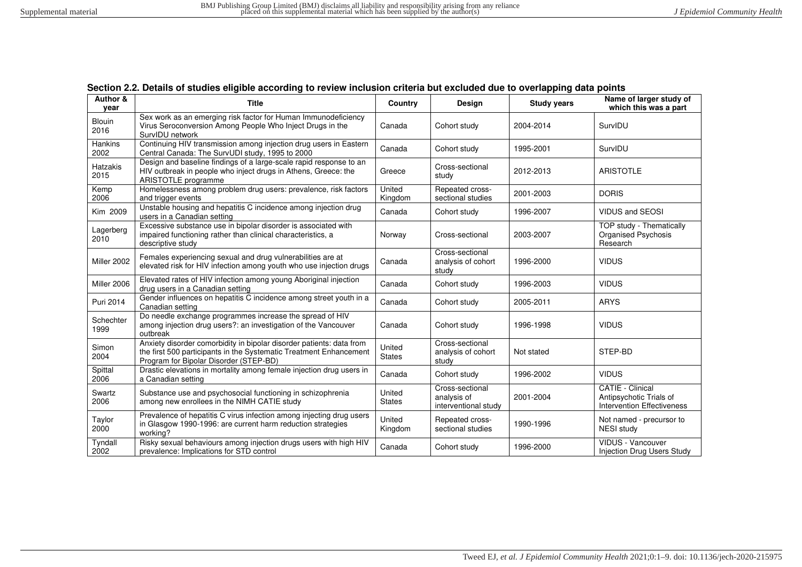<span id="page-56-0"></span>

| Author &<br>vear       | <b>Title</b>                                                                                                                                                                         | Country                 | <b>Design</b>                                          | <b>Study years</b> | Name of larger study of<br>which this was a part                                        |
|------------------------|--------------------------------------------------------------------------------------------------------------------------------------------------------------------------------------|-------------------------|--------------------------------------------------------|--------------------|-----------------------------------------------------------------------------------------|
| <b>Blouin</b><br>2016  | Sex work as an emerging risk factor for Human Immunodeficiency<br>Virus Seroconversion Among People Who Inject Drugs in the<br>SurvIDU network                                       | Canada                  | Cohort study                                           | 2004-2014          | SurvIDU                                                                                 |
| <b>Hankins</b><br>2002 | Continuing HIV transmission among injection drug users in Eastern<br>Central Canada: The SurvUDI study, 1995 to 2000                                                                 | Canada                  | Cohort study                                           | 1995-2001          | SurvIDU                                                                                 |
| Hatzakis<br>2015       | Design and baseline findings of a large-scale rapid response to an<br>HIV outbreak in people who inject drugs in Athens, Greece: the<br>ARISTOTLE programme                          | Greece                  | Cross-sectional<br>study                               | 2012-2013          | <b>ARISTOTLE</b>                                                                        |
| Kemp<br>2006           | Homelessness among problem drug users: prevalence, risk factors<br>and trigger events                                                                                                | United<br>Kingdom       | Repeated cross-<br>sectional studies                   | 2001-2003          | <b>DORIS</b>                                                                            |
| Kim 2009               | Unstable housing and hepatitis C incidence among injection drug<br>users in a Canadian setting                                                                                       | Canada                  | Cohort study                                           | 1996-2007          | <b>VIDUS and SEOSI</b>                                                                  |
| Lagerberg<br>2010      | Excessive substance use in bipolar disorder is associated with<br>impaired functioning rather than clinical characteristics, a<br>descriptive study                                  | Norway                  | Cross-sectional                                        | 2003-2007          | <b>TOP study - Thematically</b><br>Organised Psychosis<br>Research                      |
| Miller 2002            | Females experiencing sexual and drug vulnerabilities are at<br>elevated risk for HIV infection among youth who use injection drugs                                                   | Canada                  | Cross-sectional<br>analysis of cohort<br>study         | 1996-2000          | <b>VIDUS</b>                                                                            |
| Miller 2006            | Elevated rates of HIV infection among young Aboriginal injection<br>drug users in a Canadian setting                                                                                 | Canada                  | Cohort study                                           | 1996-2003          | <b>VIDUS</b>                                                                            |
| Puri 2014              | Gender influences on hepatitis C incidence among street youth in a<br>Canadian setting                                                                                               | Canada                  | Cohort study                                           | 2005-2011          | <b>ARYS</b>                                                                             |
| Schechter<br>1999      | Do needle exchange programmes increase the spread of HIV<br>among injection drug users?: an investigation of the Vancouver<br>outbreak                                               | Canada                  | Cohort study                                           | 1996-1998          | <b>VIDUS</b>                                                                            |
| Simon<br>2004          | Anxiety disorder comorbidity in bipolar disorder patients: data from<br>the first 500 participants in the Systematic Treatment Enhancement<br>Program for Bipolar Disorder (STEP-BD) | United<br><b>States</b> | Cross-sectional<br>analysis of cohort<br>study         | Not stated         | STEP-BD                                                                                 |
| Spittal<br>2006        | Drastic elevations in mortality among female injection drug users in<br>a Canadian setting                                                                                           | Canada                  | Cohort study                                           | 1996-2002          | <b>VIDUS</b>                                                                            |
| Swartz<br>2006         | Substance use and psychosocial functioning in schizophrenia<br>among new enrollees in the NIMH CATIE study                                                                           | United<br><b>States</b> | Cross-sectional<br>analysis of<br>interventional study | 2001-2004          | <b>CATIE - Clinical</b><br>Antipsychotic Trials of<br><b>Intervention Effectiveness</b> |
| Taylor<br>2000         | Prevalence of hepatitis C virus infection among injecting drug users<br>in Glasgow 1990-1996: are current harm reduction strategies<br>working?                                      | United<br>Kingdom       | Repeated cross-<br>sectional studies                   | 1990-1996          | Not named - precursor to<br><b>NESI study</b>                                           |
| Tyndall<br>2002        | Risky sexual behaviours among injection drugs users with high HIV<br>prevalence: Implications for STD control                                                                        | Canada                  | Cohort study                                           | 1996-2000          | VIDUS - Vancouver<br><b>Injection Drug Users Study</b>                                  |

|  |  |  |  |  |  | Section 2.2. Details of studies eligible according to review inclusion criteria but excluded due to overlapping data points |
|--|--|--|--|--|--|-----------------------------------------------------------------------------------------------------------------------------|
|--|--|--|--|--|--|-----------------------------------------------------------------------------------------------------------------------------|